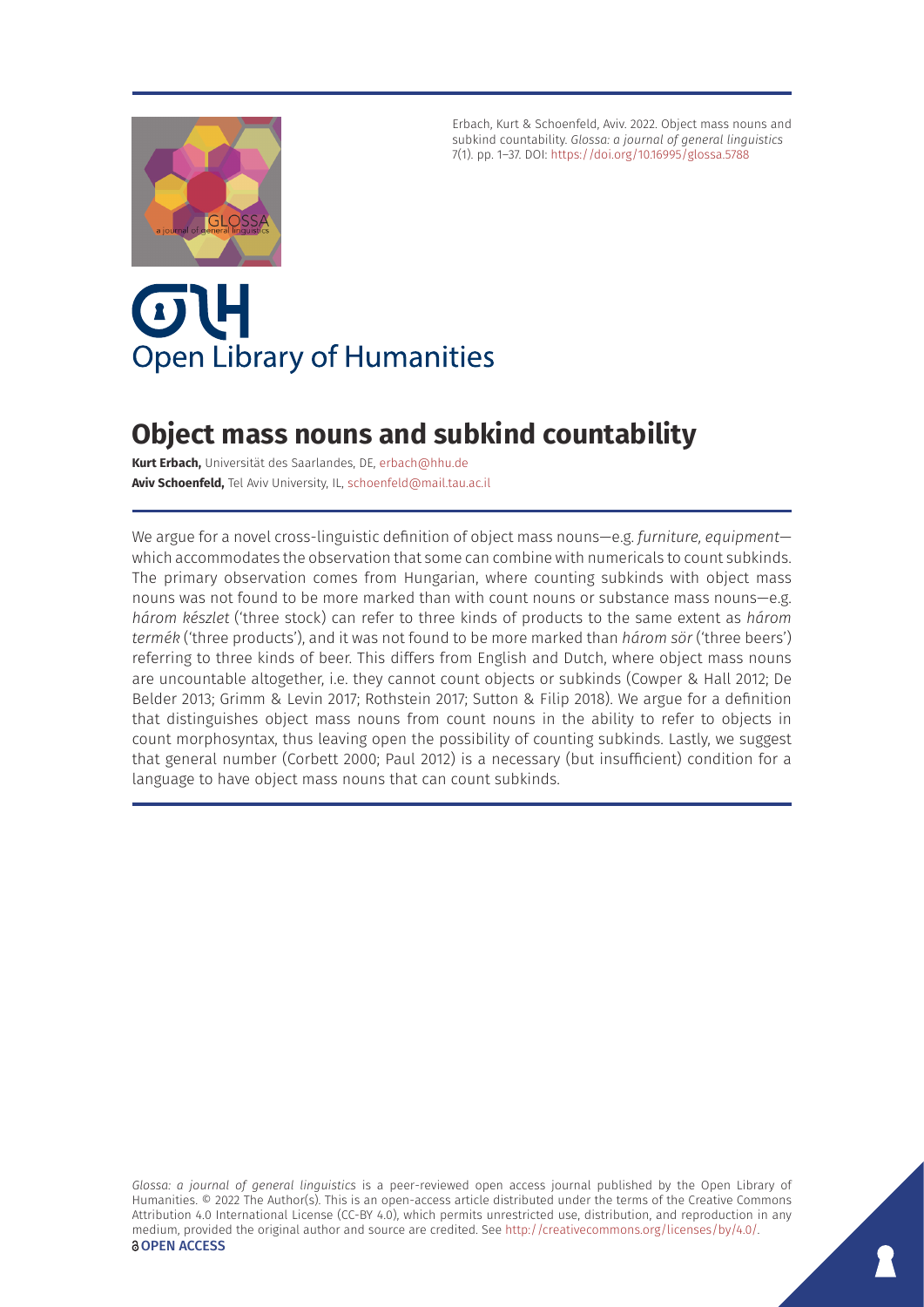

Erbach, Kurt & Schoenfeld, Aviv. 2022. Object mass nouns and subkind countability. *Glossa: a journal of general linguistics* 7(1). pp. 1–37. DOI: <https://doi.org/10.16995/glossa.5788>

# OIH **Open Library of Humanities**

# **Object mass nouns and subkind countability**

**Kurt Erbach,** Universität des Saarlandes, DE, [erbach@hhu.de](mailto:erbach@hhu.de) **Aviv Schoenfeld,** Tel Aviv University, IL, [schoenfeld@mail.tau.ac.il](mailto:schoenfeld@mail.tau.ac.il)

We argue for a novel cross-linguistic definition of object mass nouns—e.g. *furniture, equipment* which accommodates the observation that some can combine with numericals to count subkinds. The primary observation comes from Hungarian, where counting subkinds with object mass nouns was not found to be more marked than with count nouns or substance mass nouns—e.g. *három készlet* ('three stock) can refer to three kinds of products to the same extent as *három termék* ('three products'), and it was not found to be more marked than *három sör* ('three beers') referring to three kinds of beer. This differs from English and Dutch, where object mass nouns are uncountable altogether, i.e. they cannot count objects or subkinds (Cowper & Hall 2012; De Belder 2013; Grimm & Levin 2017; Rothstein 2017; Sutton & Filip 2018). We argue for a definition that distinguishes object mass nouns from count nouns in the ability to refer to objects in count morphosyntax, thus leaving open the possibility of counting subkinds. Lastly, we suggest that general number (Corbett 2000; Paul 2012) is a necessary (but insufficient) condition for a language to have object mass nouns that can count subkinds.

*Glossa: a journal of general linguistics* is a peer-reviewed open access journal published by the Open Library of Humanities. © 2022 The Author(s). This is an open-access article distributed under the terms of the Creative Commons Attribution 4.0 International License (CC-BY 4.0), which permits unrestricted use, distribution, and reproduction in any medium, provided the original author and source are credited. See <http://creativecommons.org/licenses/by/4.0/>. **OPEN ACCESS**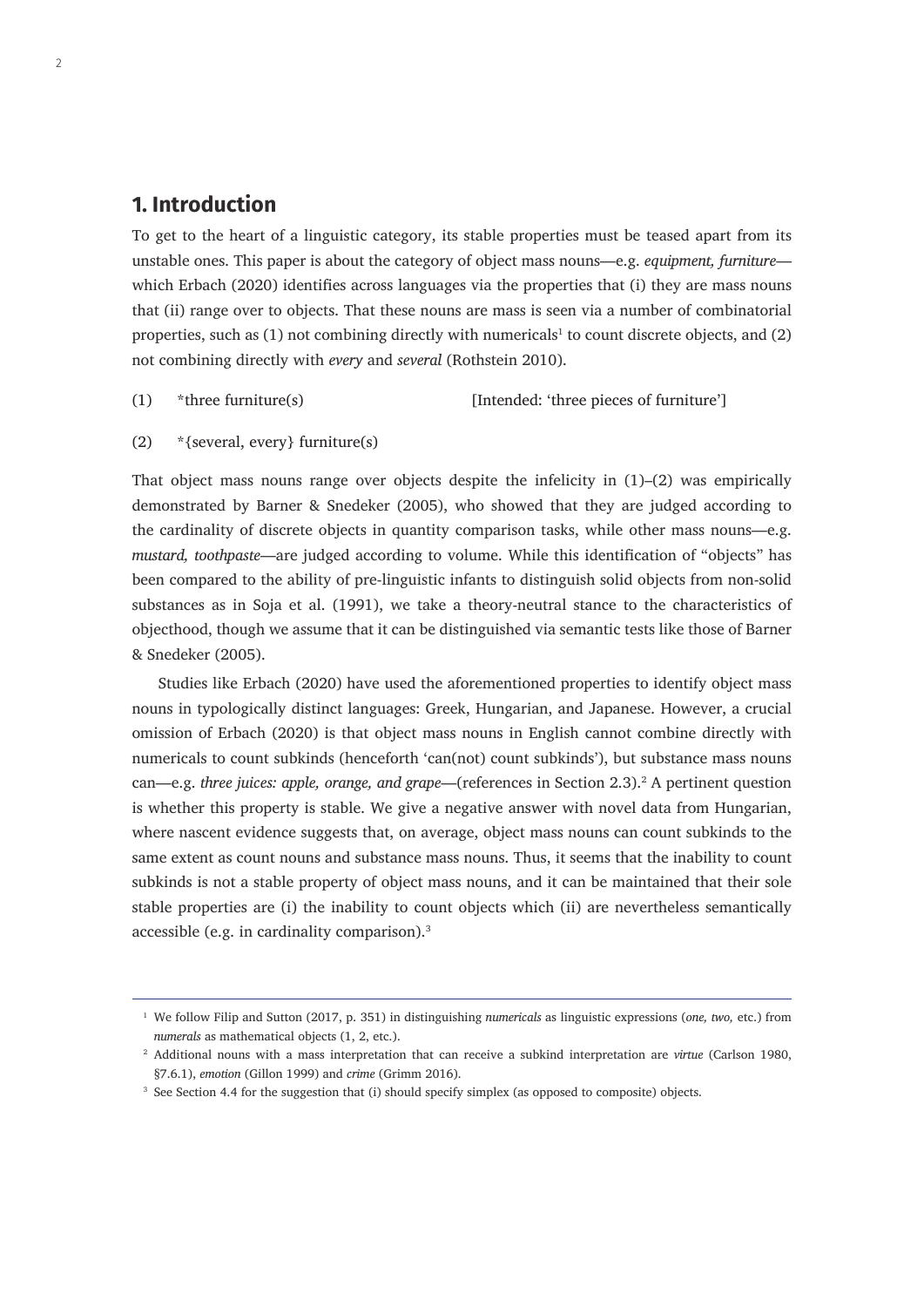# **1. Introduction**

To get to the heart of a linguistic category, its stable properties must be teased apart from its unstable ones. This paper is about the category of object mass nouns—e.g. *equipment, furniture* which Erbach (2020) identifies across languages via the properties that (i) they are mass nouns that (ii) range over to objects. That these nouns are mass is seen via a number of combinatorial properties, such as  $(1)$  not combining directly with numericals<sup>1</sup> to count discrete objects, and  $(2)$ not combining directly with *every* and *several* (Rothstein 2010).

(1) \*three furniture(s) [Intended: 'three pieces of furniture']

(2) \*{several, every} furniture(s)

That object mass nouns range over objects despite the infelicity in  $(1)$ – $(2)$  was empirically demonstrated by Barner & Snedeker (2005), who showed that they are judged according to the cardinality of discrete objects in quantity comparison tasks, while other mass nouns—e.g. *mustard, toothpaste*—are judged according to volume. While this identification of "objects" has been compared to the ability of pre-linguistic infants to distinguish solid objects from non-solid substances as in Soja et al. (1991), we take a theory-neutral stance to the characteristics of objecthood, though we assume that it can be distinguished via semantic tests like those of Barner & Snedeker (2005).

Studies like Erbach (2020) have used the aforementioned properties to identify object mass nouns in typologically distinct languages: Greek, Hungarian, and Japanese. However, a crucial omission of Erbach (2020) is that object mass nouns in English cannot combine directly with numericals to count subkinds (henceforth 'can(not) count subkinds'), but substance mass nouns can—e.g. *three juices: apple, orange, and grape*—(references in Section 2.3).2 A pertinent question is whether this property is stable. We give a negative answer with novel data from Hungarian, where nascent evidence suggests that, on average, object mass nouns can count subkinds to the same extent as count nouns and substance mass nouns. Thus, it seems that the inability to count subkinds is not a stable property of object mass nouns, and it can be maintained that their sole stable properties are (i) the inability to count objects which (ii) are nevertheless semantically accessible (e.g. in cardinality comparison).3

<sup>1</sup> We follow Filip and Sutton (2017, p. 351) in distinguishing *numericals* as linguistic expressions (*one, two,* etc.) from *numerals* as mathematical objects (1, 2, etc.).

<sup>2</sup> Additional nouns with a mass interpretation that can receive a subkind interpretation are *virtue* (Carlson 1980, §7.6.1), *emotion* (Gillon 1999) and *crime* (Grimm 2016).

<sup>&</sup>lt;sup>3</sup> See Section 4.4 for the suggestion that (i) should specify simplex (as opposed to composite) objects.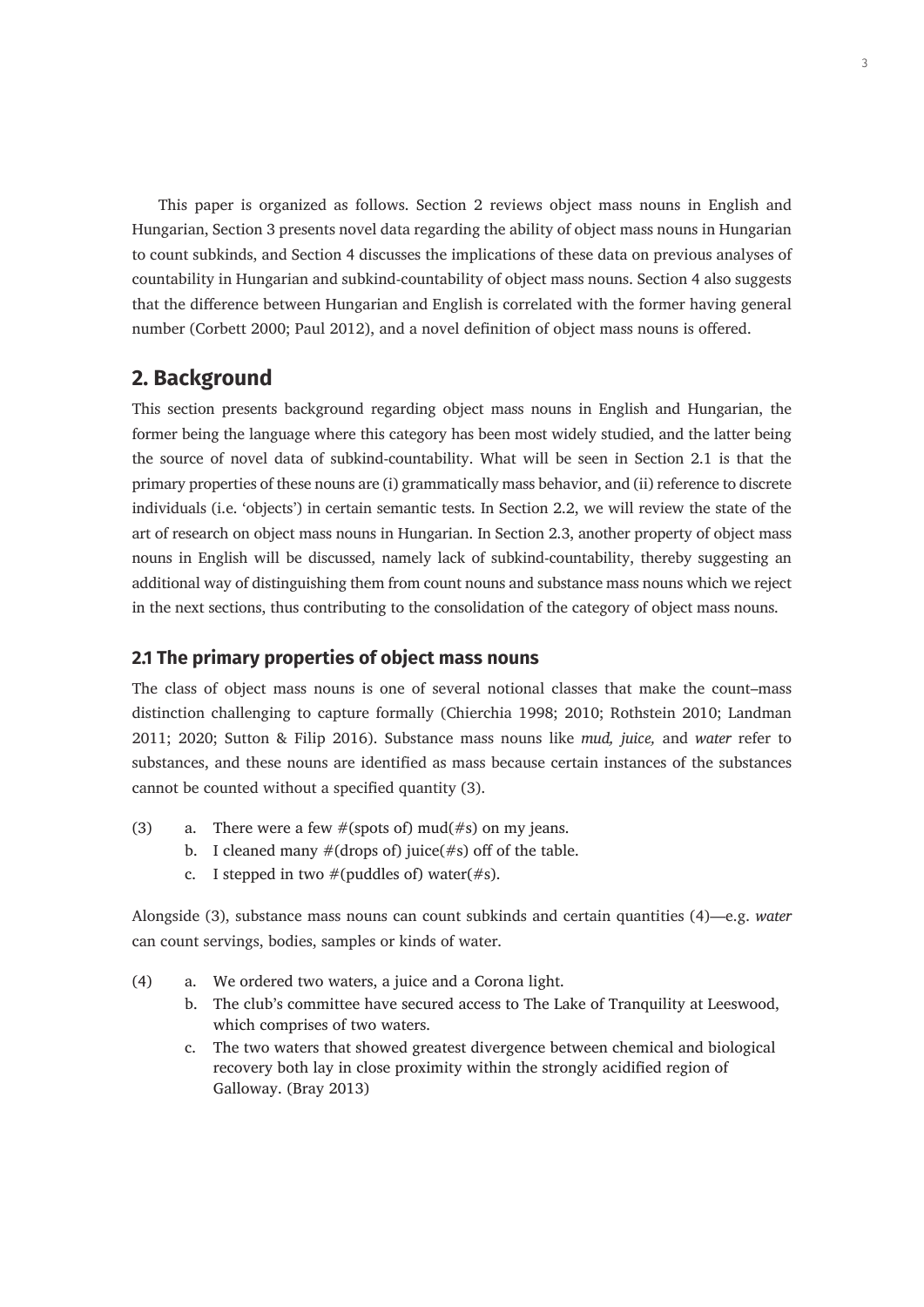This paper is organized as follows. Section 2 reviews object mass nouns in English and Hungarian, Section 3 presents novel data regarding the ability of object mass nouns in Hungarian to count subkinds, and Section 4 discusses the implications of these data on previous analyses of countability in Hungarian and subkind-countability of object mass nouns. Section 4 also suggests that the difference between Hungarian and English is correlated with the former having general number (Corbett 2000; Paul 2012), and a novel definition of object mass nouns is offered.

# **2. Background**

This section presents background regarding object mass nouns in English and Hungarian, the former being the language where this category has been most widely studied, and the latter being the source of novel data of subkind-countability. What will be seen in Section 2.1 is that the primary properties of these nouns are (i) grammatically mass behavior, and (ii) reference to discrete individuals (i.e. 'objects') in certain semantic tests. In Section 2.2, we will review the state of the art of research on object mass nouns in Hungarian. In Section 2.3, another property of object mass nouns in English will be discussed, namely lack of subkind-countability, thereby suggesting an additional way of distinguishing them from count nouns and substance mass nouns which we reject in the next sections, thus contributing to the consolidation of the category of object mass nouns.

#### **2.1 The primary properties of object mass nouns**

The class of object mass nouns is one of several notional classes that make the count–mass distinction challenging to capture formally (Chierchia 1998; 2010; Rothstein 2010; Landman 2011; 2020; Sutton & Filip 2016). Substance mass nouns like *mud, juice,* and *water* refer to substances, and these nouns are identified as mass because certain instances of the substances cannot be counted without a specified quantity (3).

- (3) a. There were a few  $\#$ (spots of) mud( $\#$ s) on my jeans.
	- b. I cleaned many  $\#(\text{drops of})$  juice( $\#s$ ) off of the table.
	- c. I stepped in two  $#(puddles of)$  water( $#s$ ).

Alongside (3), substance mass nouns can count subkinds and certain quantities (4)—e.g. *water*  can count servings, bodies, samples or kinds of water.

- (4) a. We ordered two waters, a juice and a Corona light.
	- b. The club's committee have secured access to The Lake of Tranquility at Leeswood, which comprises of two waters.
	- c. The two waters that showed greatest divergence between chemical and biological recovery both lay in close proximity within the strongly acidified region of Galloway. (Bray 2013)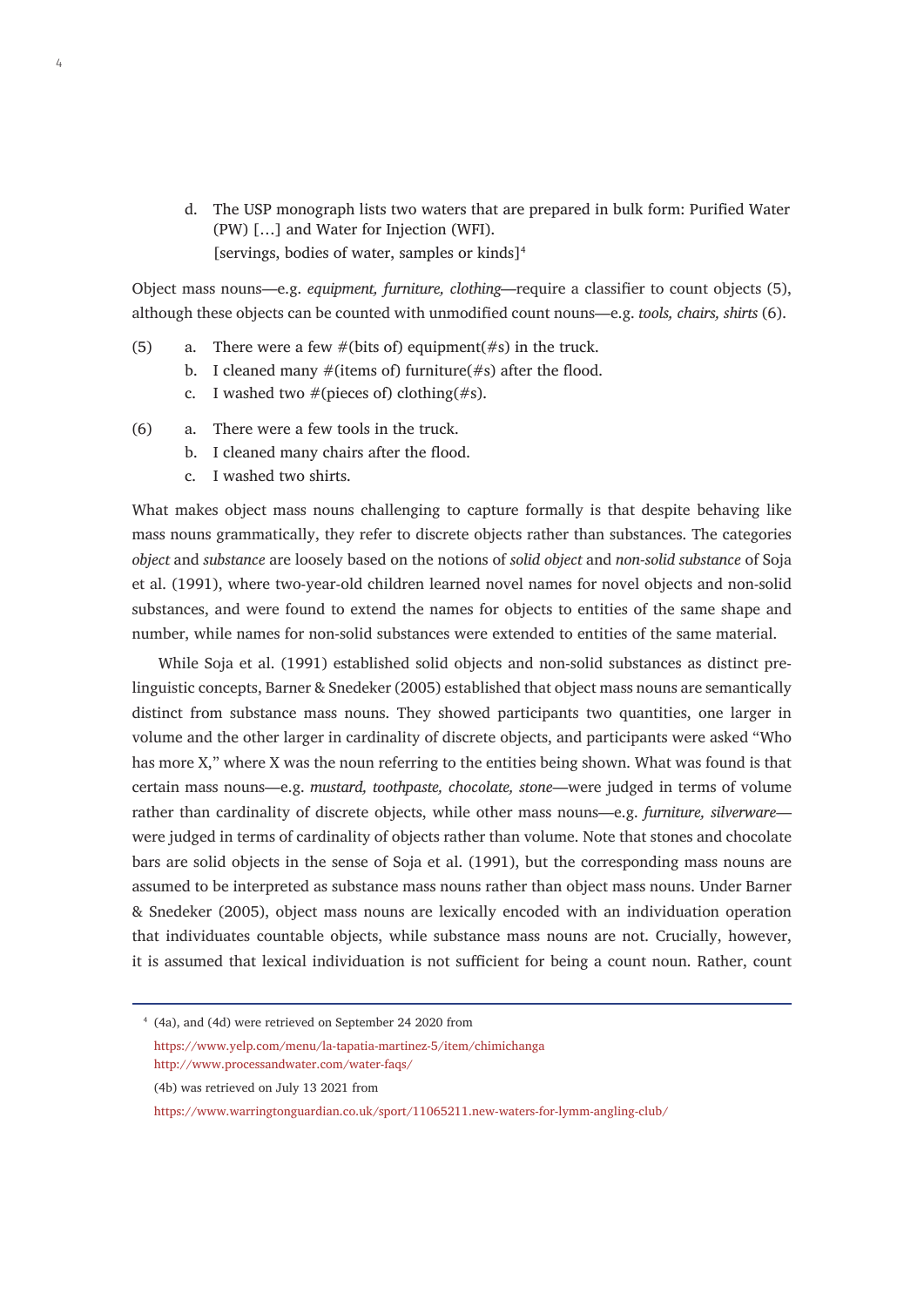d. The USP monograph lists two waters that are prepared in bulk form: Purified Water (PW) […] and Water for Injection (WFI). [servings, bodies of water, samples or kinds]<sup>4</sup>

Object mass nouns—e.g. *equipment, furniture, clothing*—require a classifier to count objects (5), although these objects can be counted with unmodified count nouns—e.g. *tools, chairs, shirts* (6).

- (5) a. There were a few  $\#$ (bits of) equipment( $\#$ s) in the truck.
	- b. I cleaned many  $#$ (items of) furniture( $#s$ ) after the flood.
	- c. I washed two  $#$ (pieces of) clothing( $#s$ ).
- (6) a. There were a few tools in the truck.
	- b. I cleaned many chairs after the flood.
	- c. I washed two shirts.

What makes object mass nouns challenging to capture formally is that despite behaving like mass nouns grammatically, they refer to discrete objects rather than substances. The categories *object* and *substance* are loosely based on the notions of *solid object* and *non-solid substance* of Soja et al. (1991), where two-year-old children learned novel names for novel objects and non-solid substances, and were found to extend the names for objects to entities of the same shape and number, while names for non-solid substances were extended to entities of the same material.

While Soja et al. (1991) established solid objects and non-solid substances as distinct prelinguistic concepts, Barner & Snedeker (2005) established that object mass nouns are semantically distinct from substance mass nouns. They showed participants two quantities, one larger in volume and the other larger in cardinality of discrete objects, and participants were asked "Who has more X," where X was the noun referring to the entities being shown. What was found is that certain mass nouns—e.g. *mustard, toothpaste, chocolate, stone*—were judged in terms of volume rather than cardinality of discrete objects, while other mass nouns—e.g. *furniture, silverware* were judged in terms of cardinality of objects rather than volume. Note that stones and chocolate bars are solid objects in the sense of Soja et al. (1991), but the corresponding mass nouns are assumed to be interpreted as substance mass nouns rather than object mass nouns. Under Barner & Snedeker (2005), object mass nouns are lexically encoded with an individuation operation that individuates countable objects, while substance mass nouns are not. Crucially, however, it is assumed that lexical individuation is not sufficient for being a count noun. Rather, count

- <sup>4</sup> (4a), and (4d) were retrieved on September 24 2020 from <https://www.yelp.com/menu/la-tapatia-martinez-5/item/chimichanga> <http://www.processandwater.com/water-faqs/>
- (4b) was retrieved on July 13 2021 from

<https://www.warringtonguardian.co.uk/sport/11065211.new-waters-for-lymm-angling-club/>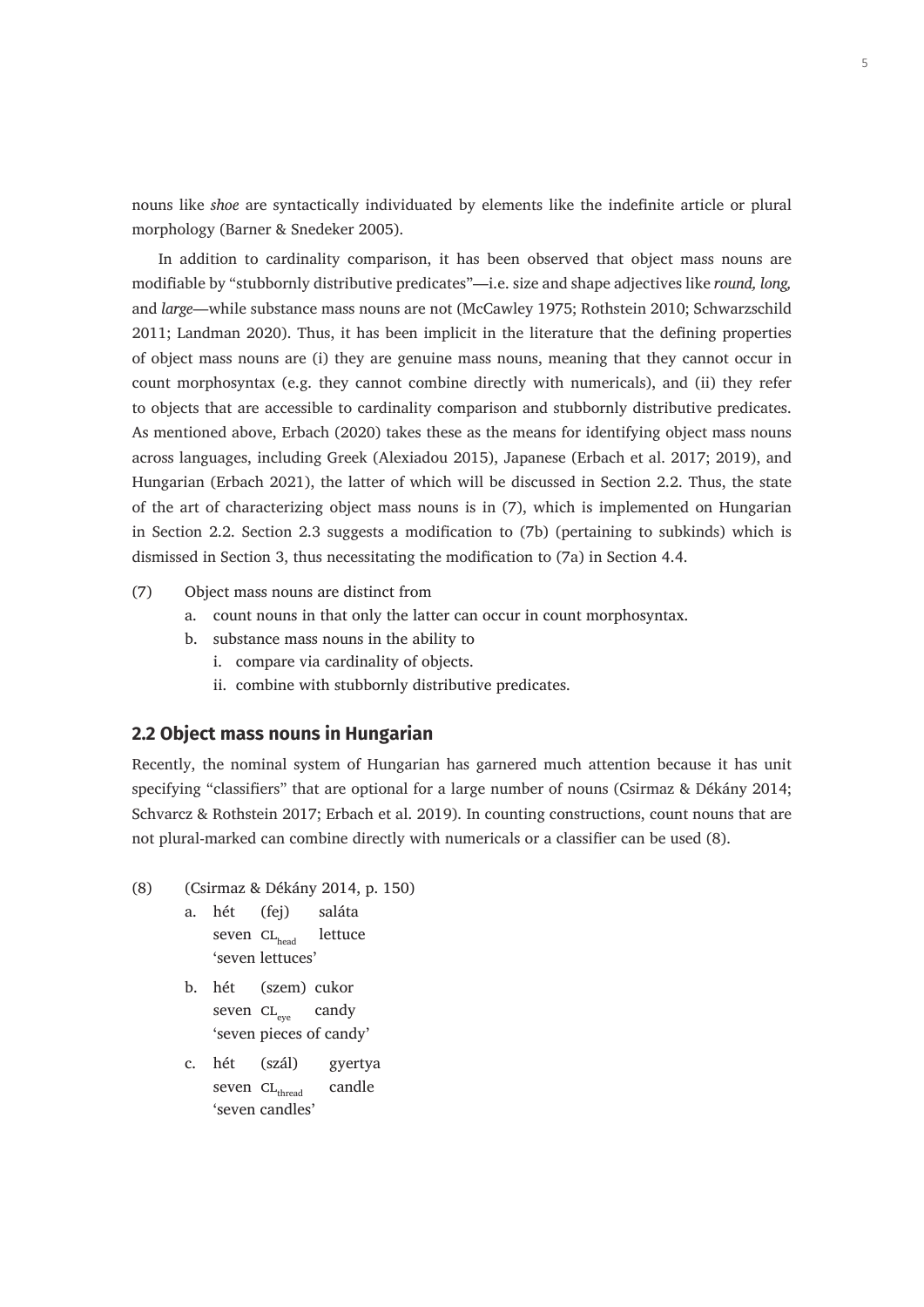nouns like *shoe* are syntactically individuated by elements like the indefinite article or plural morphology (Barner & Snedeker 2005).

In addition to cardinality comparison, it has been observed that object mass nouns are modifiable by "stubbornly distributive predicates"—i.e. size and shape adjectives like *round, long,*  and *large*—while substance mass nouns are not (McCawley 1975; Rothstein 2010; Schwarzschild 2011; Landman 2020). Thus, it has been implicit in the literature that the defining properties of object mass nouns are (i) they are genuine mass nouns, meaning that they cannot occur in count morphosyntax (e.g. they cannot combine directly with numericals), and (ii) they refer to objects that are accessible to cardinality comparison and stubbornly distributive predicates. As mentioned above, Erbach (2020) takes these as the means for identifying object mass nouns across languages, including Greek (Alexiadou 2015), Japanese (Erbach et al. 2017; 2019), and Hungarian (Erbach 2021), the latter of which will be discussed in Section 2.2. Thus, the state of the art of characterizing object mass nouns is in (7), which is implemented on Hungarian in Section 2.2. Section 2.3 suggests a modification to (7b) (pertaining to subkinds) which is dismissed in Section 3, thus necessitating the modification to (7a) in Section 4.4.

- (7) Object mass nouns are distinct from
	- a. count nouns in that only the latter can occur in count morphosyntax.
	- b. substance mass nouns in the ability to
		- i. compare via cardinality of objects.
		- ii. combine with stubbornly distributive predicates.

#### **2.2 Object mass nouns in Hungarian**

Recently, the nominal system of Hungarian has garnered much attention because it has unit specifying "classifiers" that are optional for a large number of nouns (Csirmaz & Dékány 2014; Schvarcz & Rothstein 2017; Erbach et al. 2019). In counting constructions, count nouns that are not plural-marked can combine directly with numericals or a classifier can be used (8).

- (8) (Csirmaz & Dékány 2014, p. 150)
	- a. hét (fej) saláta seven  $CL_{head}$  lettuce 'seven lettuces'
	- b. hét (szem) cukor seven  $CL_{eve}$  candy 'seven pieces of candy'
	- c. hét (szál) gyertya seven  $CL_{\text{thread}}$  candle 'seven candles'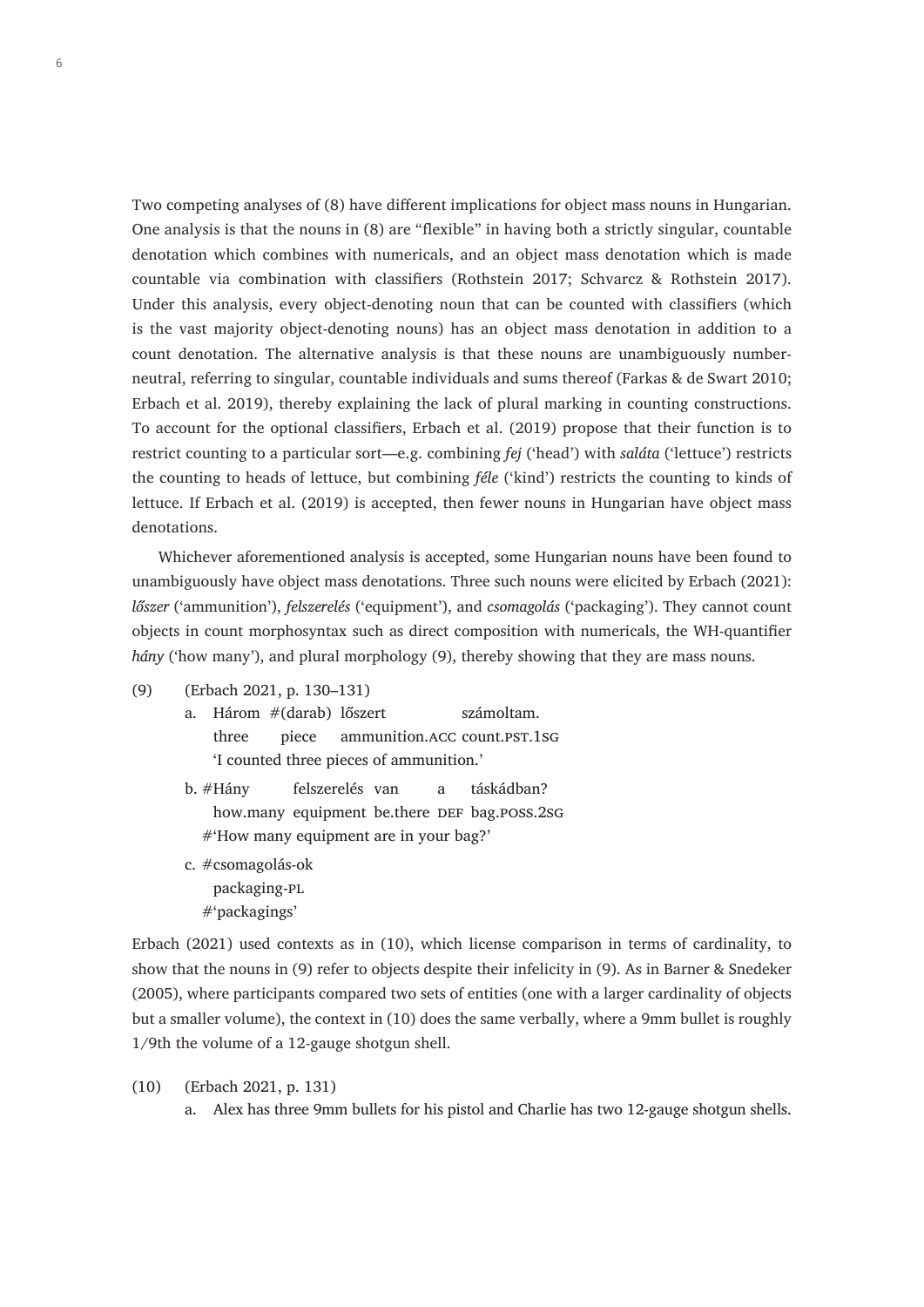Two competing analyses of (8) have different implications for object mass nouns in Hungarian. One analysis is that the nouns in (8) are "flexible" in having both a strictly singular, countable denotation which combines with numericals, and an object mass denotation which is made countable via combination with classifiers (Rothstein 2017; Schvarcz & Rothstein 2017). Under this analysis, every object-denoting noun that can be counted with classifiers (which is the vast majority object-denoting nouns) has an object mass denotation in addition to a count denotation. The alternative analysis is that these nouns are unambiguously numberneutral, referring to singular, countable individuals and sums thereof (Farkas & de Swart 2010; Erbach et al. 2019), thereby explaining the lack of plural marking in counting constructions. To account for the optional classifiers, Erbach et al. (2019) propose that their function is to restrict counting to a particular sort—e.g. combining *fej* ('head') with *saláta* ('lettuce') restricts the counting to heads of lettuce, but combining *féle* ('kind') restricts the counting to kinds of lettuce. If Erbach et al. (2019) is accepted, then fewer nouns in Hungarian have object mass denotations.

Whichever aforementioned analysis is accepted, some Hungarian nouns have been found to unambiguously have object mass denotations. Three such nouns were elicited by Erbach (2021): *lőszer* ('ammunition'), *felszerelés* ('equipment'), and *csomagolás* ('packaging'). They cannot count objects in count morphosyntax such as direct composition with numericals, the WH-quantifier *hány* ('how many'), and plural morphology (9), thereby showing that they are mass nouns.

- (9) (Erbach 2021, p. 130–131)
	- a. Három #(darab) lőszert számoltam. three piece ammunition. ACC count. PST. 1SG 'I counted three pieces of ammunition.'
	- b. #Hány felszerelés van a táskádban? how.many equipment be.there DEF bag.poss.2sG #'How many equipment are in your bag?'
	- c. #csomagolás-ok packaging-pl #'packagings'

Erbach (2021) used contexts as in (10), which license comparison in terms of cardinality, to show that the nouns in (9) refer to objects despite their infelicity in (9). As in Barner & Snedeker (2005), where participants compared two sets of entities (one with a larger cardinality of objects but a smaller volume), the context in (10) does the same verbally, where a 9mm bullet is roughly 1/9th the volume of a 12-gauge shotgun shell.

(10) (Erbach 2021, p. 131)

a. Alex has three 9mm bullets for his pistol and Charlie has two 12-gauge shotgun shells.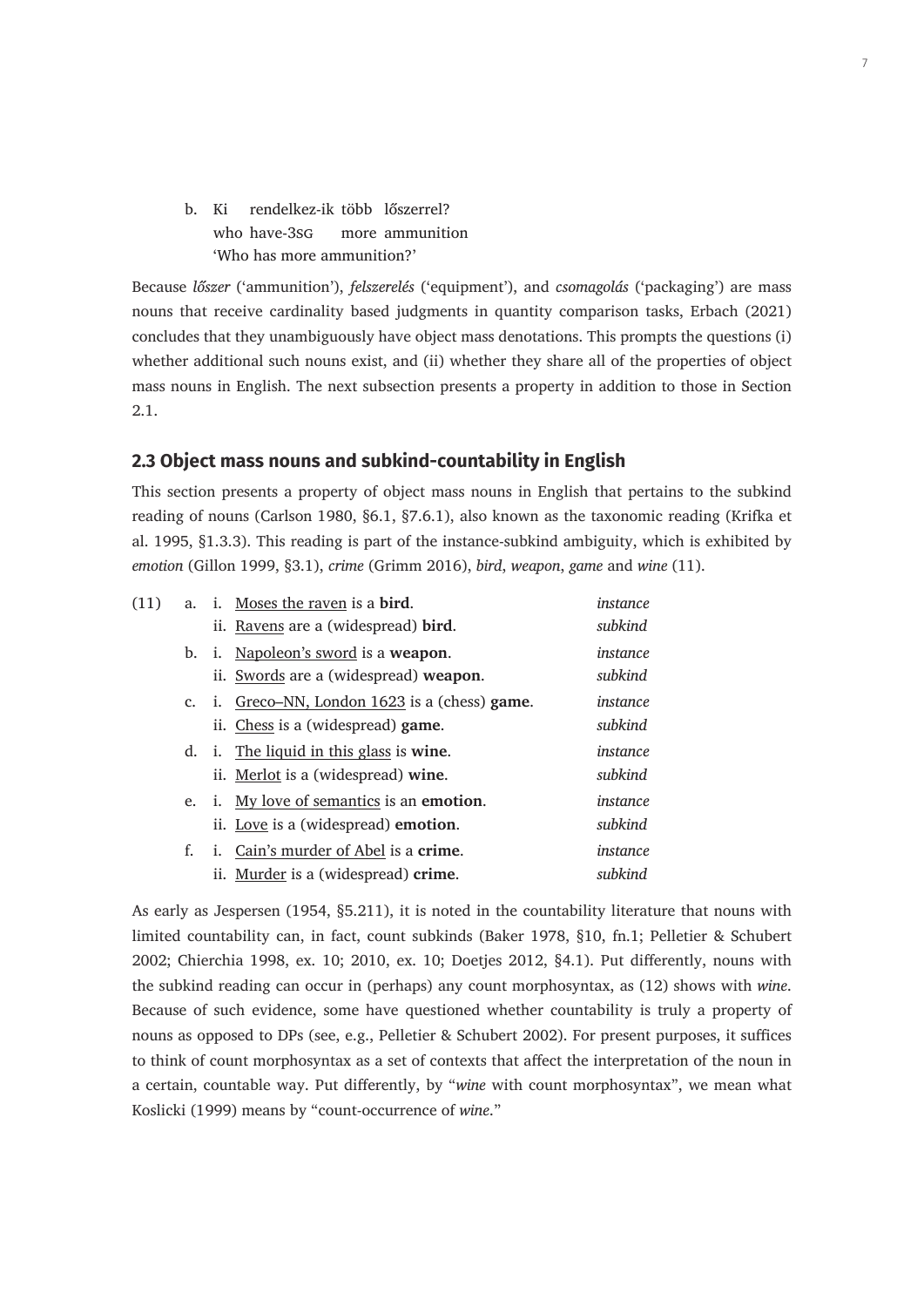b. Ki rendelkez-ik több lőszerrel? who have-3s<sub>G</sub> more ammunition 'Who has more ammunition?'

Because *lőszer* ('ammunition'), *felszerelés* ('equipment'), and *csomagolás* ('packaging') are mass nouns that receive cardinality based judgments in quantity comparison tasks, Erbach (2021) concludes that they unambiguously have object mass denotations. This prompts the questions (i) whether additional such nouns exist, and (ii) whether they share all of the properties of object mass nouns in English. The next subsection presents a property in addition to those in Section 2.1.

#### **2.3 Object mass nouns and subkind-countability in English**

This section presents a property of object mass nouns in English that pertains to the subkind reading of nouns (Carlson 1980, §6.1, §7.6.1), also known as the taxonomic reading (Krifka et al. 1995, §1.3.3). This reading is part of the instance-subkind ambiguity, which is exhibited by *emotion* (Gillon 1999, §3.1), *crime* (Grimm 2016), *bird*, *weapon*, *game* and *wine* (11).

| (11) |             | a. i. Moses the raven is a bird.               | instance |
|------|-------------|------------------------------------------------|----------|
|      |             | ii. Ravens are a (widespread) bird.            | subkind  |
|      |             | b. i. Napoleon's sword is a weapon.            | instance |
|      |             | ii. Swords are a (widespread) weapon.          | subkind  |
|      | $c_{\cdot}$ | i. Greco–NN, London 1623 is a (chess) game.    | instance |
|      |             | ii. Chess is a (widespread) game.              | subkind  |
|      |             | d. i. The liquid in this glass is wine.        | instance |
|      |             | ii. Merlot is a (widespread) wine.             | subkind  |
|      | e.          | i. My love of semantics is an <b>emotion</b> . | instance |
|      |             | ii. Love is a (widespread) emotion.            | subkind  |
|      | f.          | Cain's murder of Abel is a crime.<br>i.        | instance |
|      |             | ii. Murder is a (widespread) crime.            | subkind  |

As early as Jespersen (1954, §5.211), it is noted in the countability literature that nouns with limited countability can, in fact, count subkinds (Baker 1978, §10, fn.1; Pelletier & Schubert 2002; Chierchia 1998, ex. 10; 2010, ex. 10; Doetjes 2012, §4.1). Put differently, nouns with the subkind reading can occur in (perhaps) any count morphosyntax, as (12) shows with *wine*. Because of such evidence, some have questioned whether countability is truly a property of nouns as opposed to DPs (see, e.g., Pelletier & Schubert 2002). For present purposes, it suffices to think of count morphosyntax as a set of contexts that affect the interpretation of the noun in a certain, countable way. Put differently, by "*wine* with count morphosyntax", we mean what Koslicki (1999) means by "count-occurrence of *wine*."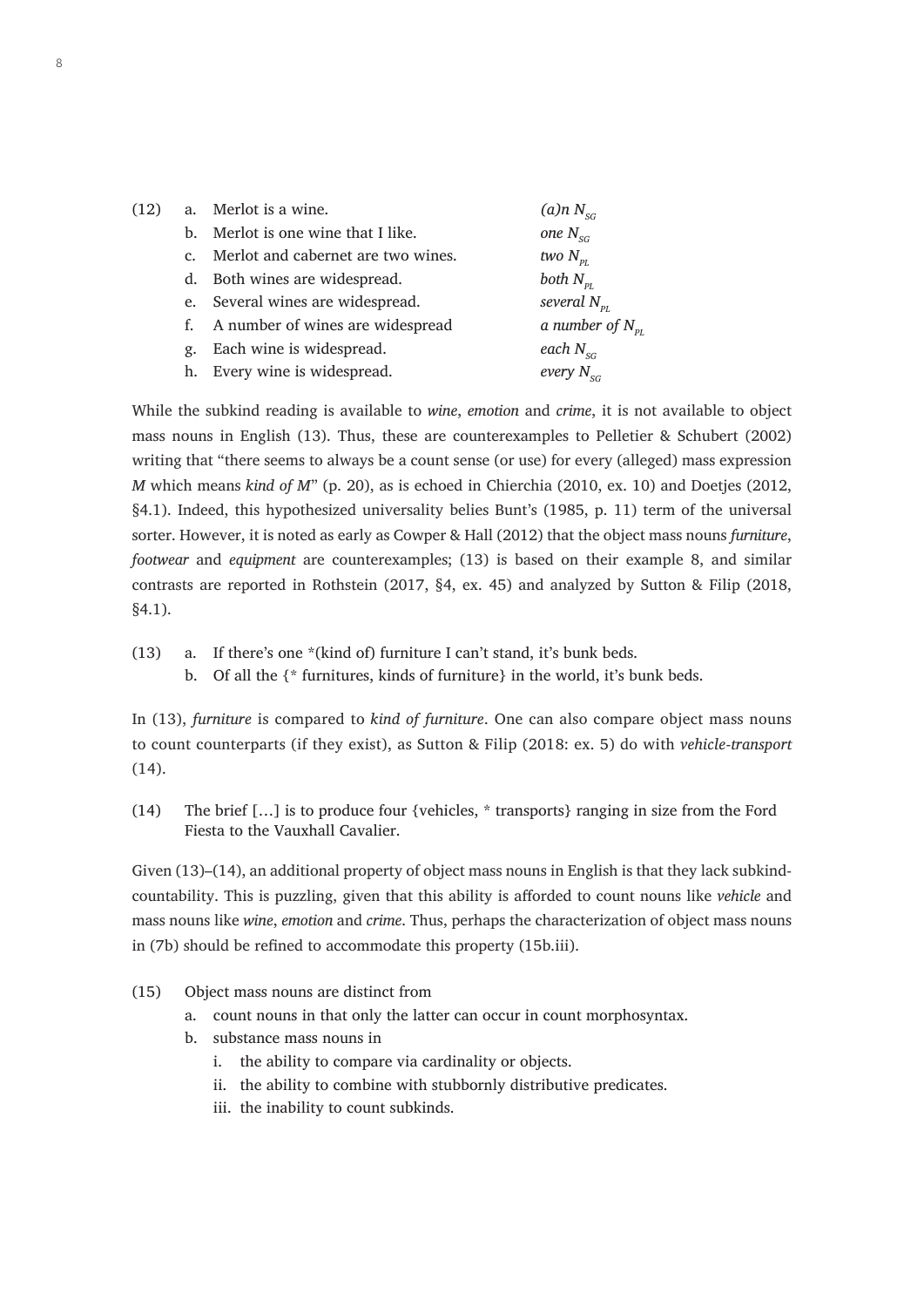| (12) |             | a. Merlot is a wine.                | $(a)$ n N <sub>sc</sub> |
|------|-------------|-------------------------------------|-------------------------|
|      |             | b. Merlot is one wine that I like.  | one $N_{SG}$            |
|      | $c_{\cdot}$ | Merlot and cabernet are two wines.  | two $N_{\rm pr}$        |
|      |             | d. Both wines are widespread.       | both $N_{\rm pI}$       |
|      |             | e. Several wines are widespread.    | several $N_{\rm pr}$    |
|      |             | f. A number of wines are widespread | a number of $N_{p}$     |
|      | g.          | Each wine is widespread.            | each $N_{SG}$           |
|      |             | h. Every wine is widespread.        | every $N_{sc}$          |
|      |             |                                     |                         |

While the subkind reading is available to *wine*, *emotion* and *crime*, it is not available to object mass nouns in English (13). Thus, these are counterexamples to Pelletier & Schubert (2002) writing that "there seems to always be a count sense (or use) for every (alleged) mass expression *M* which means *kind of M*" (p. 20), as is echoed in Chierchia (2010, ex. 10) and Doetjes (2012, §4.1). Indeed, this hypothesized universality belies Bunt's (1985, p. 11) term of the universal sorter. However, it is noted as early as Cowper & Hall (2012) that the object mass nouns *furniture*, *footwear* and *equipment* are counterexamples; (13) is based on their example 8, and similar contrasts are reported in Rothstein (2017, §4, ex. 45) and analyzed by Sutton & Filip (2018, §4.1).

(13) a. If there's one \*(kind of) furniture I can't stand, it's bunk beds. b. Of all the {\* furnitures, kinds of furniture} in the world, it's bunk beds.

In (13), *furniture* is compared to *kind of furniture*. One can also compare object mass nouns to count counterparts (if they exist), as Sutton & Filip (2018: ex. 5) do with *vehicle*-*transport* (14).

(14) The brief […] is to produce four {vehicles, \* transports} ranging in size from the Ford Fiesta to the Vauxhall Cavalier.

Given (13)–(14), an additional property of object mass nouns in English is that they lack subkindcountability. This is puzzling, given that this ability is afforded to count nouns like *vehicle* and mass nouns like *wine*, *emotion* and *crime*. Thus, perhaps the characterization of object mass nouns in (7b) should be refined to accommodate this property (15b.iii).

- (15) Object mass nouns are distinct from
	- a. count nouns in that only the latter can occur in count morphosyntax.
	- b. substance mass nouns in
		- i. the ability to compare via cardinality or objects.
		- ii. the ability to combine with stubbornly distributive predicates.
		- iii. the inability to count subkinds.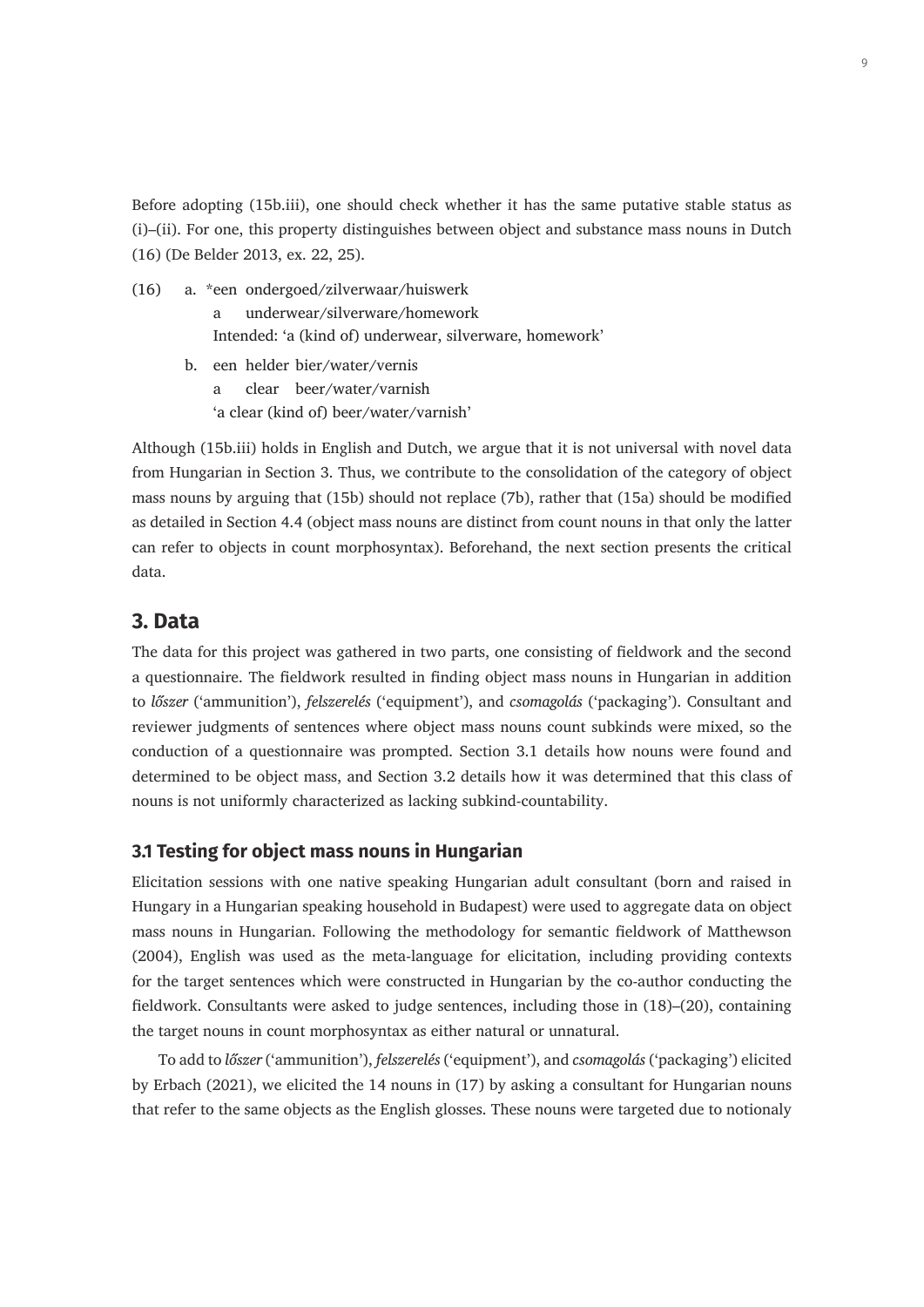Before adopting (15b.iii), one should check whether it has the same putative stable status as (i)–(ii). For one, this property distinguishes between object and substance mass nouns in Dutch (16) (De Belder 2013, ex. 22, 25).

- (16) a. \*een ondergoed/zilverwaar/huiswerk a underwear/silverware/homework Intended: 'a (kind of) underwear, silverware, homework'
	- b. een helder bier/water/vernis a clear beer/water/varnish
		- 'a clear (kind of) beer/water/varnish'

Although (15b.iii) holds in English and Dutch, we argue that it is not universal with novel data from Hungarian in Section 3. Thus, we contribute to the consolidation of the category of object mass nouns by arguing that (15b) should not replace (7b), rather that (15a) should be modified as detailed in Section 4.4 (object mass nouns are distinct from count nouns in that only the latter can refer to objects in count morphosyntax). Beforehand, the next section presents the critical data.

## **3. Data**

The data for this project was gathered in two parts, one consisting of fieldwork and the second a questionnaire. The fieldwork resulted in finding object mass nouns in Hungarian in addition to *lőszer* ('ammunition'), *felszerelés* ('equipment'), and *csomagolás* ('packaging'). Consultant and reviewer judgments of sentences where object mass nouns count subkinds were mixed, so the conduction of a questionnaire was prompted. Section 3.1 details how nouns were found and determined to be object mass, and Section 3.2 details how it was determined that this class of nouns is not uniformly characterized as lacking subkind-countability.

#### **3.1 Testing for object mass nouns in Hungarian**

Elicitation sessions with one native speaking Hungarian adult consultant (born and raised in Hungary in a Hungarian speaking household in Budapest) were used to aggregate data on object mass nouns in Hungarian. Following the methodology for semantic fieldwork of Matthewson (2004), English was used as the meta-language for elicitation, including providing contexts for the target sentences which were constructed in Hungarian by the co-author conducting the fieldwork. Consultants were asked to judge sentences, including those in (18)–(20), containing the target nouns in count morphosyntax as either natural or unnatural.

To add to *lőszer* ('ammunition'), *felszerelés* ('equipment'), and *csomagolás* ('packaging') elicited by Erbach (2021), we elicited the 14 nouns in (17) by asking a consultant for Hungarian nouns that refer to the same objects as the English glosses. These nouns were targeted due to notionaly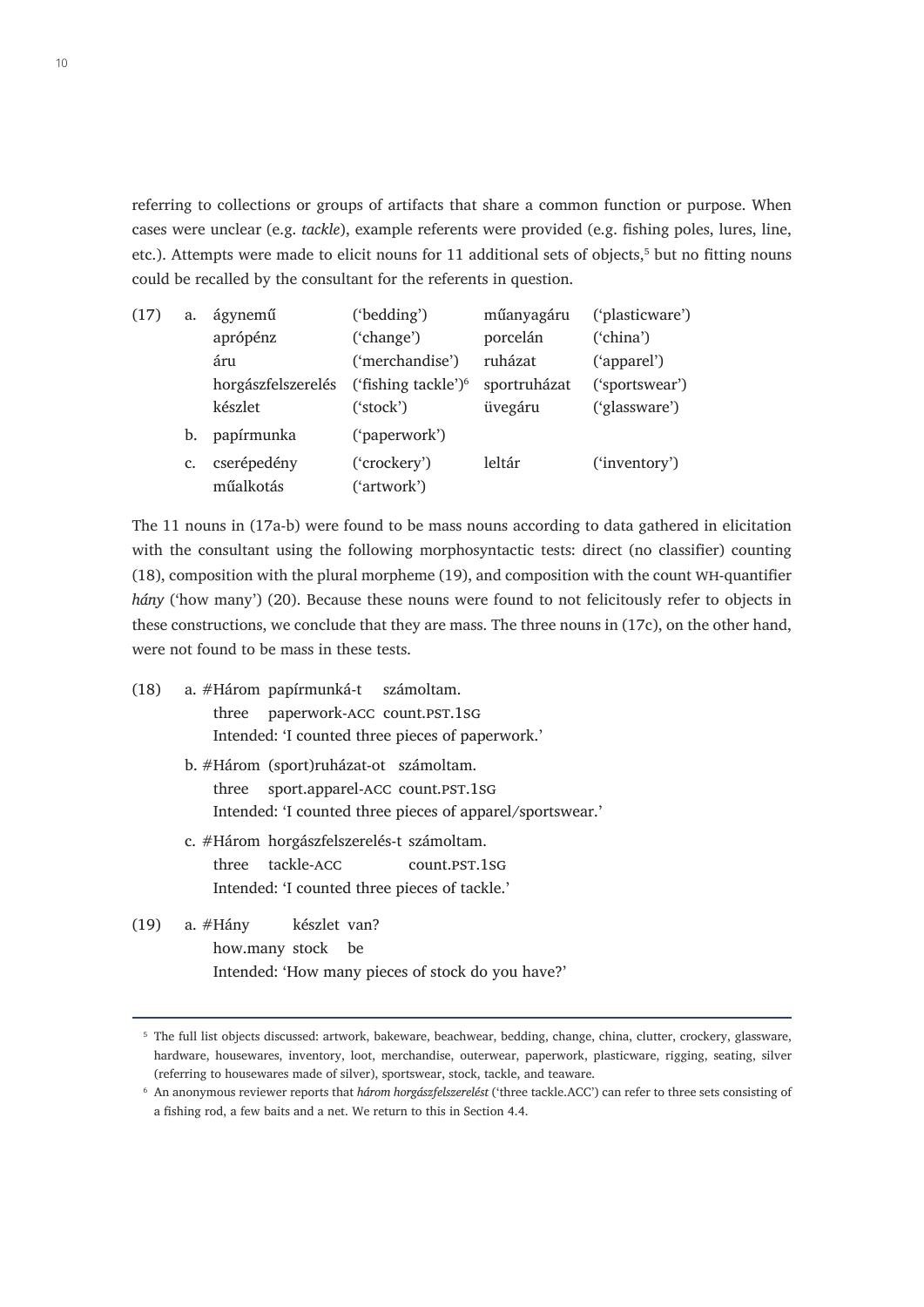referring to collections or groups of artifacts that share a common function or purpose. When cases were unclear (e.g. *tackle*), example referents were provided (e.g. fishing poles, lures, line, etc.). Attempts were made to elicit nouns for 11 additional sets of objects,<sup>5</sup> but no fitting nouns could be recalled by the consultant for the referents in question.

| (17) | a. | ágynemű            | ('bedding')            | műanyagáru   | ('plasticware') |
|------|----|--------------------|------------------------|--------------|-----------------|
|      |    | aprópénz           | ('change')             | porcelán     | ('china')       |
|      |    | áru                | ('merchandise')        | ruházat      | ('apparel')     |
|      |    | horgászfelszerelés | ('fishing tackle') $6$ | sportruházat | ('sportswear')  |
|      |    | készlet            | ('stock')              | üvegáru      | ('glassware')   |
|      | b. | papírmunka         | ('paperwork')          |              |                 |
|      | c. | cserépedény        | ('crockery')           | leltár       | ('inventory')   |
|      |    | műalkotás          | ('artwork')            |              |                 |

The 11 nouns in (17a-b) were found to be mass nouns according to data gathered in elicitation with the consultant using the following morphosyntactic tests: direct (no classifier) counting (18), composition with the plural morpheme (19), and composition with the count wh-quantifier *hány* ('how many') (20). Because these nouns were found to not felicitously refer to objects in these constructions, we conclude that they are mass. The three nouns in (17c), on the other hand, were not found to be mass in these tests.

- (18) a. #Három papírmunká-t számoltam. three paperwork-ACC count.PST.1sG Intended: 'I counted three pieces of paperwork.'
	- b. #Három (sport)ruházat-ot számoltam. three sport.apparel-ACC count.PST.1sG Intended: 'I counted three pieces of apparel/sportswear.'
	- c. #Három horgászfelszerelés-t számoltam. three tackle-ACC count.pst.1sG Intended: 'I counted three pieces of tackle.'
- (19) a. #Hány készlet van? how.many stock be Intended: 'How many pieces of stock do you have?'

<sup>5</sup> The full list objects discussed: artwork, bakeware, beachwear, bedding, change, china, clutter, crockery, glassware, hardware, housewares, inventory, loot, merchandise, outerwear, paperwork, plasticware, rigging, seating, silver (referring to housewares made of silver), sportswear, stock, tackle, and teaware.

<sup>6</sup> An anonymous reviewer reports that *három horgászfelszerelést* ('three tackle.ACC') can refer to three sets consisting of a fishing rod, a few baits and a net. We return to this in Section 4.4.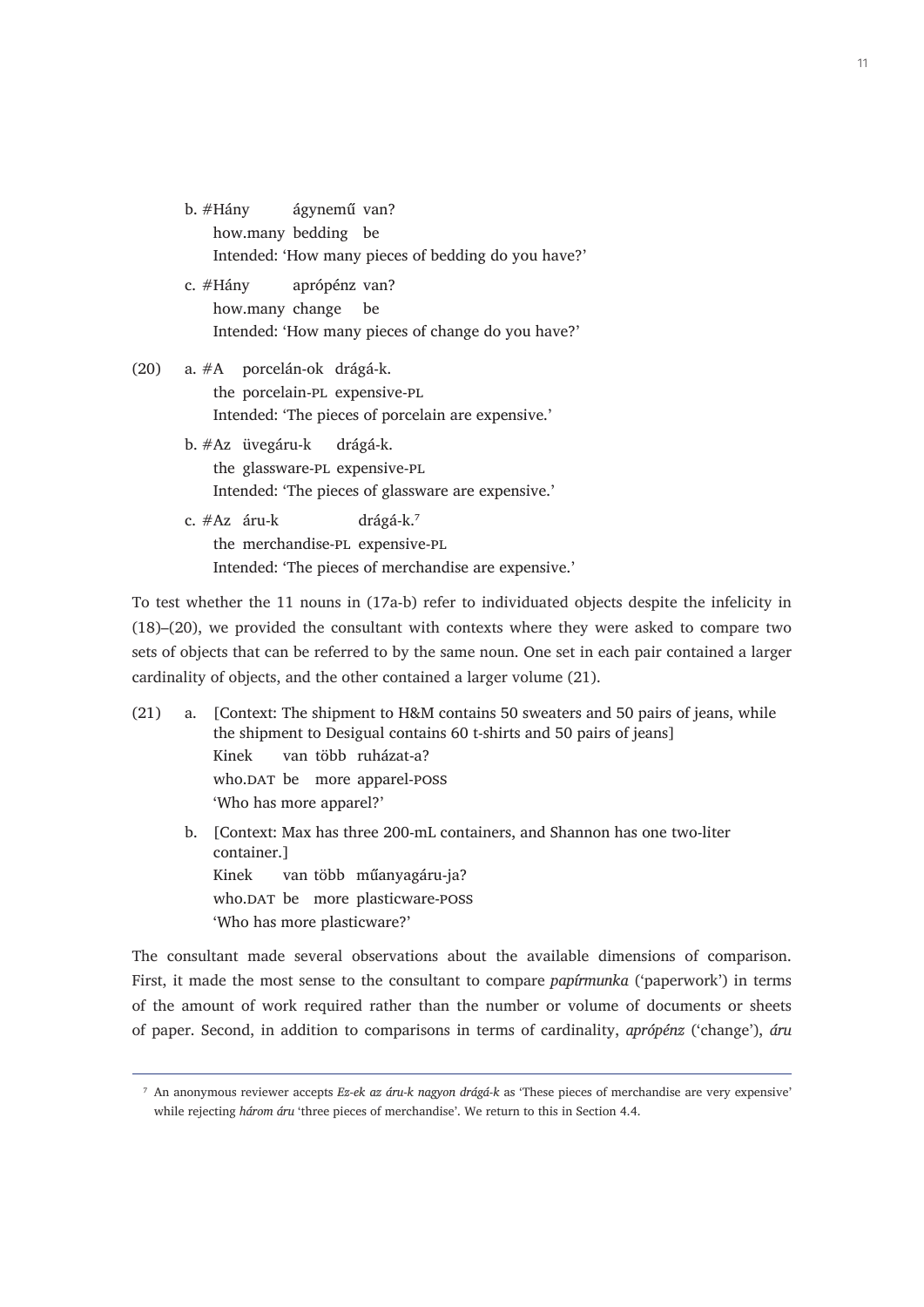- b. #Hány ágynemű van? how.many bedding be Intended: 'How many pieces of bedding do you have?' c. #Hány aprópénz van?
	- how.many change be Intended: 'How many pieces of change do you have?'
- (20) a. #A porcelán-ok drágá-k. the porcelain-pl expensive-pl Intended: 'The pieces of porcelain are expensive.'
	- b. #Az üvegáru-k drágá-k. the glassware-pl expensive-pl Intended: 'The pieces of glassware are expensive.'
	- c.  $#Az$  áru-k drágá-k.<sup>7</sup> the merchandise-pl expensive-pl Intended: 'The pieces of merchandise are expensive.'

To test whether the 11 nouns in (17a-b) refer to individuated objects despite the infelicity in (18)–(20), we provided the consultant with contexts where they were asked to compare two sets of objects that can be referred to by the same noun. One set in each pair contained a larger cardinality of objects, and the other contained a larger volume (21).

- (21) a. [Context: The shipment to H&M contains 50 sweaters and 50 pairs of jeans, while the shipment to Desigual contains 60 t-shirts and 50 pairs of jeans] Kinek van több ruházat-a? who.DAT be more apparel-poss 'Who has more apparel?'
	- b. [Context: Max has three 200-mL containers, and Shannon has one two-liter container.] Kinek van több műanyagáru-ja? who.DAT be more plasticware-poss 'Who has more plasticware?'

The consultant made several observations about the available dimensions of comparison. First, it made the most sense to the consultant to compare *papírmunka* ('paperwork') in terms of the amount of work required rather than the number or volume of documents or sheets of paper. Second, in addition to comparisons in terms of cardinality, *aprópénz* ('change'), *áru*

<sup>7</sup> An anonymous reviewer accepts *Ez-ek az áru-k nagyon drágá-k* as 'These pieces of merchandise are very expensive' while rejecting *három áru* 'three pieces of merchandise'. We return to this in Section 4.4.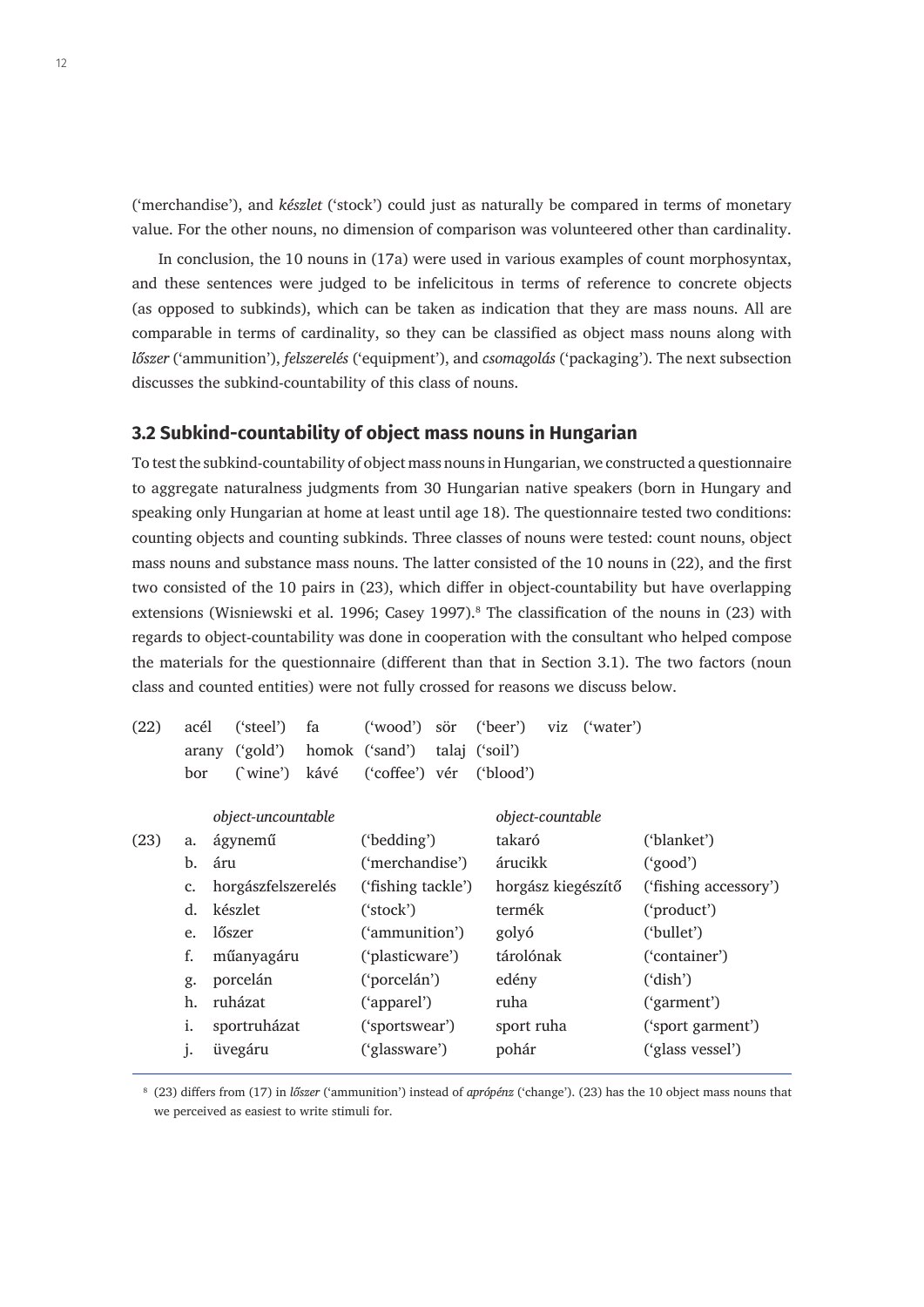('merchandise'), and *készlet* ('stock') could just as naturally be compared in terms of monetary value. For the other nouns, no dimension of comparison was volunteered other than cardinality.

In conclusion, the 10 nouns in (17a) were used in various examples of count morphosyntax, and these sentences were judged to be infelicitous in terms of reference to concrete objects (as opposed to subkinds), which can be taken as indication that they are mass nouns. All are comparable in terms of cardinality, so they can be classified as object mass nouns along with *lőszer* ('ammunition'), *felszerelés* ('equipment'), and *csomagolás* ('packaging'). The next subsection discusses the subkind-countability of this class of nouns.

#### **3.2 Subkind-countability of object mass nouns in Hungarian**

To test the subkind-countability of object mass nouns in Hungarian, we constructed a questionnaire to aggregate naturalness judgments from 30 Hungarian native speakers (born in Hungary and speaking only Hungarian at home at least until age 18). The questionnaire tested two conditions: counting objects and counting subkinds. Three classes of nouns were tested: count nouns, object mass nouns and substance mass nouns. The latter consisted of the 10 nouns in (22), and the first two consisted of the 10 pairs in (23), which differ in object-countability but have overlapping extensions (Wisniewski et al. 1996; Casey 1997).<sup>8</sup> The classification of the nouns in (23) with regards to object-countability was done in cooperation with the consultant who helped compose the materials for the questionnaire (different than that in Section 3.1). The two factors (noun class and counted entities) were not fully crossed for reasons we discuss below.

| (22) | acél  |            | ('steel')          | fa              | ("wood")           | sör            | ('beer')           | viz ('water') |                       |
|------|-------|------------|--------------------|-----------------|--------------------|----------------|--------------------|---------------|-----------------------|
|      | arany |            | ('gold')           |                 | homok ('sand')     | talaj ('soil') |                    |               |                       |
|      | bor   |            | (wine)             | kávé            | ('coffee') vér     |                | ('blood')          |               |                       |
|      |       |            | object-uncountable |                 |                    |                | object-countable   |               |                       |
| (23) | a.    |            | ágynemű            |                 | ('bedding')        |                | takaró             |               | ('blanket')           |
|      | b.    | áru        |                    |                 | ('merchandise')    |                | árucikk            |               | ('good')              |
|      | c.    |            | horgászfelszerelés |                 | ('fishing tackle') |                | horgász kiegészítő |               | ('fishing accessory') |
|      | d.    |            | készlet            |                 | ('stock')          |                | termék             |               | ('product')           |
|      | e.    |            | lőszer             |                 | ('ammunition')     |                | golyó              |               | ('bullet')            |
|      | f.    | műanyagáru |                    | ('plasticware') |                    | tárolónak      |                    | ('container') |                       |
|      | g.    |            | porcelán           |                 | ('porcelán')       |                | edény              |               | ('dish')              |
|      | h.    |            | ruházat            |                 | ('apparel')        |                | ruha               |               | ('garment')           |
|      | i.    |            | sportruházat       |                 | ('sportswear')     |                | sport ruha         |               | ('sport garment')     |
|      | j.    |            | üvegáru            |                 | ('glassware')      |                | pohár              |               | ('glass vessel')      |
|      |       |            |                    |                 |                    |                |                    |               |                       |

<sup>8</sup> (23) differs from (17) in *lőszer* ('ammunition') instead of *aprópénz* ('change'). (23) has the 10 object mass nouns that we perceived as easiest to write stimuli for.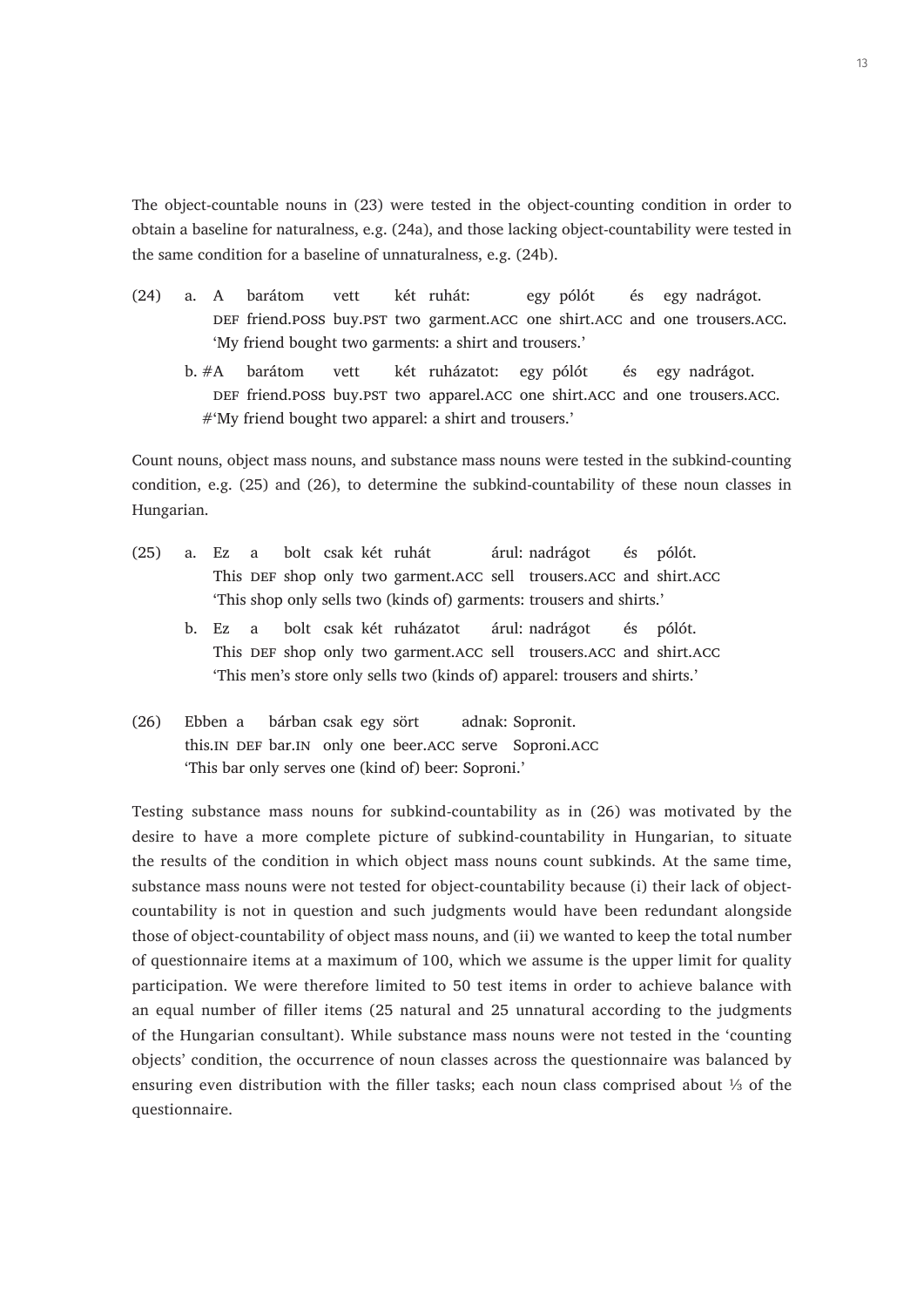The object-countable nouns in (23) were tested in the object-counting condition in order to obtain a baseline for naturalness, e.g. (24a), and those lacking object-countability were tested in the same condition for a baseline of unnaturalness, e.g. (24b).

- (24) a. A barátom vett két ruhát: egy pólót és egy nadrágot. DEF friend.poss buy.PST two garment.ACC one shirt.ACC and one trousers.ACC. 'My friend bought two garments: a shirt and trousers.'
	- b. #A barátom vett két ruházatot: egy pólót és egy nadrágot. DEF friend.POSS buy.PST two apparel.ACC one shirt.ACC and one trousers.ACC. #'My friend bought two apparel: a shirt and trousers.'

Count nouns, object mass nouns, and substance mass nouns were tested in the subkind-counting condition, e.g. (25) and (26), to determine the subkind-countability of these noun classes in Hungarian.

- (25) a. Ez a bolt csak két ruhát árul: nadrágot és pólót. This DEF shop only two garment.ACC sell trousers.ACC and shirt.ACC 'This shop only sells two (kinds of) garments: trousers and shirts.'
	- b. Ez a bolt csak két ruházatot árul: nadrágot és pólót. This DEF shop only two garment.ACC sell trousers.ACC and shirt.ACC 'This men's store only sells two (kinds of) apparel: trousers and shirts.'
- (26) Ebben a bárban csak egy sört adnak: Sopronit. this.IN DEF bar.IN only one beer.ACC serve Soproni.ACC 'This bar only serves one (kind of) beer: Soproni.'

Testing substance mass nouns for subkind-countability as in (26) was motivated by the desire to have a more complete picture of subkind-countability in Hungarian, to situate the results of the condition in which object mass nouns count subkinds. At the same time, substance mass nouns were not tested for object-countability because (i) their lack of objectcountability is not in question and such judgments would have been redundant alongside those of object-countability of object mass nouns, and (ii) we wanted to keep the total number of questionnaire items at a maximum of 100, which we assume is the upper limit for quality participation. We were therefore limited to 50 test items in order to achieve balance with an equal number of filler items (25 natural and 25 unnatural according to the judgments of the Hungarian consultant). While substance mass nouns were not tested in the 'counting objects' condition, the occurrence of noun classes across the questionnaire was balanced by ensuring even distribution with the filler tasks; each noun class comprised about ⅓ of the questionnaire.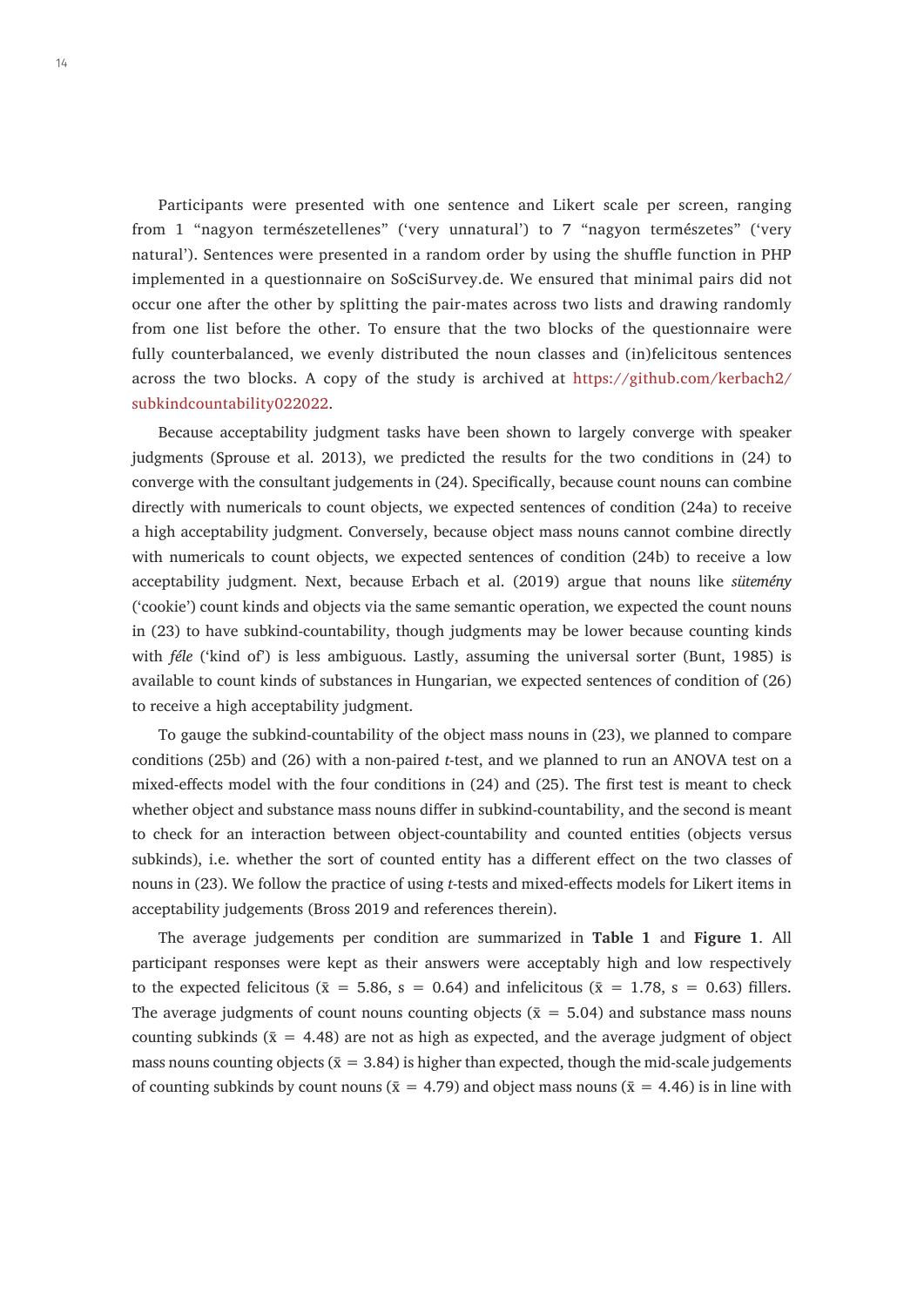Participants were presented with one sentence and Likert scale per screen, ranging from 1 "nagyon természetellenes" ('very unnatural') to 7 "nagyon természetes" ('very natural'). Sentences were presented in a random order by using the shuffle function in PHP implemented in a questionnaire on SoSciSurvey.de. We ensured that minimal pairs did not occur one after the other by splitting the pair-mates across two lists and drawing randomly from one list before the other. To ensure that the two blocks of the questionnaire were fully counterbalanced, we evenly distributed the noun classes and (in)felicitous sentences across the two blocks. A copy of the study is archived at [https://github.com/kerbach2/](https://github.com/kerbach2/subkindcountability022022) [subkindcountability022022.](https://github.com/kerbach2/subkindcountability022022)

Because acceptability judgment tasks have been shown to largely converge with speaker judgments (Sprouse et al. 2013), we predicted the results for the two conditions in (24) to converge with the consultant judgements in (24). Specifically, because count nouns can combine directly with numericals to count objects, we expected sentences of condition (24a) to receive a high acceptability judgment. Conversely, because object mass nouns cannot combine directly with numericals to count objects, we expected sentences of condition (24b) to receive a low acceptability judgment. Next, because Erbach et al. (2019) argue that nouns like *sütemény* ('cookie') count kinds and objects via the same semantic operation, we expected the count nouns in (23) to have subkind-countability, though judgments may be lower because counting kinds with *féle* ('kind of') is less ambiguous. Lastly, assuming the universal sorter (Bunt, 1985) is available to count kinds of substances in Hungarian, we expected sentences of condition of (26) to receive a high acceptability judgment.

To gauge the subkind-countability of the object mass nouns in (23), we planned to compare conditions (25b) and (26) with a non-paired *t*-test, and we planned to run an ANOVA test on a mixed-effects model with the four conditions in (24) and (25). The first test is meant to check whether object and substance mass nouns differ in subkind-countability, and the second is meant to check for an interaction between object-countability and counted entities (objects versus subkinds), i.e. whether the sort of counted entity has a different effect on the two classes of nouns in (23). We follow the practice of using *t*-tests and mixed-effects models for Likert items in acceptability judgements (Bross 2019 and references therein).

The average judgements per condition are summarized in **Table 1** and **Figure 1**. All participant responses were kept as their answers were acceptably high and low respectively to the expected felicitous ( $\bar{x} = 5.86$ ,  $s = 0.64$ ) and infelicitous ( $\bar{x} = 1.78$ ,  $s = 0.63$ ) fillers. The average judgments of count nouns counting objects ( $\bar{x} = 5.04$ ) and substance mass nouns counting subkinds ( $\bar{x} = 4.48$ ) are not as high as expected, and the average judgment of object mass nouns counting objects ( $\bar{x} = 3.84$ ) is higher than expected, though the mid-scale judgements of counting subkinds by count nouns ( $\bar{x} = 4.79$ ) and object mass nouns ( $\bar{x} = 4.46$ ) is in line with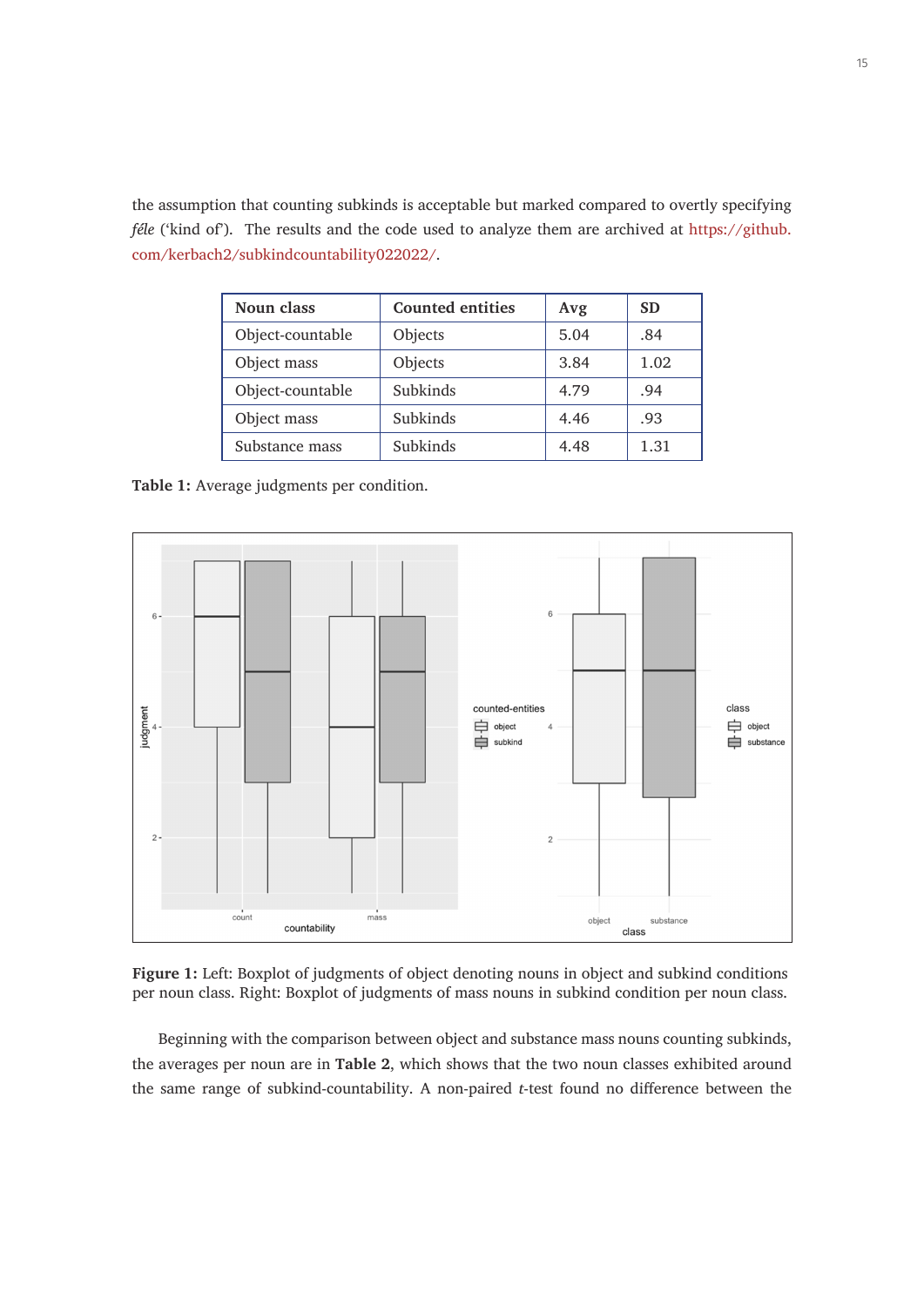the assumption that counting subkinds is acceptable but marked compared to overtly specifying *féle* ('kind of'). The results and the code used to analyze them are archived at [https://github.](https://github.com/kerbach2/subkindcountability022022/) [com/kerbach2/subkindcountability022022/](https://github.com/kerbach2/subkindcountability022022/).

| Noun class       | <b>Counted entities</b> | Avg  | <b>SD</b> |
|------------------|-------------------------|------|-----------|
| Object-countable | Objects                 | 5.04 | .84       |
| Object mass      | Objects                 | 3.84 | 1.02      |
| Object-countable | Subkinds                | 4.79 | .94       |
| Object mass      | Subkinds                | 4.46 | .93       |
| Substance mass   | Subkinds                | 4.48 | 1.31      |

**Table 1:** Average judgments per condition.



**Figure 1:** Left: Boxplot of judgments of object denoting nouns in object and subkind conditions per noun class. Right: Boxplot of judgments of mass nouns in subkind condition per noun class.

Beginning with the comparison between object and substance mass nouns counting subkinds, the averages per noun are in **Table 2**, which shows that the two noun classes exhibited around the same range of subkind-countability. A non-paired *t*-test found no difference between the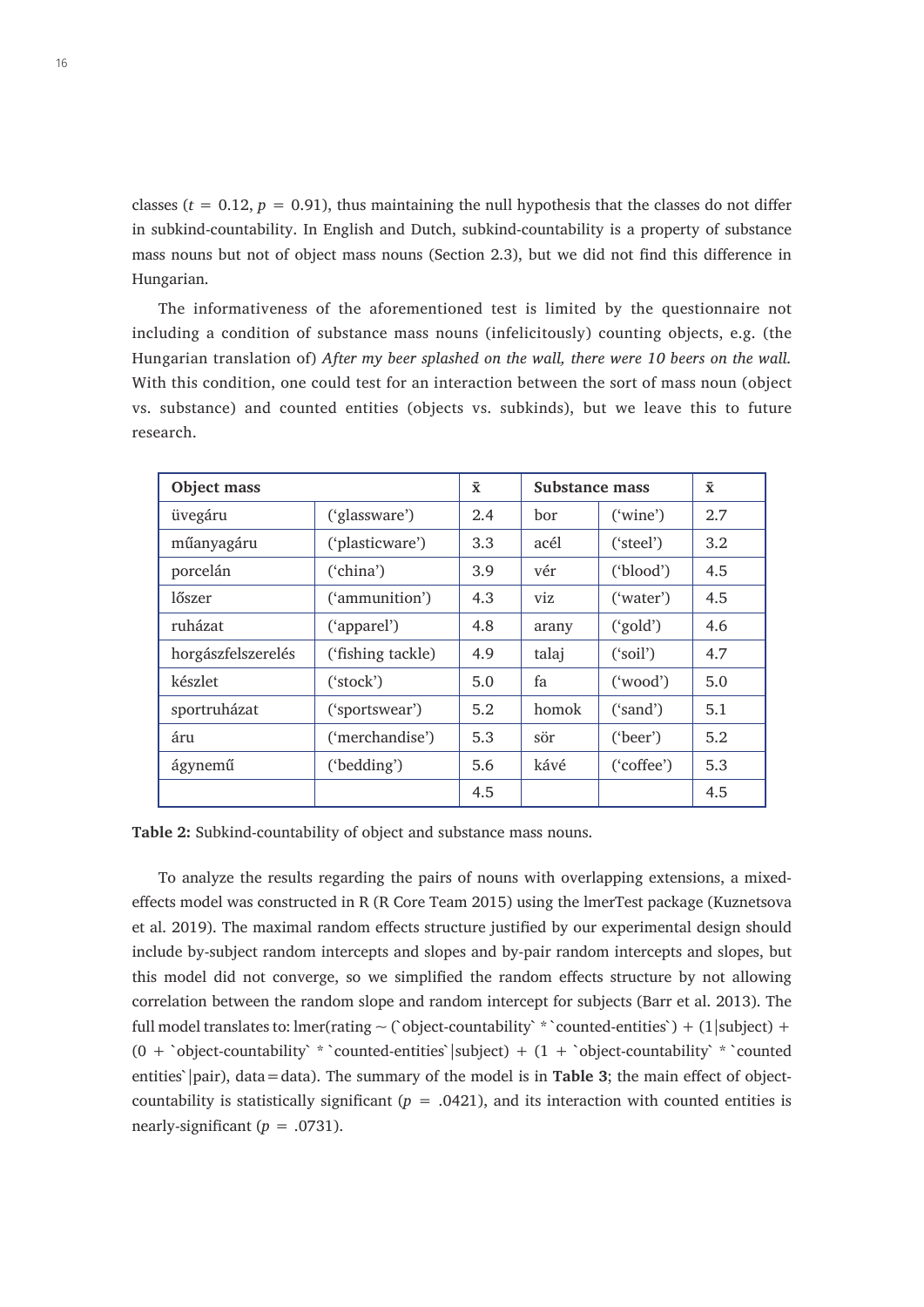classes ( $t = 0.12$ ,  $p = 0.91$ ), thus maintaining the null hypothesis that the classes do not differ in subkind-countability. In English and Dutch, subkind-countability is a property of substance mass nouns but not of object mass nouns (Section 2.3), but we did not find this difference in Hungarian.

The informativeness of the aforementioned test is limited by the questionnaire not including a condition of substance mass nouns (infelicitously) counting objects, e.g. (the Hungarian translation of) *After my beer splashed on the wall, there were 10 beers on the wall.*  With this condition, one could test for an interaction between the sort of mass noun (object vs. substance) and counted entities (objects vs. subkinds), but we leave this to future research.

| Object mass        |                   | $\bar{\mathbf{x}}$ | Substance mass |            | $\bar{\mathbf{x}}$ |
|--------------------|-------------------|--------------------|----------------|------------|--------------------|
| üvegáru            | ('glassware')     | 2.4                | bor            | ('vine')   | 2.7                |
| műanyagáru         | ('plasticware')   | 3.3                | acél           | ('steel')  | 3.2                |
| porcelán           | ('china')         | 3.9                | vér            | ('blood')  | 4.5                |
| lőszer             | ('ammunition')    | 4.3                | viz            | ("water")  | 4.5                |
| ruházat            | ('apparel')       | 4.8                | arany          | ('gold')   | 4.6                |
| horgászfelszerelés | ('fishing tackle) | 4.9                | talaj          | ('soil')   | 4.7                |
| készlet            | ('stock')         | 5.0                | fa             | ("wood")   | 5.0                |
| sportruházat       | ('sportswear')    | 5.2                | homok          | ('sand')   | 5.1                |
| áru                | ('merchandise')   | 5.3                | sör            | ('beer')   | 5.2                |
| ágynemű            | ('bedding')       | 5.6                | kávé           | ('coffee') | 5.3                |
|                    |                   | 4.5                |                |            | 4.5                |

**Table 2:** Subkind-countability of object and substance mass nouns.

To analyze the results regarding the pairs of nouns with overlapping extensions, a mixedeffects model was constructed in R (R Core Team 2015) using the lmerTest package (Kuznetsova et al. 2019). The maximal random effects structure justified by our experimental design should include by-subject random intercepts and slopes and by-pair random intercepts and slopes, but this model did not converge, so we simplified the random effects structure by not allowing correlation between the random slope and random intercept for subjects (Barr et al. 2013). The full model translates to: lmer(rating  $\sim$  (`object-countability` \* `counted-entities`) + (1|subject) +  $(0 + \text{'object-countability'} * \text{'counted-entities'}|subject) + (1 + \text{'object-countability'} * \text{'counted}$ entities' |pair), data = data). The summary of the model is in **Table 3**; the main effect of objectcountability is statistically significant  $(p = .0421)$ , and its interaction with counted entities is nearly-significant  $(p = .0731)$ .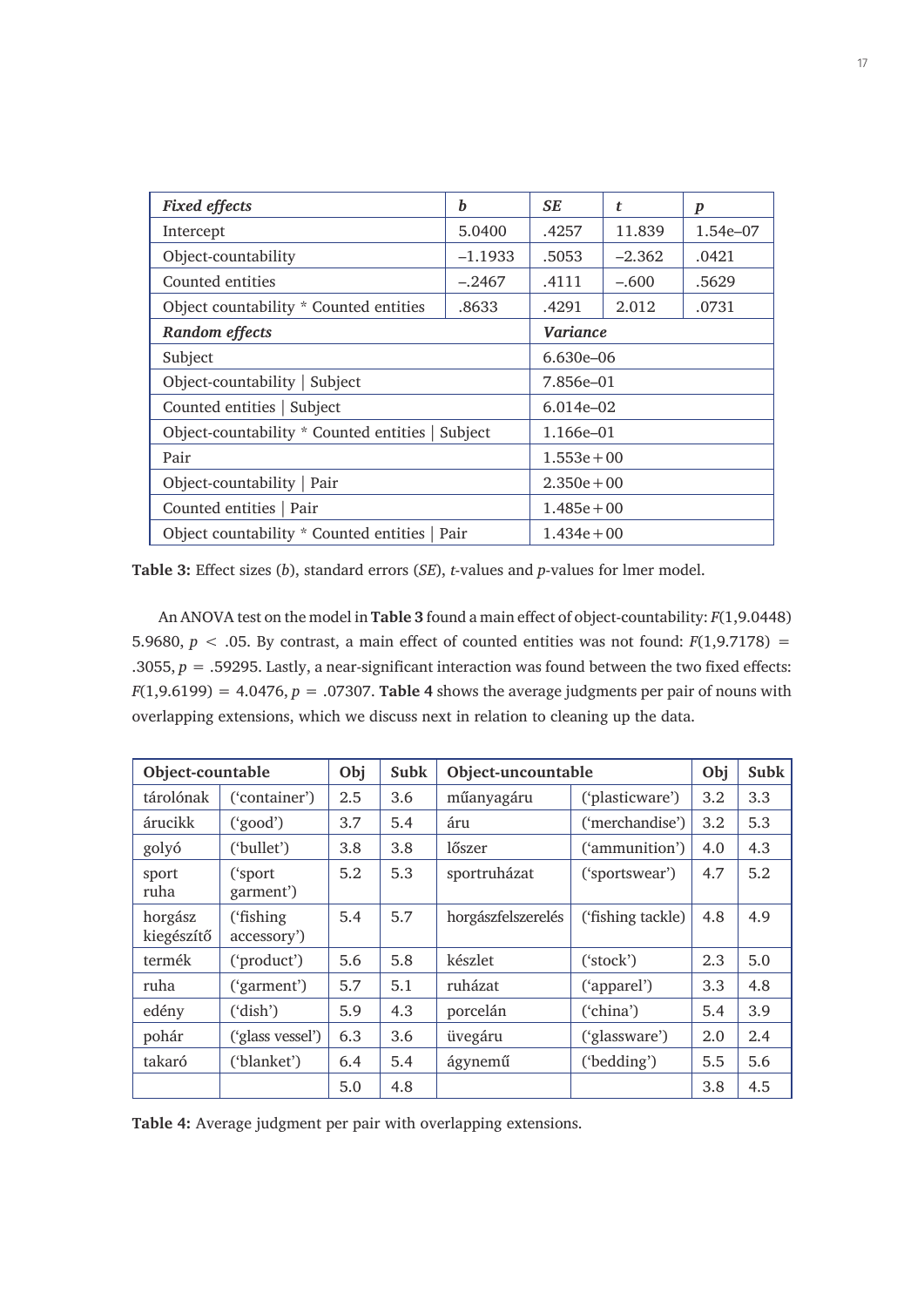| <b>Fixed effects</b>                             | h             | SE            | t        | $\boldsymbol{p}$ |  |
|--------------------------------------------------|---------------|---------------|----------|------------------|--|
| Intercept                                        | 5.0400        | .4257         | 11.839   | 1.54e-07         |  |
| Object-countability                              | $-1.1933$     | .5053         | $-2.362$ | .0421            |  |
| Counted entities                                 | $-.2467$      | .4111         | $-.600$  | .5629            |  |
| Object countability * Counted entities           | .8633         | .4291         | 2.012    | .0731            |  |
| Random effects                                   | Variance      |               |          |                  |  |
| Subject                                          | 6.630e-06     |               |          |                  |  |
| Object-countability   Subject                    |               | 7.856e-01     |          |                  |  |
| Counted entities   Subject                       |               | $6.014e - 02$ |          |                  |  |
| Object-countability * Counted entities   Subject |               | 1.166e-01     |          |                  |  |
| Pair                                             |               | $1.553e + 00$ |          |                  |  |
| Object-countability   Pair                       | $2.350e + 00$ |               |          |                  |  |
| Counted entities   Pair                          | $1.485e + 00$ |               |          |                  |  |
| Object countability * Counted entities   Pair    |               | $1.434e + 00$ |          |                  |  |

**Table 3:** Effect sizes (*b*), standard errors (*SE*), *t*-values and *p*-values for lmer model.

An ANOVA test on the model in **Table 3** found a main effect of object-countability: *F*(1,9.0448) 5.9680,  $p < .05$ . By contrast, a main effect of counted entities was not found:  $F(1,9.7178) =$ .3055,  $p = 0.59295$ . Lastly, a near-significant interaction was found between the two fixed effects:  $F(1,9.6199) = 4.0476$ ,  $p = .07307$ . **Table 4** shows the average judgments per pair of nouns with overlapping extensions, which we discuss next in relation to cleaning up the data.

| Object-countable      |                          | Obj | Subk | Object-uncountable |                     |     | Subk |
|-----------------------|--------------------------|-----|------|--------------------|---------------------|-----|------|
| tárolónak             | ('container')            | 2.5 | 3.6  | műanyagáru         | ('plasticware')     | 3.2 | 3.3  |
| árucikk               | ('good')                 | 3.7 | 5.4  | áru                | ('merchandise')     | 3.2 | 5.3  |
| golyó                 | ('bullet')               | 3.8 | 3.8  | lőszer             | ('ammunition')      | 4.0 | 4.3  |
| sport<br>ruha         | ('sport<br>garment')     | 5.2 | 5.3  | sportruházat       | ('sportswear')      | 4.7 | 5.2  |
| horgász<br>kiegészítő | ('fishing<br>accessory') | 5.4 | 5.7  | horgászfelszerelés | ('fishing tackle)   | 4.8 | 4.9  |
| termék                | ('product')              | 5.6 | 5.8  | készlet            | $({\text{stock}}')$ | 2.3 | 5.0  |
| ruha                  | ('garment')              | 5.7 | 5.1  | ruházat            | ('apparel')         | 3.3 | 4.8  |
| edény                 | ('dish')                 | 5.9 | 4.3  | porcelán           | ('china')           | 5.4 | 3.9  |
| pohár                 | ('glass vessel')         | 6.3 | 3.6  | üvegáru            | ('glassware')       | 2.0 | 2.4  |
| takaró                | ('blanket')              | 6.4 | 5.4  | ágynemű            | ('bedding')         | 5.5 | 5.6  |
|                       |                          | 5.0 | 4.8  |                    |                     | 3.8 | 4.5  |

**Table 4:** Average judgment per pair with overlapping extensions.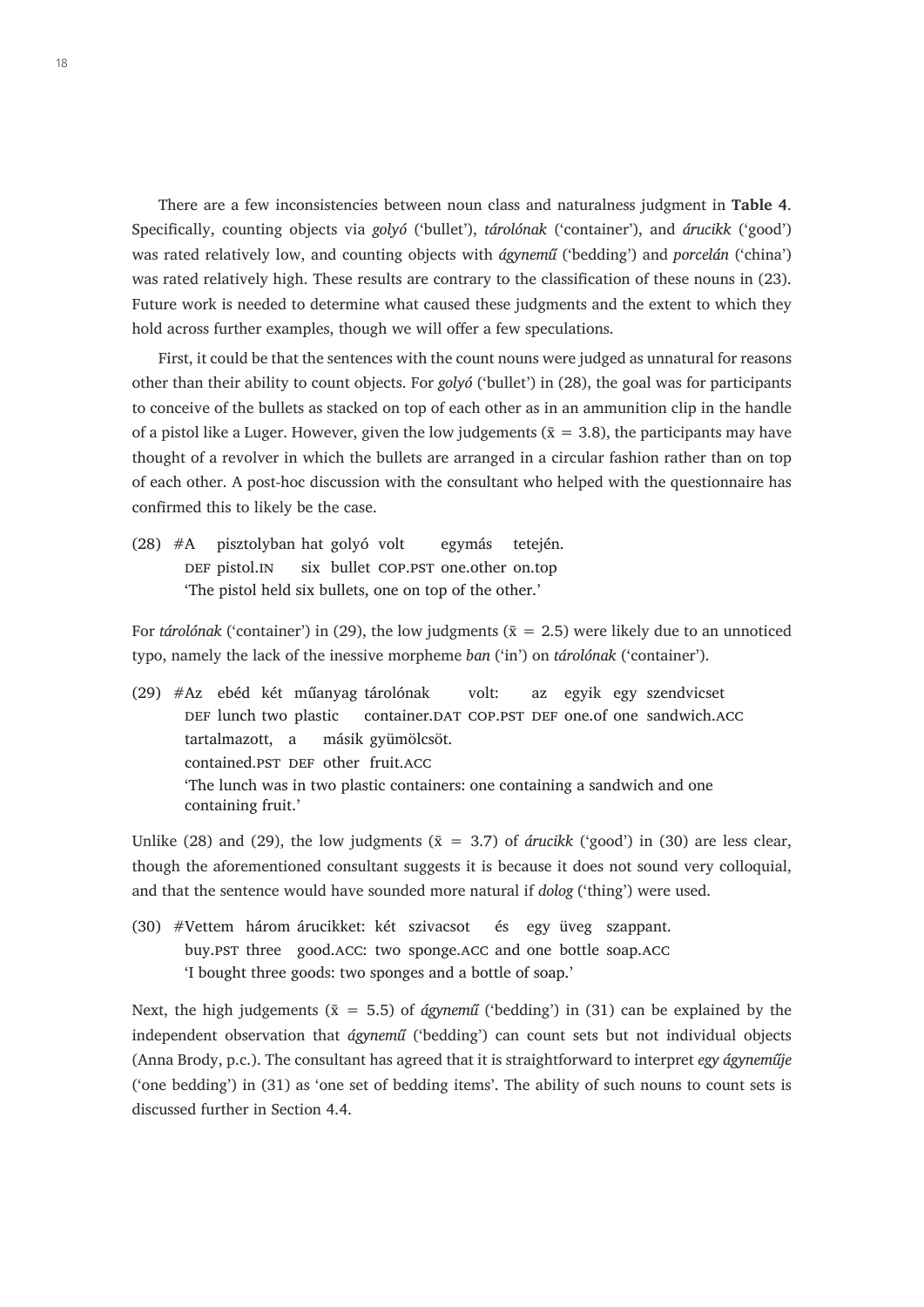There are a few inconsistencies between noun class and naturalness judgment in **Table 4**. Specifically, counting objects via *golyó* ('bullet'), *tárolónak* ('container'), and *árucikk* ('good') was rated relatively low, and counting objects with *ágynemű* ('bedding') and *porcelán* ('china') was rated relatively high. These results are contrary to the classification of these nouns in (23). Future work is needed to determine what caused these judgments and the extent to which they hold across further examples, though we will offer a few speculations.

First, it could be that the sentences with the count nouns were judged as unnatural for reasons other than their ability to count objects. For *golyó* ('bullet') in (28), the goal was for participants to conceive of the bullets as stacked on top of each other as in an ammunition clip in the handle of a pistol like a Luger. However, given the low judgements ( $\bar{x} = 3.8$ ), the participants may have thought of a revolver in which the bullets are arranged in a circular fashion rather than on top of each other. A post-hoc discussion with the consultant who helped with the questionnaire has confirmed this to likely be the case.

(28) #A pisztolyban hat golyó volt egymás tetején. DEF pistol.IN six bullet COP.PST one.other on.top 'The pistol held six bullets, one on top of the other.'

For *tárolónak* ('container') in (29), the low judgments ( $\bar{x} = 2.5$ ) were likely due to an unnoticed typo, namely the lack of the inessive morpheme *ban* ('in') on *tárolónak* ('container').

(29) #Az ebéd két műanyag tárolónak volt: az egyik egy szendvicset DEF lunch two plastic container.DAT COP.PST DEF one.of one sandwich.ACC tartalmazott, a másik gyümölcsöt. contained.pst DEF other fruit.ACC 'The lunch was in two plastic containers: one containing a sandwich and one containing fruit.'

Unlike (28) and (29), the low judgments ( $\bar{x} = 3.7$ ) of *árucikk* ('good') in (30) are less clear, though the aforementioned consultant suggests it is because it does not sound very colloquial, and that the sentence would have sounded more natural if *dolog* ('thing') were used.

(30) #Vettem három árucikket: két szivacsot és egy üveg szappant. buy.PST three good.ACC: two sponge.ACC and one bottle soap.ACC 'I bought three goods: two sponges and a bottle of soap.'

Next, the high judgements ( $\bar{x} = 5.5$ ) of *ágynemű* ('bedding') in (31) can be explained by the independent observation that *ágynemű* ('bedding') can count sets but not individual objects (Anna Brody, p.c.). The consultant has agreed that it is straightforward to interpret *egy ágyneműje* ('one bedding') in (31) as 'one set of bedding items'. The ability of such nouns to count sets is discussed further in Section 4.4.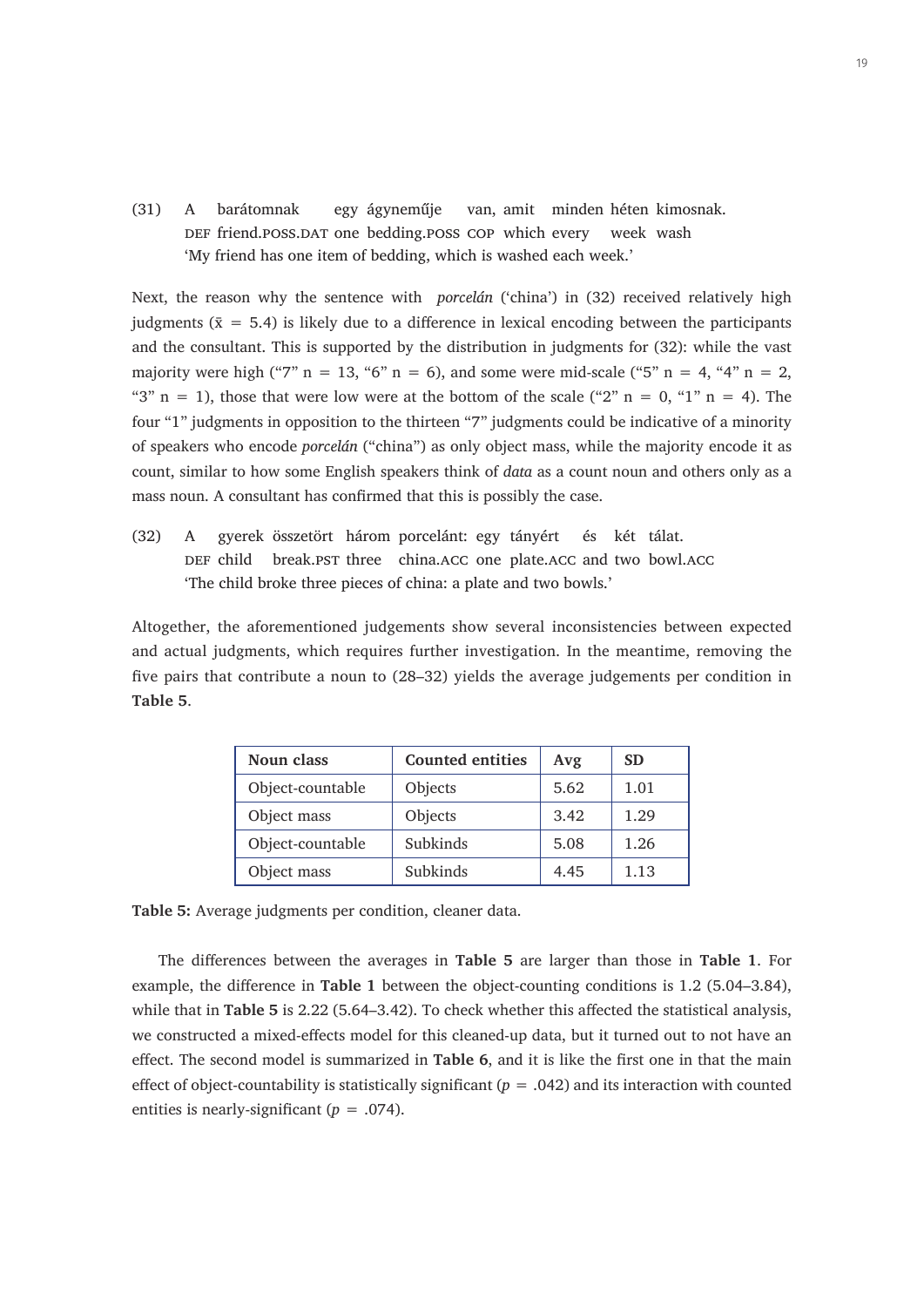(31) A barátomnak egy ágyneműje van, amit minden héten kimosnak. DEF friend.poss.DAT one bedding.poss COP which every week wash 'My friend has one item of bedding, which is washed each week.'

Next, the reason why the sentence with *porcelán* ('china') in (32) received relatively high judgments ( $\bar{x} = 5.4$ ) is likely due to a difference in lexical encoding between the participants and the consultant. This is supported by the distribution in judgments for (32): while the vast majority were high ("7"  $n = 13$ , "6"  $n = 6$ ), and some were mid-scale ("5"  $n = 4$ , "4"  $n = 2$ , "3"  $n = 1$ ), those that were low were at the bottom of the scale ("2"  $n = 0$ , "1"  $n = 4$ ). The four "1" judgments in opposition to the thirteen "7" judgments could be indicative of a minority of speakers who encode *porcelán* ("china") as only object mass, while the majority encode it as count, similar to how some English speakers think of *data* as a count noun and others only as a mass noun. A consultant has confirmed that this is possibly the case.

(32) A gyerek összetört három porcelánt: egy tányért és két tálat. DEF child break.PST three china.ACC one plate.ACC and two bowl.ACC 'The child broke three pieces of china: a plate and two bowls.'

Altogether, the aforementioned judgements show several inconsistencies between expected and actual judgments, which requires further investigation. In the meantime, removing the five pairs that contribute a noun to (28–32) yields the average judgements per condition in **Table 5**.

| Noun class       | <b>Counted entities</b> | Avg  | <b>SD</b> |
|------------------|-------------------------|------|-----------|
| Object-countable | Objects                 | 5.62 | 1.01      |
| Object mass      | Objects                 | 3.42 | 1.29      |
| Object-countable | Subkinds                | 5.08 | 1.26      |
| Object mass      | Subkinds                | 4.45 | 1.13      |

**Table 5:** Average judgments per condition, cleaner data.

The differences between the averages in **Table 5** are larger than those in **Table 1**. For example, the difference in **Table 1** between the object-counting conditions is 1.2 (5.04–3.84), while that in **Table 5** is 2.22 (5.64–3.42). To check whether this affected the statistical analysis, we constructed a mixed-effects model for this cleaned-up data, but it turned out to not have an effect. The second model is summarized in **Table 6**, and it is like the first one in that the main effect of object-countability is statistically significant (*p* = .042) and its interaction with counted entities is nearly-significant  $(p = .074)$ .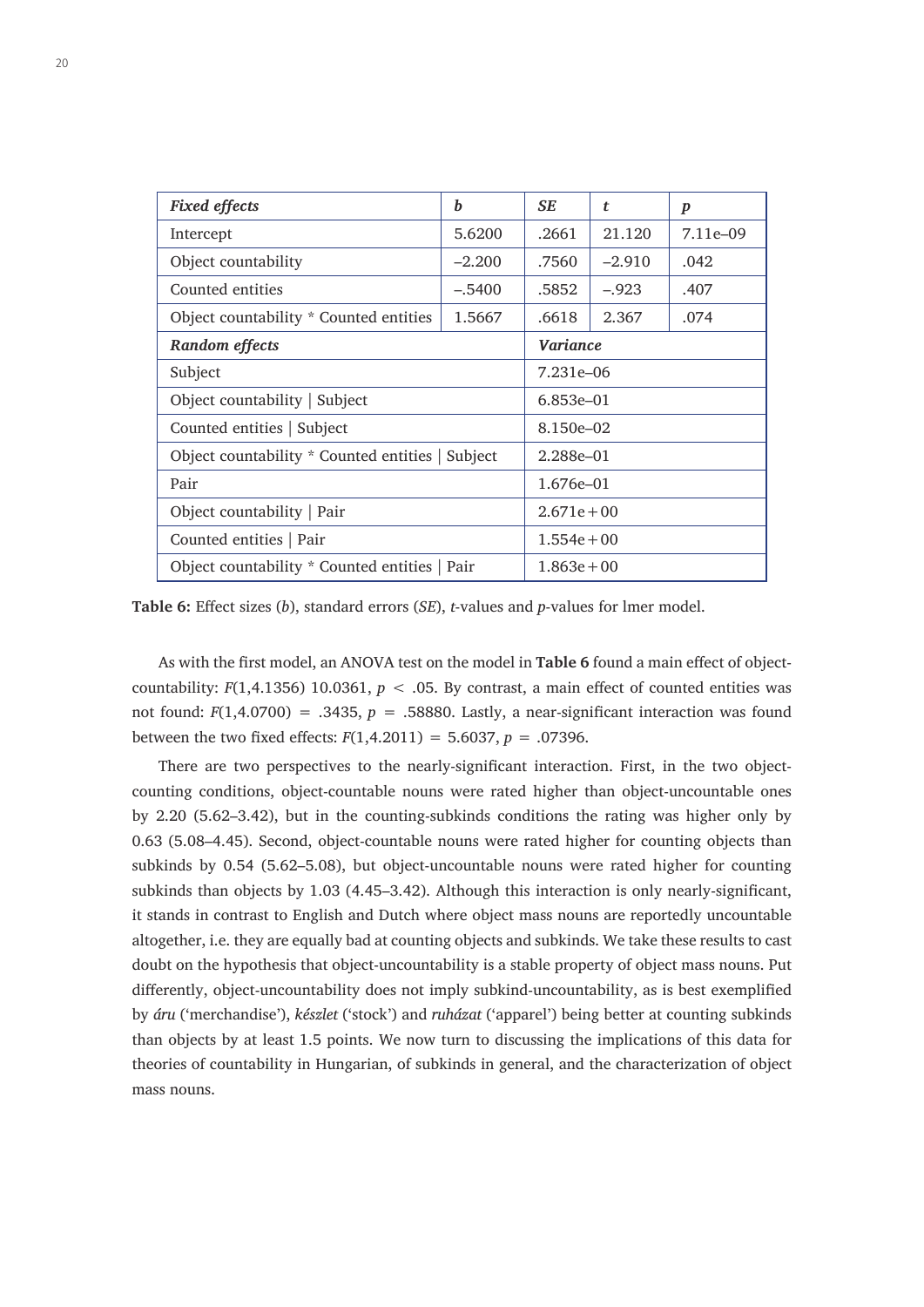| <b>Fixed effects</b>                             | b               | SE            | t        | $\boldsymbol{p}$ |  |
|--------------------------------------------------|-----------------|---------------|----------|------------------|--|
| Intercept                                        | 5.6200          | .2661         | 21.120   | 7.11e-09         |  |
| Object countability                              | $-2.200$        | .7560         | $-2.910$ | .042             |  |
| Counted entities                                 | $-.5400$        | .5852         | $-.923$  | .407             |  |
| Object countability * Counted entities           | 1.5667          | .6618         | 2.367    | .074             |  |
| Random effects                                   | <b>Variance</b> |               |          |                  |  |
| Subject                                          | 7.231e-06       |               |          |                  |  |
| Object countability   Subject                    |                 | $6.853e - 01$ |          |                  |  |
| Counted entities   Subject                       |                 | 8.150e-02     |          |                  |  |
| Object countability * Counted entities   Subject |                 | 2.288e-01     |          |                  |  |
| Pair                                             |                 | 1.676e-01     |          |                  |  |
| Object countability   Pair                       | $2.671e + 00$   |               |          |                  |  |
| Counted entities   Pair                          | $1.554e + 00$   |               |          |                  |  |
| Object countability * Counted entities   Pair    |                 | $1.863e + 00$ |          |                  |  |

**Table 6:** Effect sizes (*b*), standard errors (*SE*), *t*-values and *p*-values for lmer model.

As with the first model, an ANOVA test on the model in **Table 6** found a main effect of objectcountability:  $F(1,4.1356)$  10.0361,  $p < .05$ . By contrast, a main effect of counted entities was not found:  $F(1,4.0700) = .3435$ ,  $p = .58880$ . Lastly, a near-significant interaction was found between the two fixed effects:  $F(1,4.2011) = 5.6037, p = .07396$ .

There are two perspectives to the nearly-significant interaction. First, in the two objectcounting conditions, object-countable nouns were rated higher than object-uncountable ones by 2.20 (5.62–3.42), but in the counting-subkinds conditions the rating was higher only by 0.63 (5.08–4.45). Second, object-countable nouns were rated higher for counting objects than subkinds by 0.54 (5.62–5.08), but object-uncountable nouns were rated higher for counting subkinds than objects by 1.03 (4.45–3.42). Although this interaction is only nearly-significant, it stands in contrast to English and Dutch where object mass nouns are reportedly uncountable altogether, i.e. they are equally bad at counting objects and subkinds. We take these results to cast doubt on the hypothesis that object-uncountability is a stable property of object mass nouns. Put differently, object-uncountability does not imply subkind-uncountability, as is best exemplified by *áru* ('merchandise'), *készlet* ('stock') and *ruházat* ('apparel') being better at counting subkinds than objects by at least 1.5 points. We now turn to discussing the implications of this data for theories of countability in Hungarian, of subkinds in general, and the characterization of object mass nouns.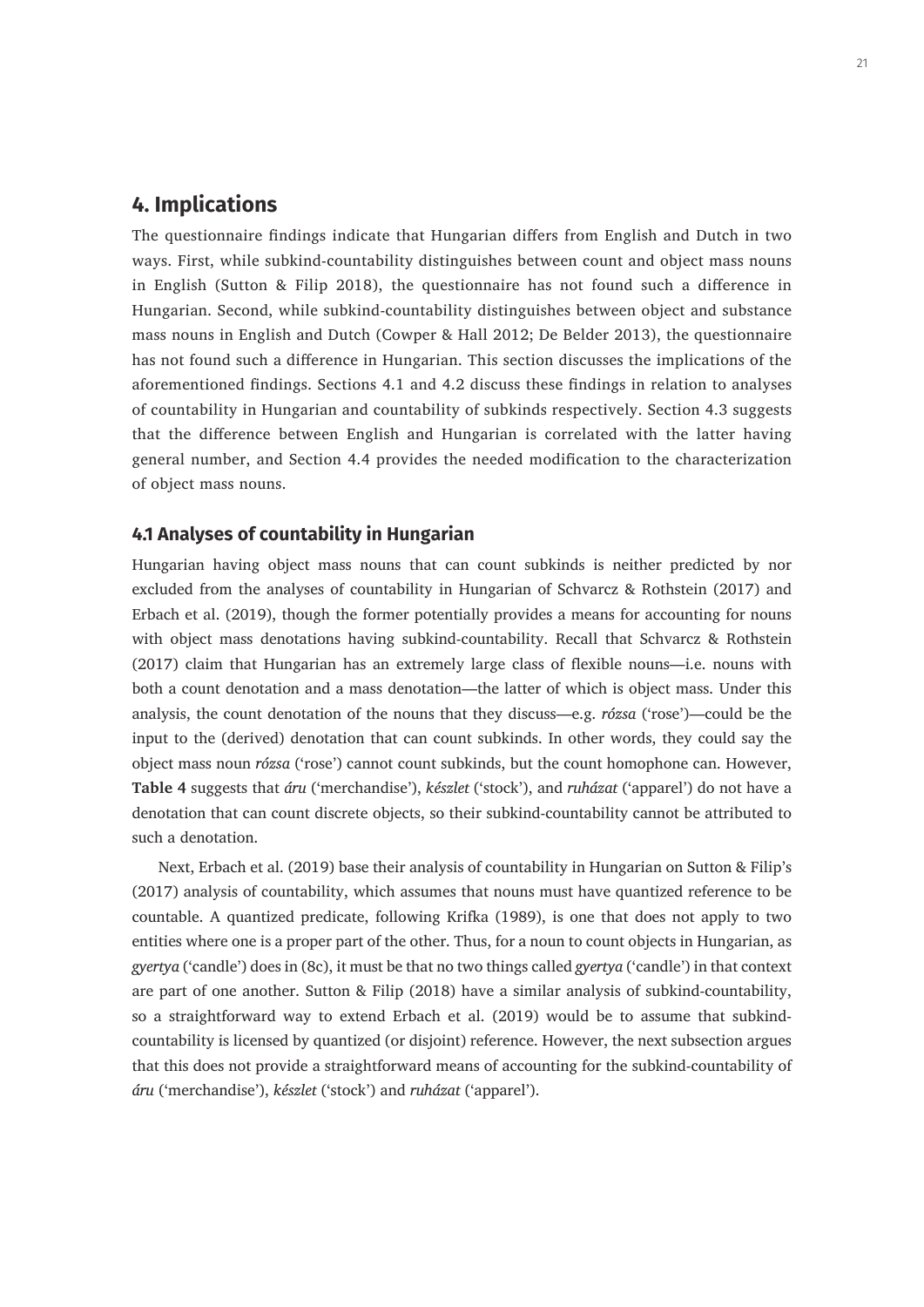# **4. Implications**

The questionnaire findings indicate that Hungarian differs from English and Dutch in two ways. First, while subkind-countability distinguishes between count and object mass nouns in English (Sutton & Filip 2018), the questionnaire has not found such a difference in Hungarian. Second, while subkind-countability distinguishes between object and substance mass nouns in English and Dutch (Cowper & Hall 2012; De Belder 2013), the questionnaire has not found such a difference in Hungarian. This section discusses the implications of the aforementioned findings. Sections 4.1 and 4.2 discuss these findings in relation to analyses of countability in Hungarian and countability of subkinds respectively. Section 4.3 suggests that the difference between English and Hungarian is correlated with the latter having general number, and Section 4.4 provides the needed modification to the characterization of object mass nouns.

#### **4.1 Analyses of countability in Hungarian**

Hungarian having object mass nouns that can count subkinds is neither predicted by nor excluded from the analyses of countability in Hungarian of Schvarcz & Rothstein (2017) and Erbach et al. (2019), though the former potentially provides a means for accounting for nouns with object mass denotations having subkind-countability. Recall that Schvarcz & Rothstein (2017) claim that Hungarian has an extremely large class of flexible nouns—i.e. nouns with both a count denotation and a mass denotation—the latter of which is object mass. Under this analysis, the count denotation of the nouns that they discuss—e.g. *rózsa* ('rose')—could be the input to the (derived) denotation that can count subkinds. In other words, they could say the object mass noun *rózsa* ('rose') cannot count subkinds, but the count homophone can. However, **Table 4** suggests that *áru* ('merchandise'), *készlet* ('stock'), and *ruházat* ('apparel') do not have a denotation that can count discrete objects, so their subkind-countability cannot be attributed to such a denotation.

Next, Erbach et al. (2019) base their analysis of countability in Hungarian on Sutton & Filip's (2017) analysis of countability, which assumes that nouns must have quantized reference to be countable. A quantized predicate, following Krifka (1989), is one that does not apply to two entities where one is a proper part of the other. Thus, for a noun to count objects in Hungarian, as *gyertya* ('candle') does in (8c), it must be that no two things called *gyertya* ('candle') in that context are part of one another. Sutton & Filip (2018) have a similar analysis of subkind-countability, so a straightforward way to extend Erbach et al. (2019) would be to assume that subkindcountability is licensed by quantized (or disjoint) reference. However, the next subsection argues that this does not provide a straightforward means of accounting for the subkind-countability of *áru* ('merchandise'), *készlet* ('stock') and *ruházat* ('apparel').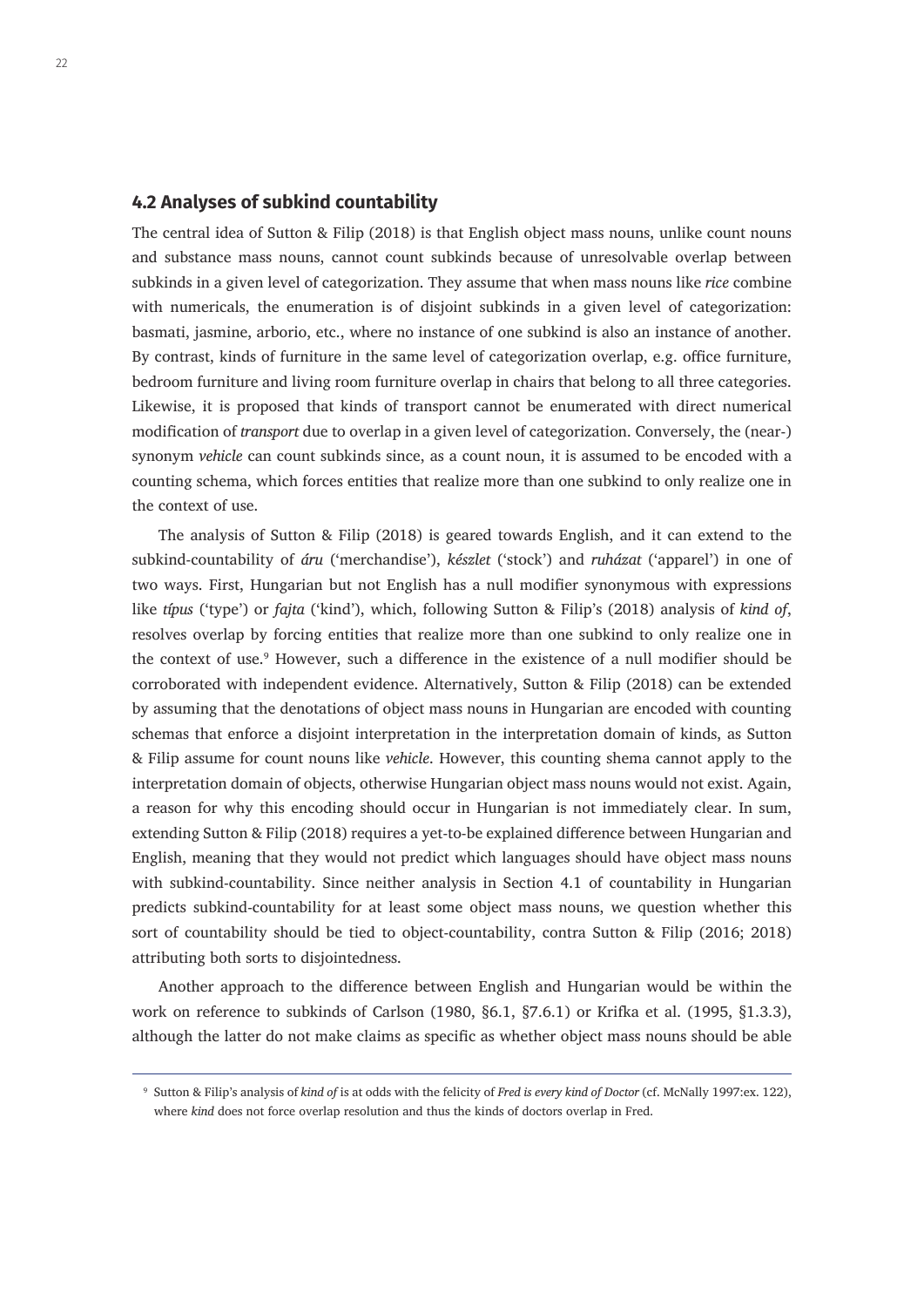#### **4.2 Analyses of subkind countability**

The central idea of Sutton & Filip (2018) is that English object mass nouns, unlike count nouns and substance mass nouns, cannot count subkinds because of unresolvable overlap between subkinds in a given level of categorization. They assume that when mass nouns like *rice* combine with numericals, the enumeration is of disjoint subkinds in a given level of categorization: basmati, jasmine, arborio, etc., where no instance of one subkind is also an instance of another. By contrast, kinds of furniture in the same level of categorization overlap, e.g. office furniture, bedroom furniture and living room furniture overlap in chairs that belong to all three categories. Likewise, it is proposed that kinds of transport cannot be enumerated with direct numerical modification of *transport* due to overlap in a given level of categorization. Conversely, the (near-) synonym *vehicle* can count subkinds since, as a count noun, it is assumed to be encoded with a counting schema, which forces entities that realize more than one subkind to only realize one in the context of use.

The analysis of Sutton & Filip (2018) is geared towards English, and it can extend to the subkind-countability of *áru* ('merchandise'), *készlet* ('stock') and *ruházat* ('apparel') in one of two ways. First, Hungarian but not English has a null modifier synonymous with expressions like *típus* ('type') or *fajta* ('kind'), which, following Sutton & Filip's (2018) analysis of *kind of*, resolves overlap by forcing entities that realize more than one subkind to only realize one in the context of use.<sup>9</sup> However, such a difference in the existence of a null modifier should be corroborated with independent evidence. Alternatively, Sutton & Filip (2018) can be extended by assuming that the denotations of object mass nouns in Hungarian are encoded with counting schemas that enforce a disjoint interpretation in the interpretation domain of kinds, as Sutton & Filip assume for count nouns like *vehicle*. However, this counting shema cannot apply to the interpretation domain of objects, otherwise Hungarian object mass nouns would not exist. Again, a reason for why this encoding should occur in Hungarian is not immediately clear. In sum, extending Sutton & Filip (2018) requires a yet-to-be explained difference between Hungarian and English, meaning that they would not predict which languages should have object mass nouns with subkind-countability. Since neither analysis in Section 4.1 of countability in Hungarian predicts subkind-countability for at least some object mass nouns, we question whether this sort of countability should be tied to object-countability, contra Sutton & Filip (2016; 2018) attributing both sorts to disjointedness.

Another approach to the difference between English and Hungarian would be within the work on reference to subkinds of Carlson (1980, §6.1, §7.6.1) or Krifka et al. (1995, §1.3.3), although the latter do not make claims as specific as whether object mass nouns should be able

<sup>9</sup> Sutton & Filip's analysis of *kind of* is at odds with the felicity of *Fred is every kind of Doctor* (cf. McNally 1997:ex. 122), where *kind* does not force overlap resolution and thus the kinds of doctors overlap in Fred.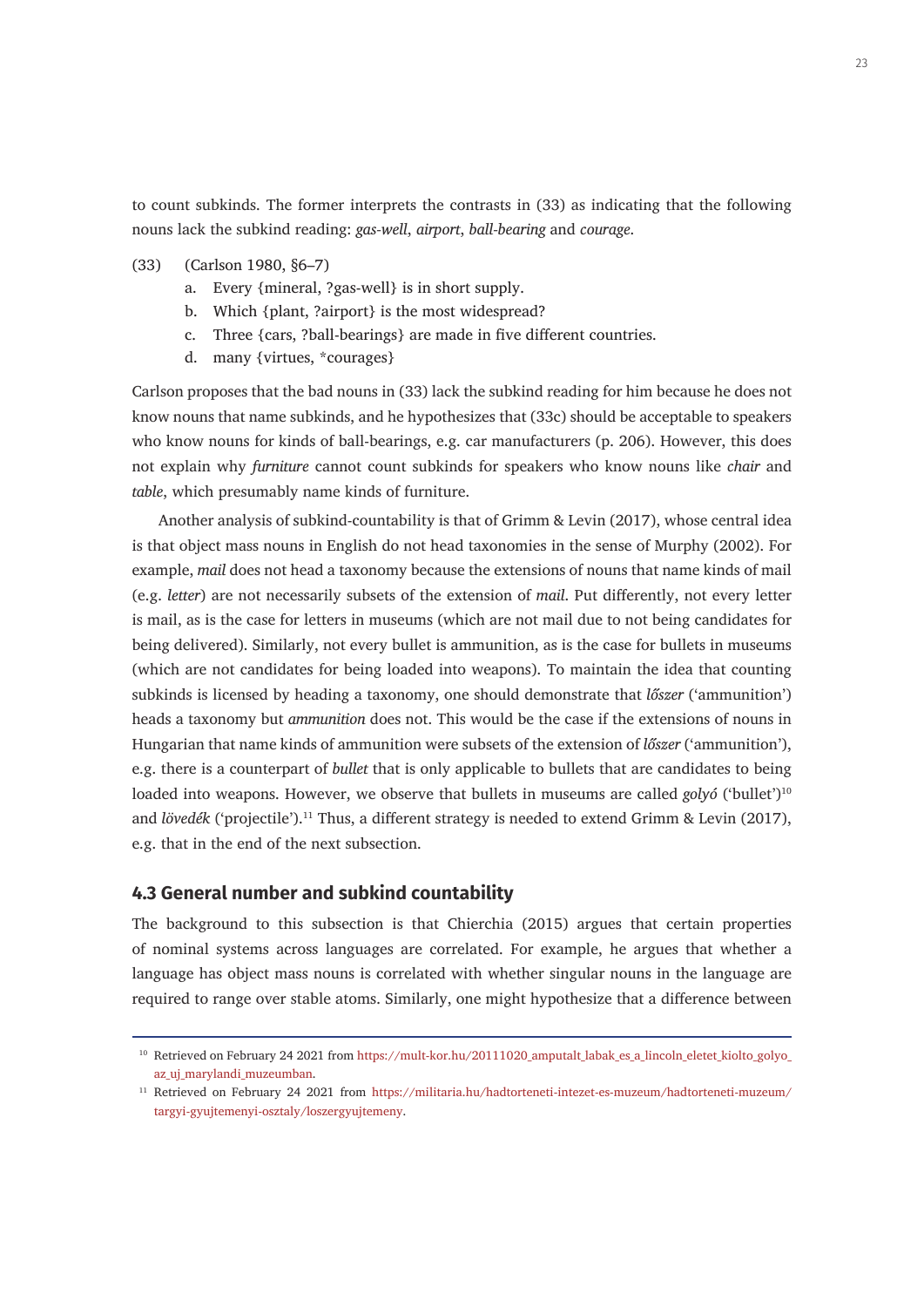to count subkinds. The former interprets the contrasts in (33) as indicating that the following nouns lack the subkind reading: *gas-well*, *airport*, *ball-bearing* and *courage*.

- (33) (Carlson 1980, §6–7)
	- a. Every {mineral, ?gas-well} is in short supply.
	- b. Which {plant, ?airport} is the most widespread?
	- c. Three {cars, ?ball-bearings} are made in five different countries.
	- d. many {virtues, \*courages}

Carlson proposes that the bad nouns in (33) lack the subkind reading for him because he does not know nouns that name subkinds, and he hypothesizes that (33c) should be acceptable to speakers who know nouns for kinds of ball-bearings, e.g. car manufacturers (p. 206). However, this does not explain why *furniture* cannot count subkinds for speakers who know nouns like *chair* and *table*, which presumably name kinds of furniture.

Another analysis of subkind-countability is that of Grimm & Levin (2017), whose central idea is that object mass nouns in English do not head taxonomies in the sense of Murphy (2002). For example, *mail* does not head a taxonomy because the extensions of nouns that name kinds of mail (e.g. *letter*) are not necessarily subsets of the extension of *mail*. Put differently, not every letter is mail, as is the case for letters in museums (which are not mail due to not being candidates for being delivered). Similarly, not every bullet is ammunition, as is the case for bullets in museums (which are not candidates for being loaded into weapons). To maintain the idea that counting subkinds is licensed by heading a taxonomy, one should demonstrate that *lőszer* ('ammunition') heads a taxonomy but *ammunition* does not. This would be the case if the extensions of nouns in Hungarian that name kinds of ammunition were subsets of the extension of *lőszer* ('ammunition'), e.g. there is a counterpart of *bullet* that is only applicable to bullets that are candidates to being loaded into weapons. However, we observe that bullets in museums are called *golyó* ('bullet')<sup>10</sup> and *lövedék* ('projectile').<sup>11</sup> Thus, a different strategy is needed to extend Grimm & Levin (2017), e.g. that in the end of the next subsection.

#### **4.3 General number and subkind countability**

The background to this subsection is that Chierchia (2015) argues that certain properties of nominal systems across languages are correlated. For example, he argues that whether a language has object mass nouns is correlated with whether singular nouns in the language are required to range over stable atoms. Similarly, one might hypothesize that a difference between

<sup>&</sup>lt;sup>10</sup> Retrieved on February 24 2021 from https://mult-kor.hu/20111020 amputalt labak es a lincoln eletet kiolto golyo [az\\_uj\\_marylandi\\_muzeumban](https://mult-kor.hu/20111020_amputalt_labak_es_a_lincoln_eletet_kiolto_golyo_az_uj_marylandi_muzeumban).

<sup>11</sup> Retrieved on February 24 2021 from [https://militaria.hu/hadtorteneti-intezet-es-muzeum/hadtorteneti-muzeum/](https://militaria.hu/hadtorteneti-intezet-es-muzeum/hadtorteneti-muzeum/targyi-gyujtemenyi-osztaly/loszergyujtemeny) [targyi-gyujtemenyi-osztaly/loszergyujtemeny.](https://militaria.hu/hadtorteneti-intezet-es-muzeum/hadtorteneti-muzeum/targyi-gyujtemenyi-osztaly/loszergyujtemeny)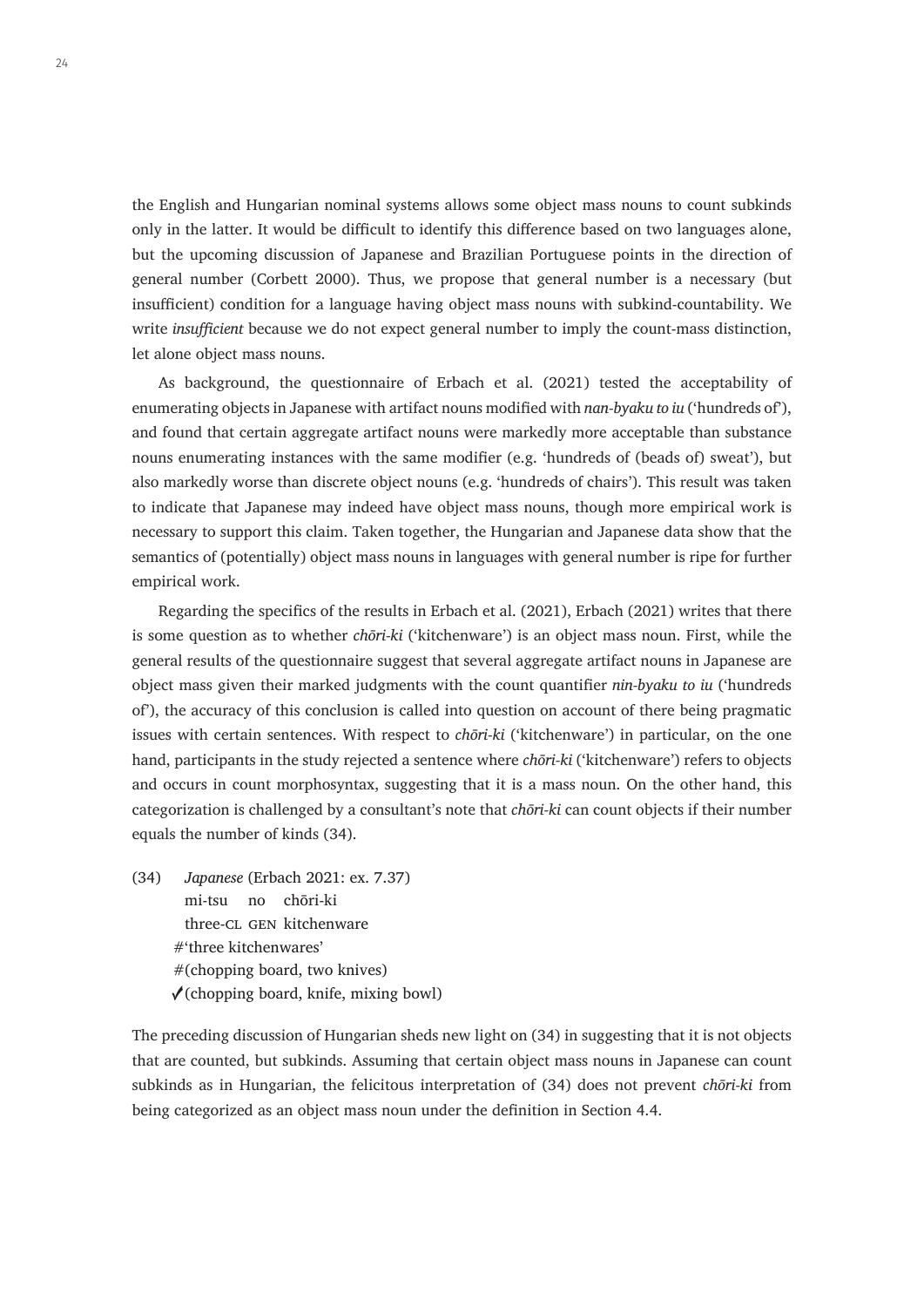the English and Hungarian nominal systems allows some object mass nouns to count subkinds only in the latter. It would be difficult to identify this difference based on two languages alone, but the upcoming discussion of Japanese and Brazilian Portuguese points in the direction of general number (Corbett 2000). Thus, we propose that general number is a necessary (but insufficient) condition for a language having object mass nouns with subkind-countability. We write *insufficient* because we do not expect general number to imply the count-mass distinction, let alone object mass nouns.

As background, the questionnaire of Erbach et al. (2021) tested the acceptability of enumerating objects in Japanese with artifact nouns modified with *nan-byaku to iu* ('hundreds of'), and found that certain aggregate artifact nouns were markedly more acceptable than substance nouns enumerating instances with the same modifier (e.g. 'hundreds of (beads of) sweat'), but also markedly worse than discrete object nouns (e.g. 'hundreds of chairs'). This result was taken to indicate that Japanese may indeed have object mass nouns, though more empirical work is necessary to support this claim. Taken together, the Hungarian and Japanese data show that the semantics of (potentially) object mass nouns in languages with general number is ripe for further empirical work.

Regarding the specifics of the results in Erbach et al. (2021), Erbach (2021) writes that there is some question as to whether *chōri-ki* ('kitchenware') is an object mass noun. First, while the general results of the questionnaire suggest that several aggregate artifact nouns in Japanese are object mass given their marked judgments with the count quantifier *nin-byaku to iu* ('hundreds of'), the accuracy of this conclusion is called into question on account of there being pragmatic issues with certain sentences. With respect to *chōri-ki* ('kitchenware') in particular, on the one hand, participants in the study rejected a sentence where *chōri-ki* ('kitchenware') refers to objects and occurs in count morphosyntax, suggesting that it is a mass noun. On the other hand, this categorization is challenged by a consultant's note that *chōri-ki* can count objects if their number equals the number of kinds (34).

(34) *Japanese* (Erbach 2021: ex. 7.37) mi-tsu no chōri-ki three-cl gen kitchenware #'three kitchenwares' #(chopping board, two knives)  $\checkmark$ (chopping board, knife, mixing bowl)

The preceding discussion of Hungarian sheds new light on (34) in suggesting that it is not objects that are counted, but subkinds. Assuming that certain object mass nouns in Japanese can count subkinds as in Hungarian, the felicitous interpretation of (34) does not prevent *chōri-ki* from being categorized as an object mass noun under the definition in Section 4.4.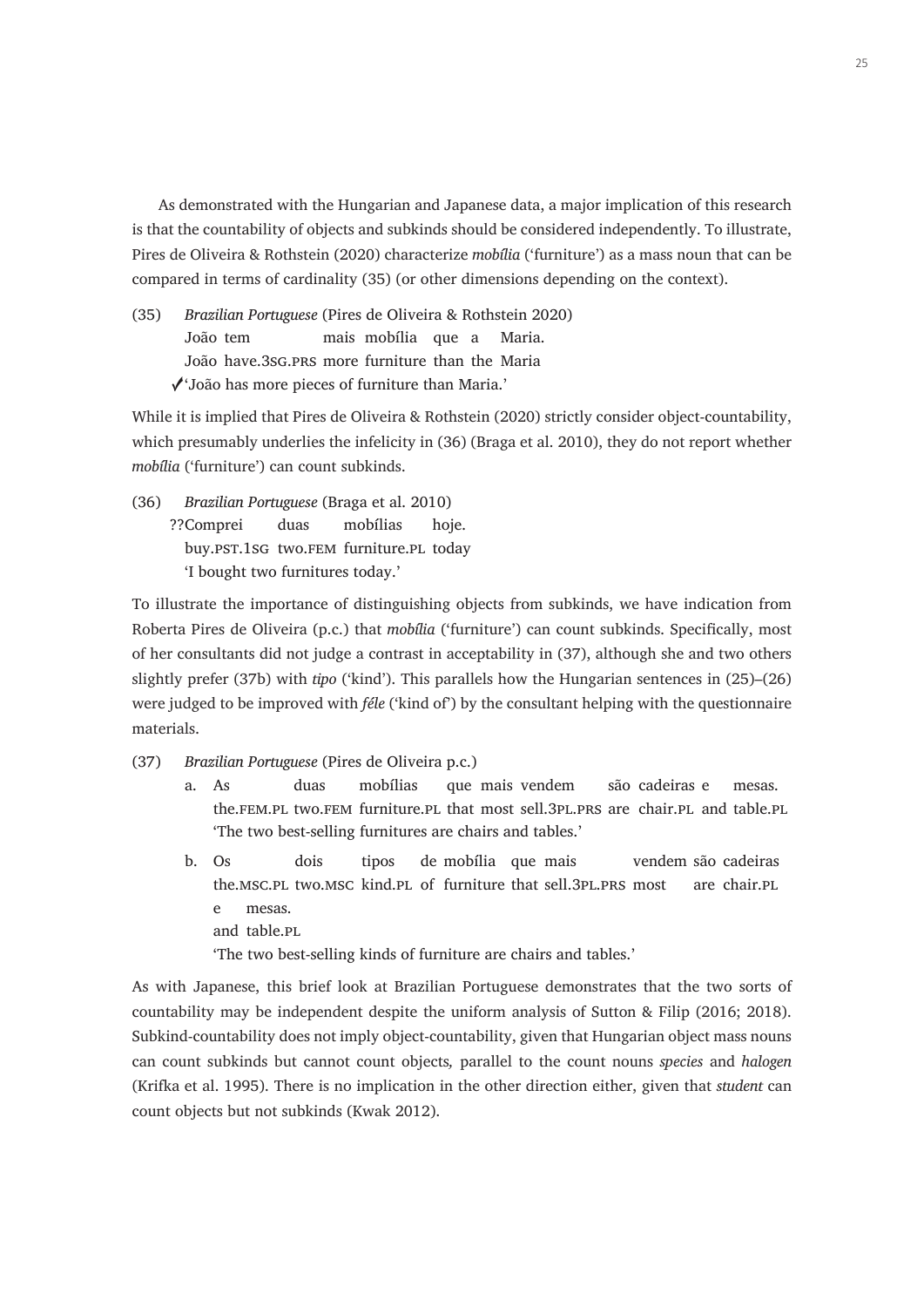As demonstrated with the Hungarian and Japanese data, a major implication of this research is that the countability of objects and subkinds should be considered independently. To illustrate, Pires de Oliveira & Rothstein (2020) characterize *mobília* ('furniture') as a mass noun that can be compared in terms of cardinality (35) (or other dimensions depending on the context).

(35) *Brazilian Portuguese* (Pires de Oliveira & Rothstein 2020) João tem mais mobília que a Maria. João have.3sg.prs more furniture than the Maria ✓'João has more pieces of furniture than Maria.'

While it is implied that Pires de Oliveira & Rothstein (2020) strictly consider object-countability, which presumably underlies the infelicity in (36) (Braga et al. 2010), they do not report whether *mobília* ('furniture') can count subkinds.

(36) *Brazilian Portuguese* (Braga et al. 2010) ??Comprei duas mobílias hoje. buy.pst.1sg two.fem furniture.pl today 'I bought two furnitures today.'

To illustrate the importance of distinguishing objects from subkinds, we have indication from Roberta Pires de Oliveira (p.c.) that *mobília* ('furniture') can count subkinds. Specifically, most of her consultants did not judge a contrast in acceptability in (37), although she and two others slightly prefer (37b) with *tipo* ('kind'). This parallels how the Hungarian sentences in (25)–(26) were judged to be improved with *féle* ('kind of') by the consultant helping with the questionnaire materials.

- (37) *Brazilian Portuguese* (Pires de Oliveira p.c.)
	- a. As duas mobílias que mais vendem são cadeiras e mesas. the.fem.pl two.fem furniture.pl that most sell.3pl.prs are chair.pl and table.pl 'The two best-selling furnitures are chairs and tables.'
	- b. Os dois tipos de mobília que mais vendem são cadeiras the.msc.pl two.msc kind.pl of furniture that sell.3pl.prs most are chair.pl e mesas. and table.pl 'The two best-selling kinds of furniture are chairs and tables.'

As with Japanese, this brief look at Brazilian Portuguese demonstrates that the two sorts of countability may be independent despite the uniform analysis of Sutton & Filip (2016; 2018). Subkind-countability does not imply object-countability, given that Hungarian object mass nouns can count subkinds but cannot count objects*,* parallel to the count nouns *species* and *halogen* (Krifka et al. 1995). There is no implication in the other direction either, given that *student* can count objects but not subkinds (Kwak 2012).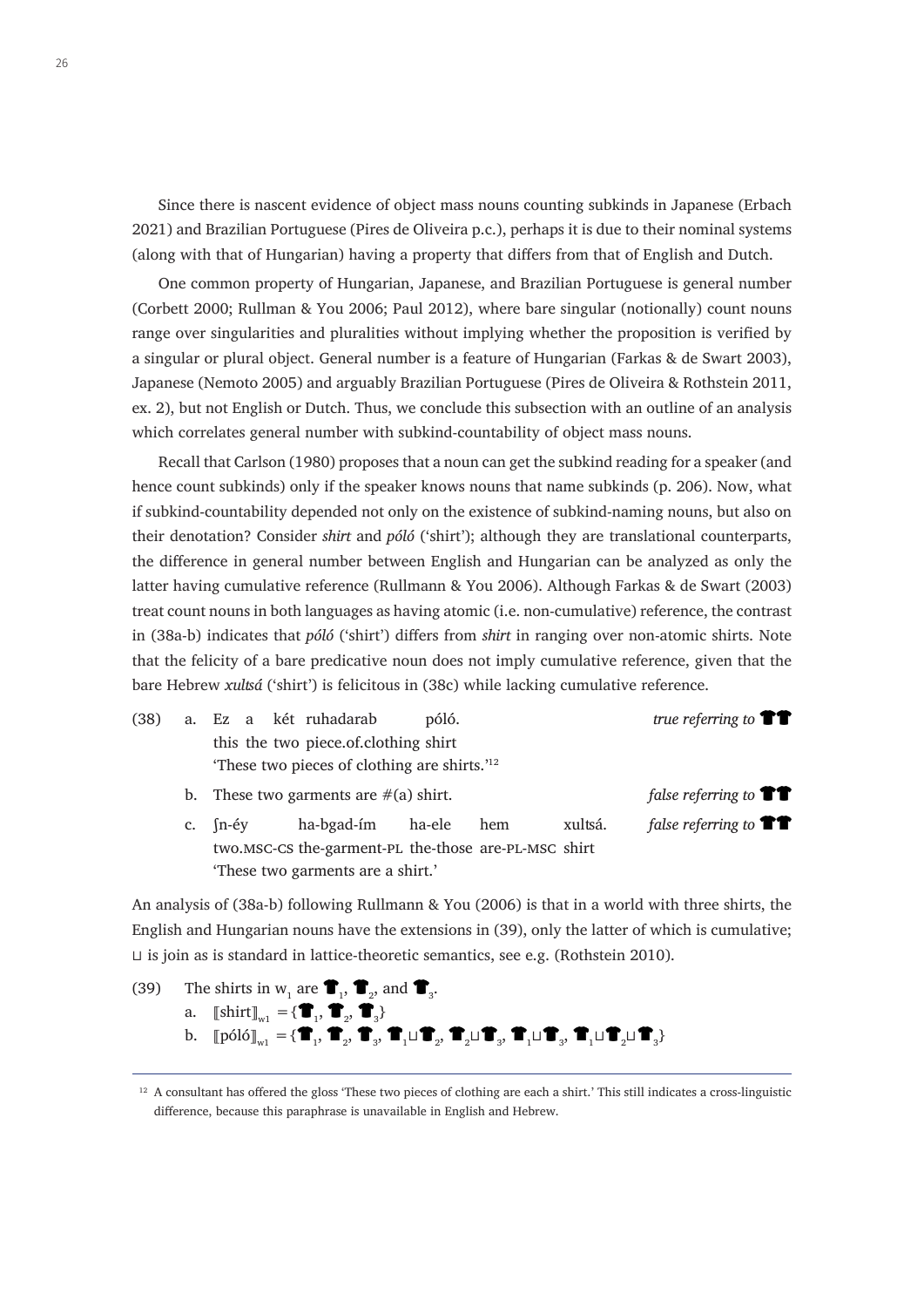Since there is nascent evidence of object mass nouns counting subkinds in Japanese (Erbach 2021) and Brazilian Portuguese (Pires de Oliveira p.c.), perhaps it is due to their nominal systems (along with that of Hungarian) having a property that differs from that of English and Dutch.

One common property of Hungarian, Japanese, and Brazilian Portuguese is general number (Corbett 2000; Rullman & You 2006; Paul 2012), where bare singular (notionally) count nouns range over singularities and pluralities without implying whether the proposition is verified by a singular or plural object. General number is a feature of Hungarian (Farkas & de Swart 2003), Japanese (Nemoto 2005) and arguably Brazilian Portuguese (Pires de Oliveira & Rothstein 2011, ex. 2), but not English or Dutch. Thus, we conclude this subsection with an outline of an analysis which correlates general number with subkind-countability of object mass nouns.

Recall that Carlson (1980) proposes that a noun can get the subkind reading for a speaker (and hence count subkinds) only if the speaker knows nouns that name subkinds (p. 206). Now, what if subkind-countability depended not only on the existence of subkind-naming nouns, but also on their denotation? Consider *shirt* and *póló* ('shirt'); although they are translational counterparts, the difference in general number between English and Hungarian can be analyzed as only the latter having cumulative reference (Rullmann & You 2006). Although Farkas & de Swart (2003) treat count nouns in both languages as having atomic (i.e. non-cumulative) reference, the contrast in (38a-b) indicates that *póló* ('shirt') differs from *shirt* in ranging over non-atomic shirts. Note that the felicity of a bare predicative noun does not imply cumulative reference, given that the bare Hebrew *xulʦá* ('shirt') is felicitous in (38c) while lacking cumulative reference.

| (38) |  |  | a. Ez a két ruhadarab                                   | póló. | true referring to $\mathbf{T}$ |  |
|------|--|--|---------------------------------------------------------|-------|--------------------------------|--|
|      |  |  | this the two piece of clothing shirt                    |       |                                |  |
|      |  |  | These two pieces of clothing are shirts. <sup>'12</sup> |       |                                |  |

- b. These two garments are  $\#(a)$  shirt. *false referring to*  $\bullet$
- c. ʃn-éy ha-bgad-ím ha-ele hem xulʦá. *false referring to* two.msc-cs the-garment-pl the-those are-pl-msc shirt 'These two garments are a shirt.'

An analysis of (38a-b) following Rullmann & You (2006) is that in a world with three shirts, the English and Hungarian nouns have the extensions in (39), only the latter of which is cumulative; ⊔ is join as is standard in lattice-theoretic semantics, see e.g. (Rothstein 2010).

(39) The shirts in  $w_1$  are  $\mathbf{T}_1$ ,  $\mathbf{T}_2$ , and  $\mathbf{T}_3$ . a.  $\llbracket \text{shirt} \rrbracket_{w1} = \{ \blacksquare_1^{}, \blacksquare_2^{}, \blacksquare_3^{}\}$ b.  $\llbracket \text{póló} \rrbracket_{\text{w1}} = \{\blacksquare_1, \blacksquare_2, \blacksquare_3, \blacksquare_1 \sqcup \blacksquare_2, \blacksquare_2 \sqcup \blacksquare_3, \blacksquare_1 \sqcup \blacksquare_3, \blacksquare_1 \sqcup \blacksquare_2 \sqcup \blacksquare_3\}$ 

<sup>&</sup>lt;sup>12</sup> A consultant has offered the gloss 'These two pieces of clothing are each a shirt.' This still indicates a cross-linguistic difference, because this paraphrase is unavailable in English and Hebrew.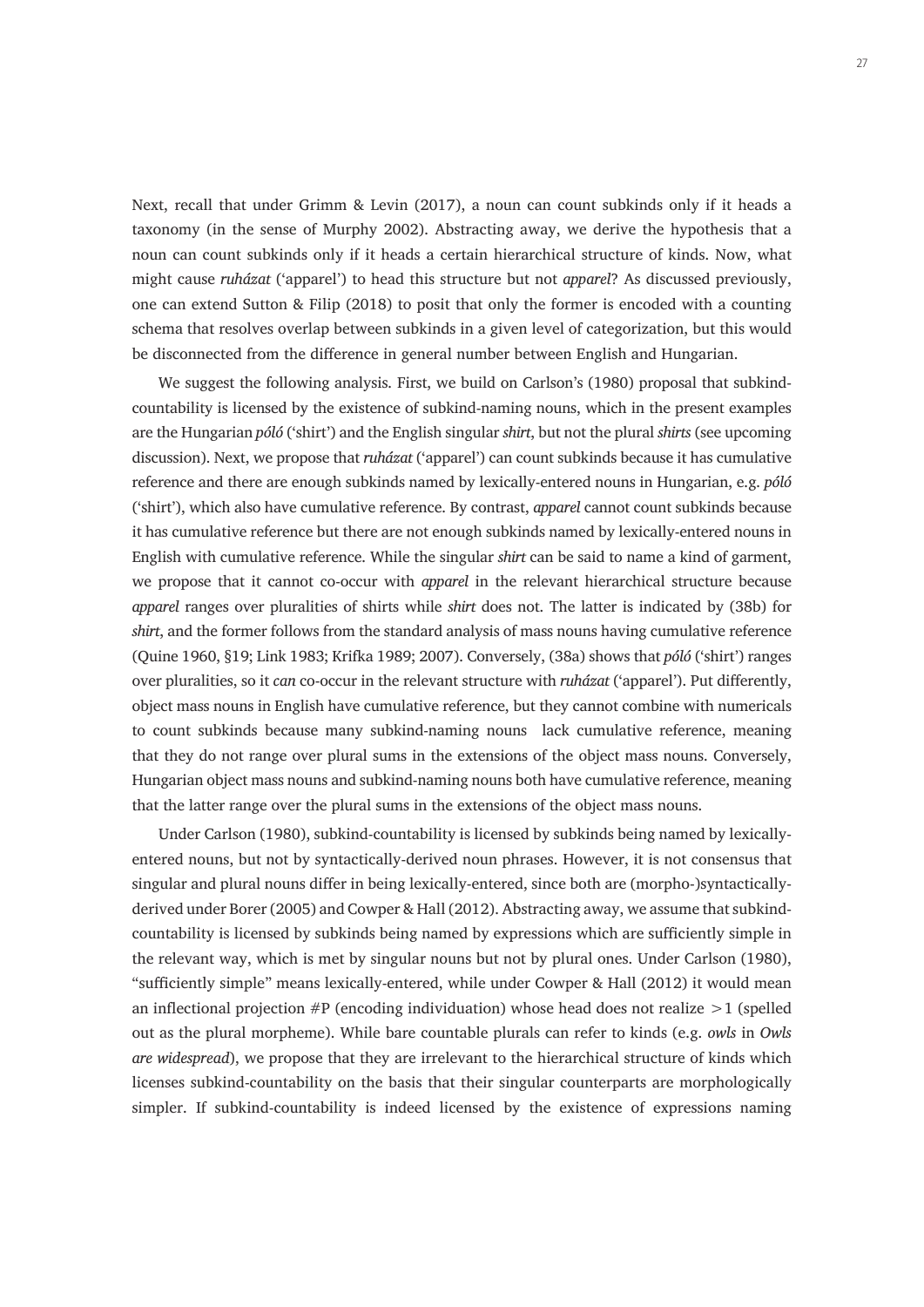Next, recall that under Grimm & Levin (2017), a noun can count subkinds only if it heads a taxonomy (in the sense of Murphy 2002). Abstracting away, we derive the hypothesis that a noun can count subkinds only if it heads a certain hierarchical structure of kinds. Now, what might cause *ruházat* ('apparel') to head this structure but not *apparel*? As discussed previously, one can extend Sutton & Filip (2018) to posit that only the former is encoded with a counting schema that resolves overlap between subkinds in a given level of categorization, but this would be disconnected from the difference in general number between English and Hungarian.

We suggest the following analysis. First, we build on Carlson's (1980) proposal that subkindcountability is licensed by the existence of subkind-naming nouns, which in the present examples are the Hungarian *póló* ('shirt') and the English singular *shirt*, but not the plural *shirts* (see upcoming discussion). Next, we propose that *ruházat* ('apparel') can count subkinds because it has cumulative reference and there are enough subkinds named by lexically-entered nouns in Hungarian, e.g. *póló*  ('shirt'), which also have cumulative reference. By contrast, *apparel* cannot count subkinds because it has cumulative reference but there are not enough subkinds named by lexically-entered nouns in English with cumulative reference. While the singular *shirt* can be said to name a kind of garment, we propose that it cannot co-occur with *apparel* in the relevant hierarchical structure because *apparel* ranges over pluralities of shirts while *shirt* does not. The latter is indicated by (38b) for *shirt*, and the former follows from the standard analysis of mass nouns having cumulative reference (Quine 1960, §19; Link 1983; Krifka 1989; 2007). Conversely, (38a) shows that *póló* ('shirt') ranges over pluralities, so it *can* co-occur in the relevant structure with *ruházat* ('apparel'). Put differently, object mass nouns in English have cumulative reference, but they cannot combine with numericals to count subkinds because many subkind-naming nouns lack cumulative reference, meaning that they do not range over plural sums in the extensions of the object mass nouns. Conversely, Hungarian object mass nouns and subkind-naming nouns both have cumulative reference, meaning that the latter range over the plural sums in the extensions of the object mass nouns.

Under Carlson (1980), subkind-countability is licensed by subkinds being named by lexicallyentered nouns, but not by syntactically-derived noun phrases. However, it is not consensus that singular and plural nouns differ in being lexically-entered, since both are (morpho-)syntacticallyderived under Borer (2005) and Cowper & Hall (2012). Abstracting away, we assume that subkindcountability is licensed by subkinds being named by expressions which are sufficiently simple in the relevant way, which is met by singular nouns but not by plural ones. Under Carlson (1980), "sufficiently simple" means lexically-entered, while under Cowper & Hall (2012) it would mean an inflectional projection  $\#P$  (encoding individuation) whose head does not realize  $>1$  (spelled out as the plural morpheme). While bare countable plurals can refer to kinds (e.g. *owls* in *Owls are widespread*), we propose that they are irrelevant to the hierarchical structure of kinds which licenses subkind-countability on the basis that their singular counterparts are morphologically simpler. If subkind-countability is indeed licensed by the existence of expressions naming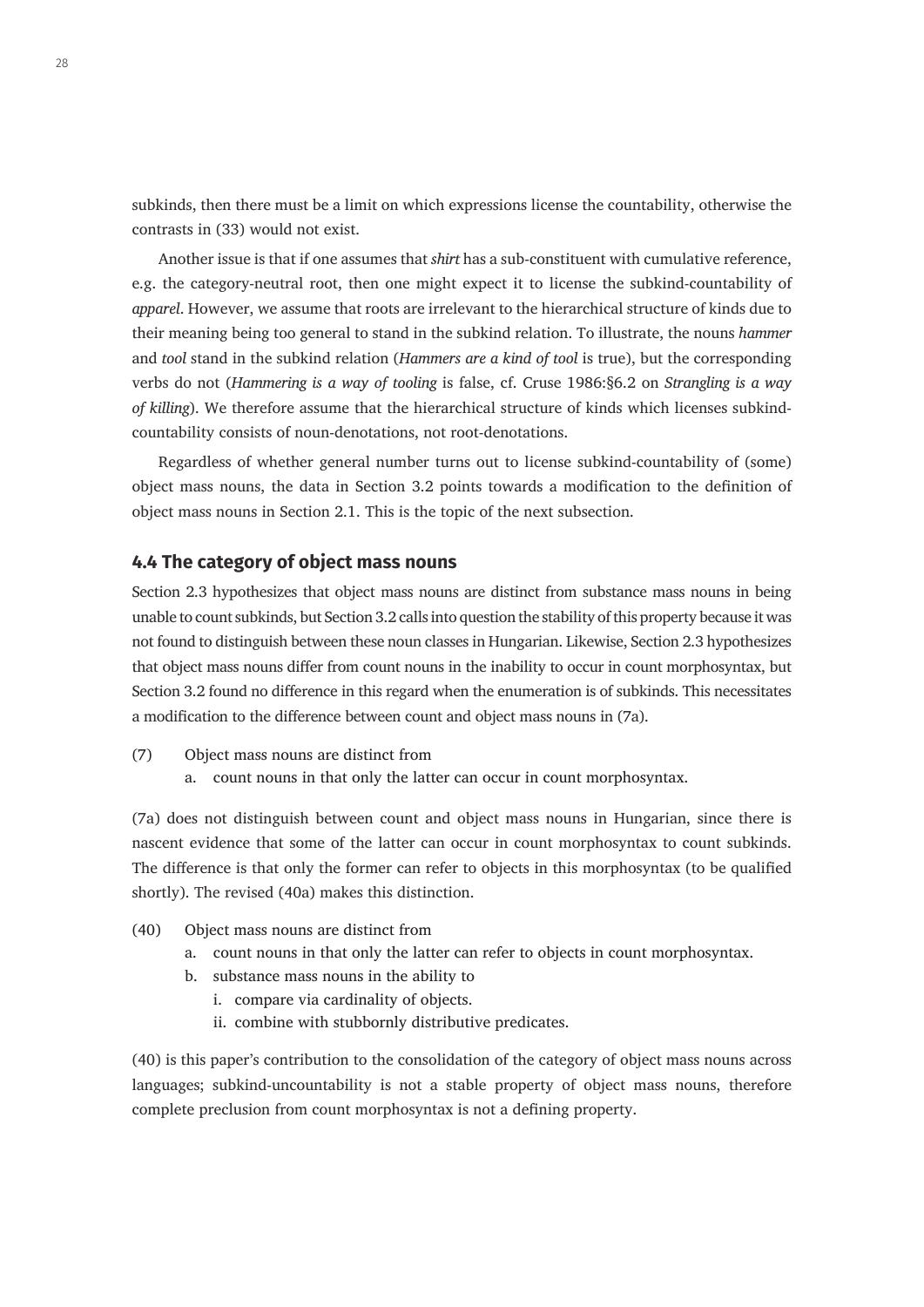subkinds, then there must be a limit on which expressions license the countability, otherwise the contrasts in (33) would not exist.

Another issue is that if one assumes that *shirt* has a sub-constituent with cumulative reference, e.g. the category-neutral root, then one might expect it to license the subkind-countability of *apparel*. However, we assume that roots are irrelevant to the hierarchical structure of kinds due to their meaning being too general to stand in the subkind relation. To illustrate, the nouns *hammer* and *tool* stand in the subkind relation (*Hammers are a kind of tool* is true), but the corresponding verbs do not (*Hammering is a way of tooling* is false, cf. Cruse 1986:§6.2 on *Strangling is a way of killing*). We therefore assume that the hierarchical structure of kinds which licenses subkindcountability consists of noun-denotations, not root-denotations.

Regardless of whether general number turns out to license subkind-countability of (some) object mass nouns, the data in Section 3.2 points towards a modification to the definition of object mass nouns in Section 2.1. This is the topic of the next subsection.

#### **4.4 The category of object mass nouns**

Section 2.3 hypothesizes that object mass nouns are distinct from substance mass nouns in being unable to count subkinds, but Section 3.2 calls into question the stability of this property because it was not found to distinguish between these noun classes in Hungarian. Likewise, Section 2.3 hypothesizes that object mass nouns differ from count nouns in the inability to occur in count morphosyntax, but Section 3.2 found no difference in this regard when the enumeration is of subkinds. This necessitates a modification to the difference between count and object mass nouns in (7a).

- (7) Object mass nouns are distinct from
	- a. count nouns in that only the latter can occur in count morphosyntax.

(7a) does not distinguish between count and object mass nouns in Hungarian, since there is nascent evidence that some of the latter can occur in count morphosyntax to count subkinds. The difference is that only the former can refer to objects in this morphosyntax (to be qualified shortly). The revised (40a) makes this distinction.

- (40) Object mass nouns are distinct from
	- a. count nouns in that only the latter can refer to objects in count morphosyntax.
	- b. substance mass nouns in the ability to
		- i. compare via cardinality of objects.
		- ii. combine with stubbornly distributive predicates.

(40) is this paper's contribution to the consolidation of the category of object mass nouns across languages; subkind-uncountability is not a stable property of object mass nouns, therefore complete preclusion from count morphosyntax is not a defining property.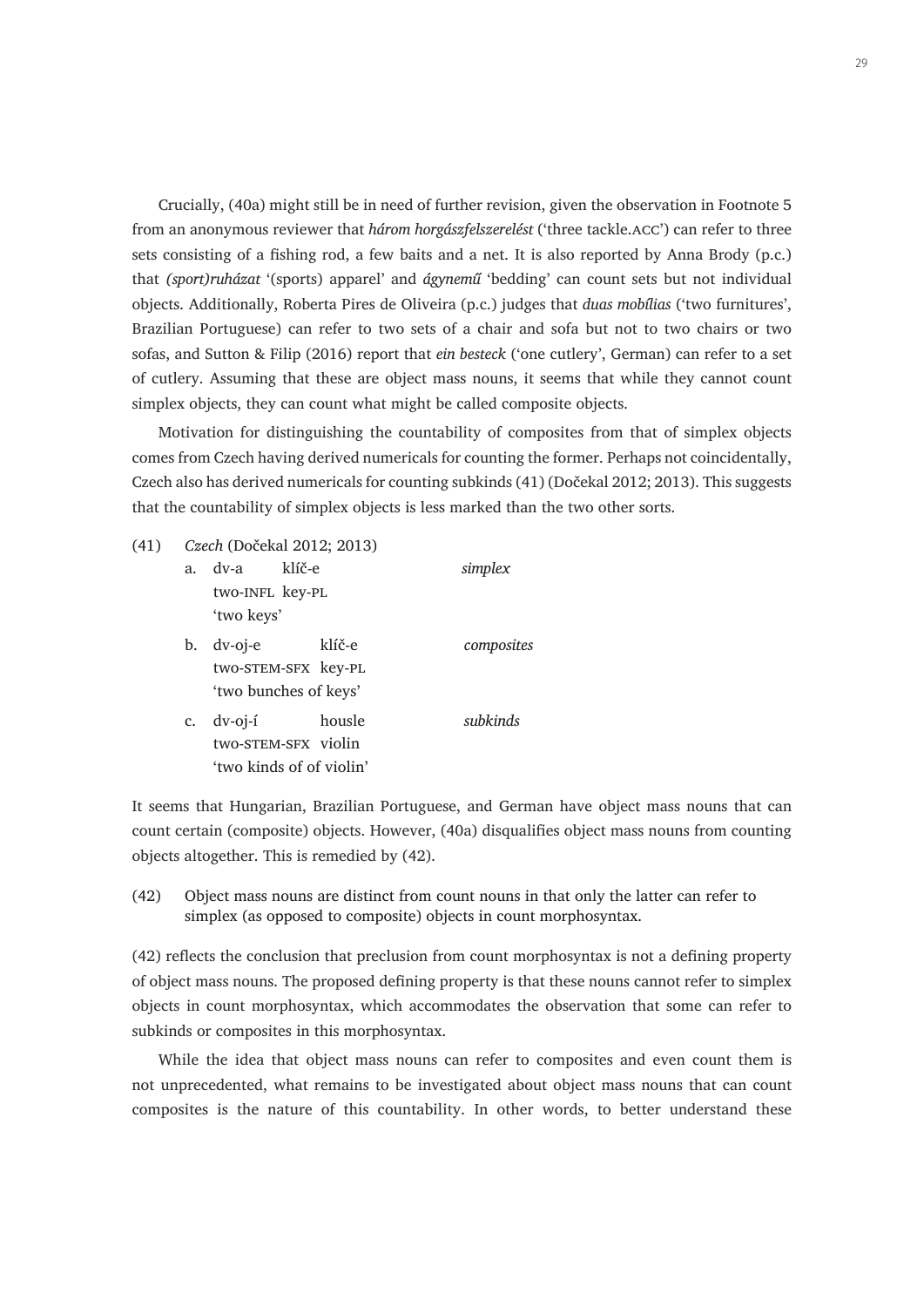Crucially, (40a) might still be in need of further revision, given the observation in Footnote 5 from an anonymous reviewer that *három horgászfelszerelést* ('three tackle.acc') can refer to three sets consisting of a fishing rod, a few baits and a net. It is also reported by Anna Brody (p.c.) that *(sport)ruházat* '(sports) apparel' and *ágynemű* 'bedding' can count sets but not individual objects. Additionally, Roberta Pires de Oliveira (p.c.) judges that *duas mobílias* ('two furnitures', Brazilian Portuguese) can refer to two sets of a chair and sofa but not to two chairs or two sofas, and Sutton & Filip (2016) report that *ein besteck* ('one cutlery', German) can refer to a set of cutlery. Assuming that these are object mass nouns, it seems that while they cannot count simplex objects, they can count what might be called composite objects.

Motivation for distinguishing the countability of composites from that of simplex objects comes from Czech having derived numericals for counting the former. Perhaps not coincidentally, Czech also has derived numericals for counting subkinds (41) (Dočekal 2012; 2013). This suggests that the countability of simplex objects is less marked than the two other sorts.

(41) *Czech* (Dočekal 2012; 2013)

| a. | dv-a<br>klíč-e<br>two-INFL key-PL<br>'two keys'               |        | simplex    |
|----|---------------------------------------------------------------|--------|------------|
| b. | $dv$ -oj-e<br>two-STEM-SFX key-PL<br>'two bunches of keys'    | klíč-e | composites |
| c. | $dv$ -oj-í<br>two-STEM-SFX violin<br>'two kinds of of violin' | housle | subkinds   |

It seems that Hungarian, Brazilian Portuguese, and German have object mass nouns that can count certain (composite) objects. However, (40a) disqualifies object mass nouns from counting objects altogether. This is remedied by (42).

(42) Object mass nouns are distinct from count nouns in that only the latter can refer to simplex (as opposed to composite) objects in count morphosyntax.

(42) reflects the conclusion that preclusion from count morphosyntax is not a defining property of object mass nouns. The proposed defining property is that these nouns cannot refer to simplex objects in count morphosyntax, which accommodates the observation that some can refer to subkinds or composites in this morphosyntax.

While the idea that object mass nouns can refer to composites and even count them is not unprecedented, what remains to be investigated about object mass nouns that can count composites is the nature of this countability. In other words, to better understand these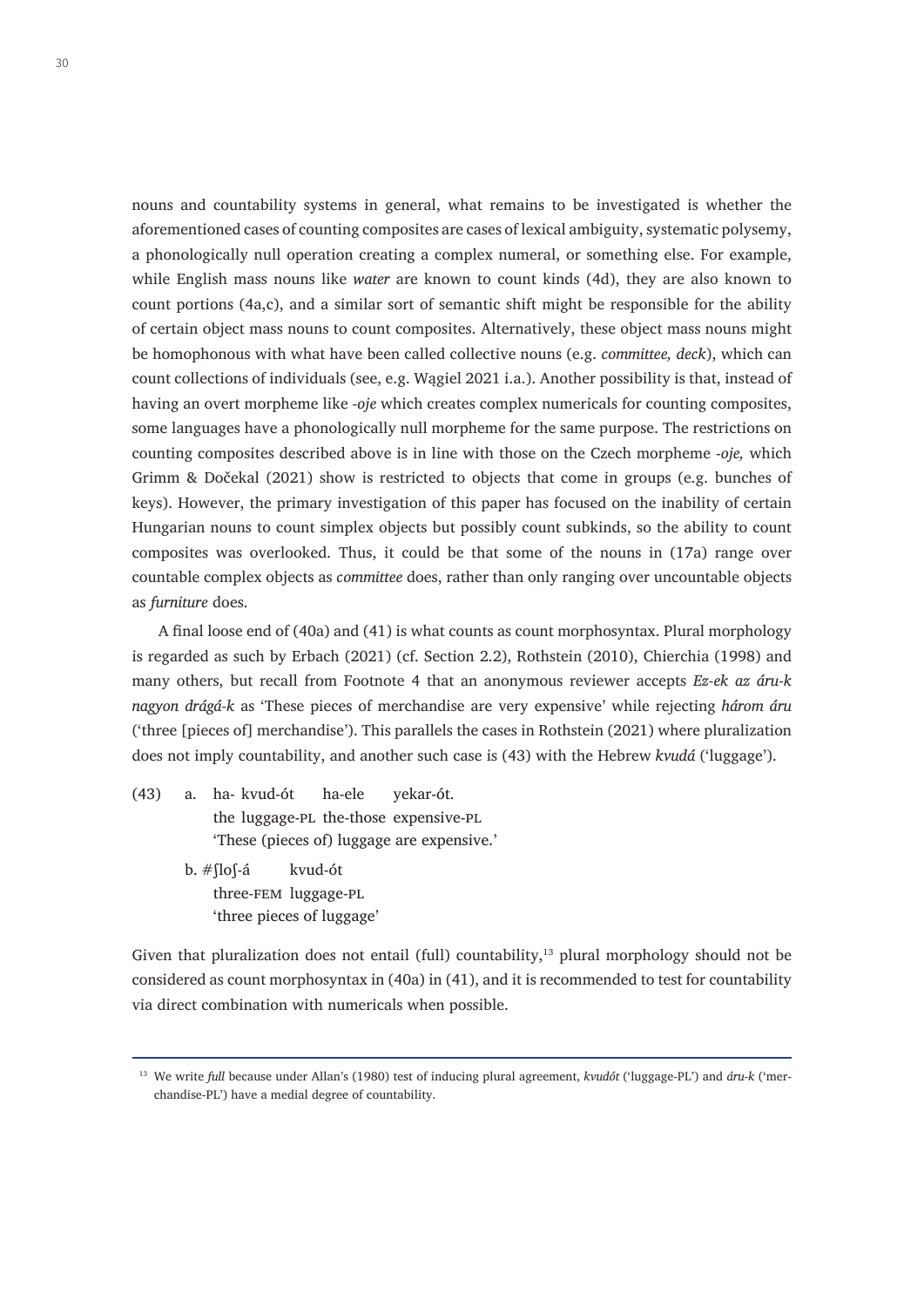nouns and countability systems in general, what remains to be investigated is whether the aforementioned cases of counting composites are cases of lexical ambiguity, systematic polysemy, a phonologically null operation creating a complex numeral, or something else. For example, while English mass nouns like *water* are known to count kinds (4d), they are also known to count portions (4a,c), and a similar sort of semantic shift might be responsible for the ability of certain object mass nouns to count composites. Alternatively, these object mass nouns might be homophonous with what have been called collective nouns (e.g. *committee, deck*), which can count collections of individuals (see, e.g. Wągiel 2021 i.a.). Another possibility is that, instead of having an overt morpheme like -*oje* which creates complex numericals for counting composites, some languages have a phonologically null morpheme for the same purpose. The restrictions on counting composites described above is in line with those on the Czech morpheme -*oje,* which Grimm & Dočekal (2021) show is restricted to objects that come in groups (e.g. bunches of keys). However, the primary investigation of this paper has focused on the inability of certain Hungarian nouns to count simplex objects but possibly count subkinds, so the ability to count composites was overlooked. Thus, it could be that some of the nouns in (17a) range over countable complex objects as *committee* does, rather than only ranging over uncountable objects as *furniture* does.

A final loose end of (40a) and (41) is what counts as count morphosyntax. Plural morphology is regarded as such by Erbach (2021) (cf. Section 2.2), Rothstein (2010), Chierchia (1998) and many others, but recall from Footnote 4 that an anonymous reviewer accepts *Ez-ek az áru-k nagyon drágá-k* as 'These pieces of merchandise are very expensive' while rejecting *három áru* ('three [pieces of] merchandise'). This parallels the cases in Rothstein (2021) where pluralization does not imply countability, and another such case is (43) with the Hebrew *kvudá* ('luggage').

(43) a. ha- kvud-ót ha-ele yekar-ót. the luggage-pl the-those expensive-pl 'These (pieces of) luggage are expensive.'

> b. #ʃloʃ-á kvud-ót three-fem luggage-pl 'three pieces of luggage'

Given that pluralization does not entail (full) countability, $^{13}$  plural morphology should not be considered as count morphosyntax in (40a) in (41), and it is recommended to test for countability via direct combination with numericals when possible.

<sup>13</sup> We write *full* because under Allan's (1980) test of inducing plural agreement, *kvudót* ('luggage-PL') and *áru-k* ('merchandise-PL') have a medial degree of countability.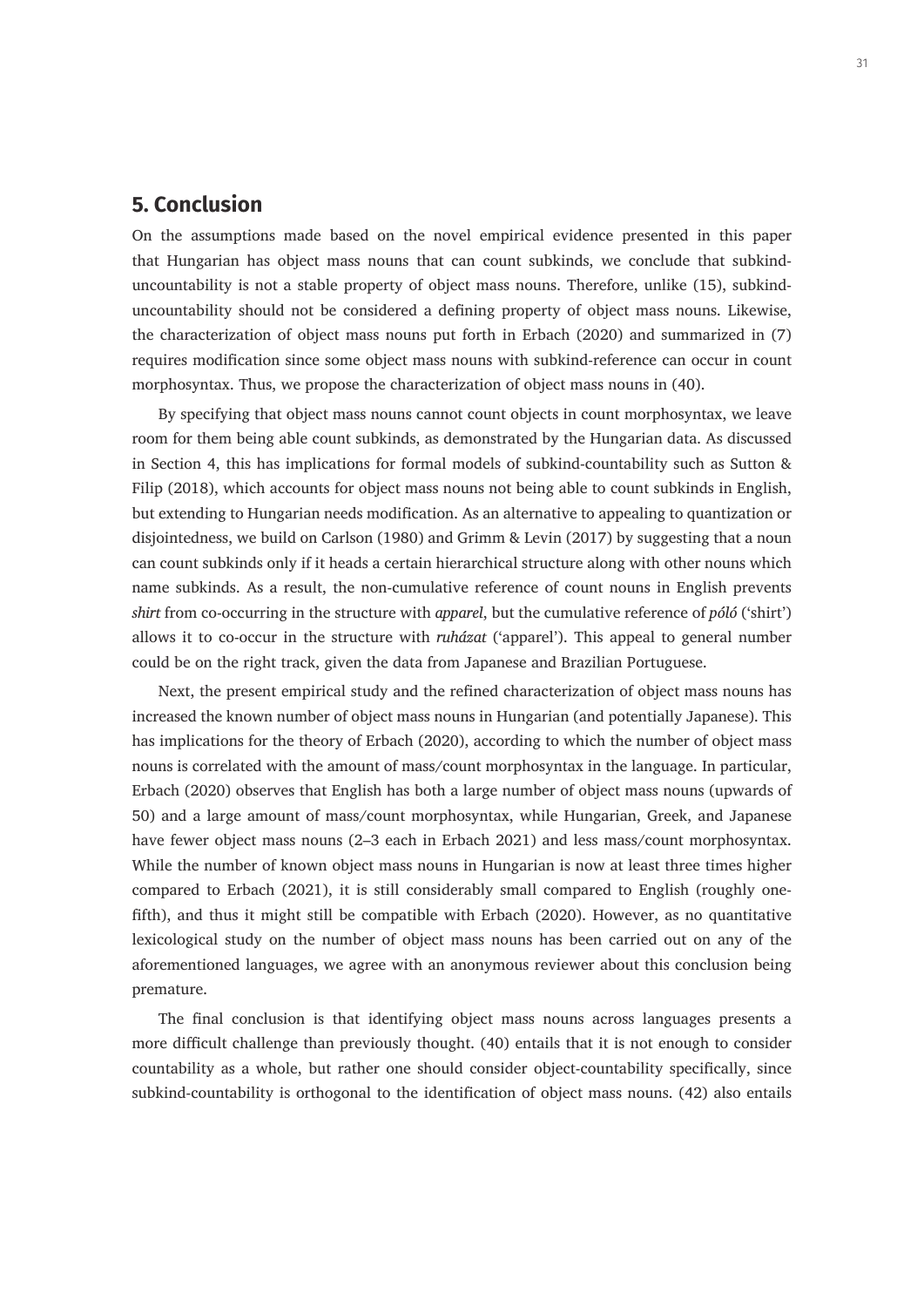# **5. Conclusion**

On the assumptions made based on the novel empirical evidence presented in this paper that Hungarian has object mass nouns that can count subkinds, we conclude that subkinduncountability is not a stable property of object mass nouns. Therefore, unlike (15), subkinduncountability should not be considered a defining property of object mass nouns. Likewise, the characterization of object mass nouns put forth in Erbach (2020) and summarized in (7) requires modification since some object mass nouns with subkind-reference can occur in count morphosyntax. Thus, we propose the characterization of object mass nouns in (40).

By specifying that object mass nouns cannot count objects in count morphosyntax, we leave room for them being able count subkinds, as demonstrated by the Hungarian data. As discussed in Section 4, this has implications for formal models of subkind-countability such as Sutton & Filip (2018), which accounts for object mass nouns not being able to count subkinds in English, but extending to Hungarian needs modification. As an alternative to appealing to quantization or disjointedness, we build on Carlson (1980) and Grimm & Levin (2017) by suggesting that a noun can count subkinds only if it heads a certain hierarchical structure along with other nouns which name subkinds. As a result, the non-cumulative reference of count nouns in English prevents *shirt* from co-occurring in the structure with *apparel*, but the cumulative reference of *póló* ('shirt') allows it to co-occur in the structure with *ruházat* ('apparel'). This appeal to general number could be on the right track, given the data from Japanese and Brazilian Portuguese.

Next, the present empirical study and the refined characterization of object mass nouns has increased the known number of object mass nouns in Hungarian (and potentially Japanese). This has implications for the theory of Erbach (2020), according to which the number of object mass nouns is correlated with the amount of mass/count morphosyntax in the language. In particular, Erbach (2020) observes that English has both a large number of object mass nouns (upwards of 50) and a large amount of mass/count morphosyntax, while Hungarian, Greek, and Japanese have fewer object mass nouns (2–3 each in Erbach 2021) and less mass/count morphosyntax. While the number of known object mass nouns in Hungarian is now at least three times higher compared to Erbach (2021), it is still considerably small compared to English (roughly onefifth), and thus it might still be compatible with Erbach (2020). However, as no quantitative lexicological study on the number of object mass nouns has been carried out on any of the aforementioned languages, we agree with an anonymous reviewer about this conclusion being premature.

The final conclusion is that identifying object mass nouns across languages presents a more difficult challenge than previously thought. (40) entails that it is not enough to consider countability as a whole, but rather one should consider object-countability specifically, since subkind-countability is orthogonal to the identification of object mass nouns. (42) also entails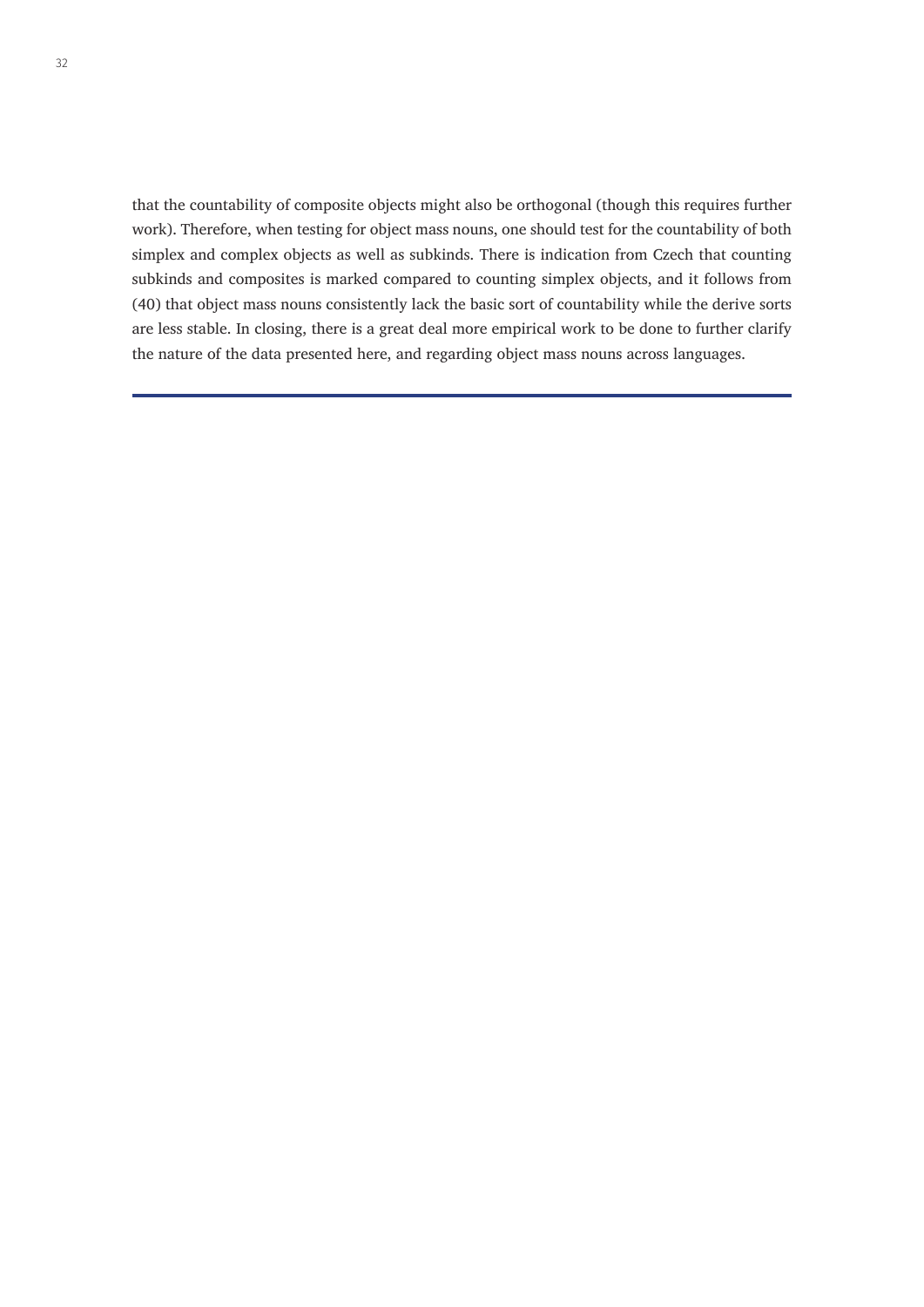that the countability of composite objects might also be orthogonal (though this requires further work). Therefore, when testing for object mass nouns, one should test for the countability of both simplex and complex objects as well as subkinds. There is indication from Czech that counting subkinds and composites is marked compared to counting simplex objects, and it follows from (40) that object mass nouns consistently lack the basic sort of countability while the derive sorts are less stable. In closing, there is a great deal more empirical work to be done to further clarify the nature of the data presented here, and regarding object mass nouns across languages.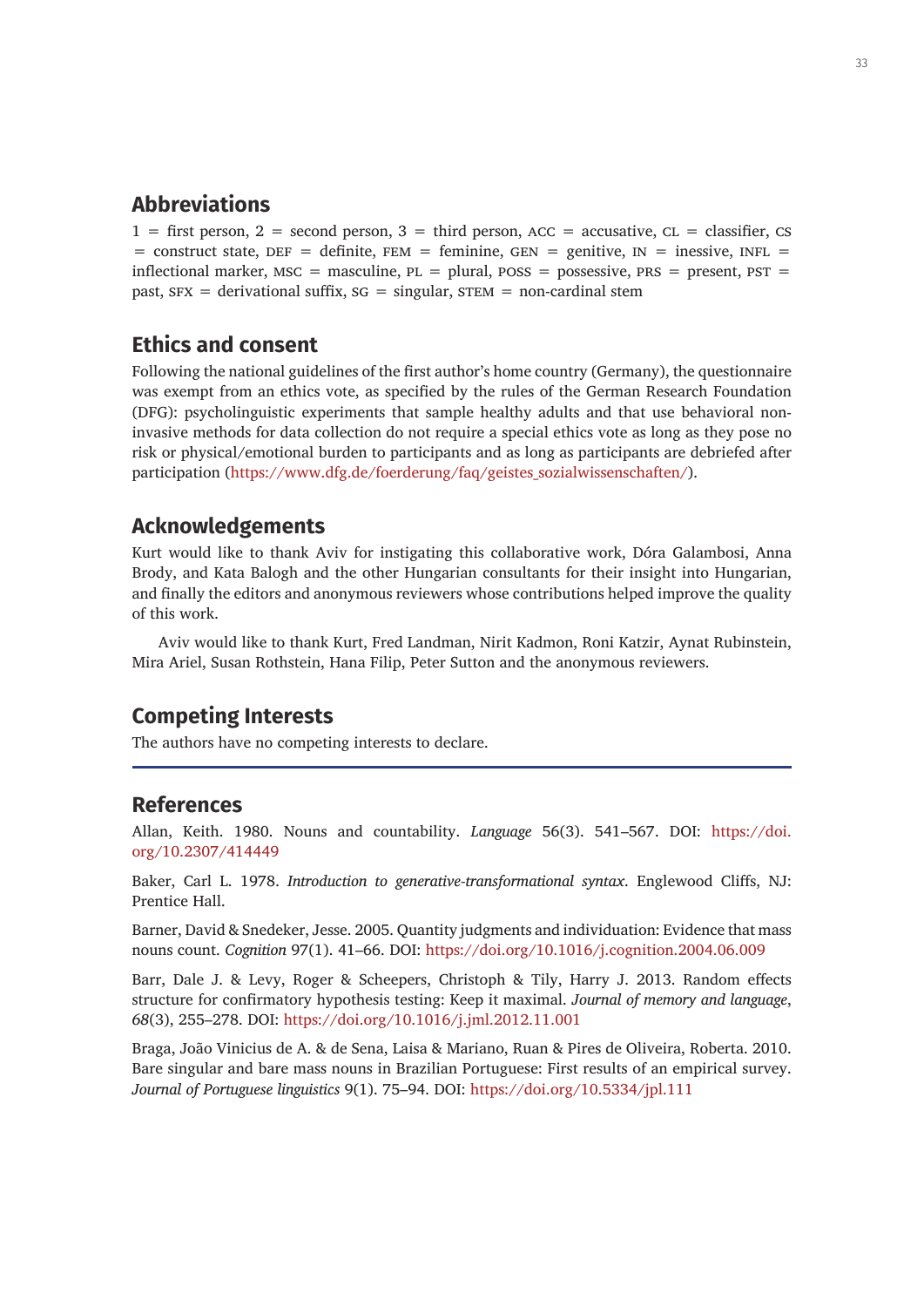# **Abbreviations**

 $1 =$  first person,  $2 =$  second person,  $3 =$  third person, ACC = accusative, CL = classifier, CS  $=$  construct state, DEF = definite, FEM = feminine, GEN = genitive, IN = inessive, INFL = inflectional marker,  $MSC =$  masculine,  $PL =$  plural,  $POSS =$  possessive,  $PRS =$  present,  $PST =$ past,  $SFX =$  derivational suffix,  $SG =$  singular,  $STEM =$  non-cardinal stem

# **Ethics and consent**

Following the national guidelines of the first author's home country (Germany), the questionnaire was exempt from an ethics vote, as specified by the rules of the German Research Foundation (DFG): psycholinguistic experiments that sample healthy adults and that use behavioral noninvasive methods for data collection do not require a special ethics vote as long as they pose no risk or physical/emotional burden to participants and as long as participants are debriefed after participation ([https://www.dfg.de/foerderung/faq/geistes\\_sozialwissenschaften/](https://www.dfg.de/foerderung/faq/geistes_sozialwissenschaften/)).

# **Acknowledgements**

Kurt would like to thank Aviv for instigating this collaborative work, Dóra Galambosi, Anna Brody, and Kata Balogh and the other Hungarian consultants for their insight into Hungarian, and finally the editors and anonymous reviewers whose contributions helped improve the quality of this work.

Aviv would like to thank Kurt, Fred Landman, Nirit Kadmon, Roni Katzir, Aynat Rubinstein, Mira Ariel, Susan Rothstein, Hana Filip, Peter Sutton and the anonymous reviewers.

# **Competing Interests**

The authors have no competing interests to declare.

## **References**

Allan, Keith. 1980. Nouns and countability. *Language* 56(3). 541–567. DOI: [https://doi.](https://doi.org/10.2307/414449) [org/10.2307/414449](https://doi.org/10.2307/414449)

Baker, Carl L. 1978. *Introduction to generative-transformational syntax*. Englewood Cliffs, NJ: Prentice Hall.

Barner, David & Snedeker, Jesse. 2005. Quantity judgments and individuation: Evidence that mass nouns count. *Cognition* 97(1). 41–66. DOI:<https://doi.org/10.1016/j.cognition.2004.06.009>

Barr, Dale J. & Levy, Roger & Scheepers, Christoph & Tily, Harry J. 2013. Random effects structure for confirmatory hypothesis testing: Keep it maximal. *Journal of memory and language*, *68*(3), 255–278. DOI: <https://doi.org/10.1016/j.jml.2012.11.001>

Braga, João Vinicius de A. & de Sena, Laisa & Mariano, Ruan & Pires de Oliveira, Roberta. 2010. Bare singular and bare mass nouns in Brazilian Portuguese: First results of an empirical survey. *Journal of Portuguese linguistics* 9(1). 75–94. DOI: <https://doi.org/10.5334/jpl.111>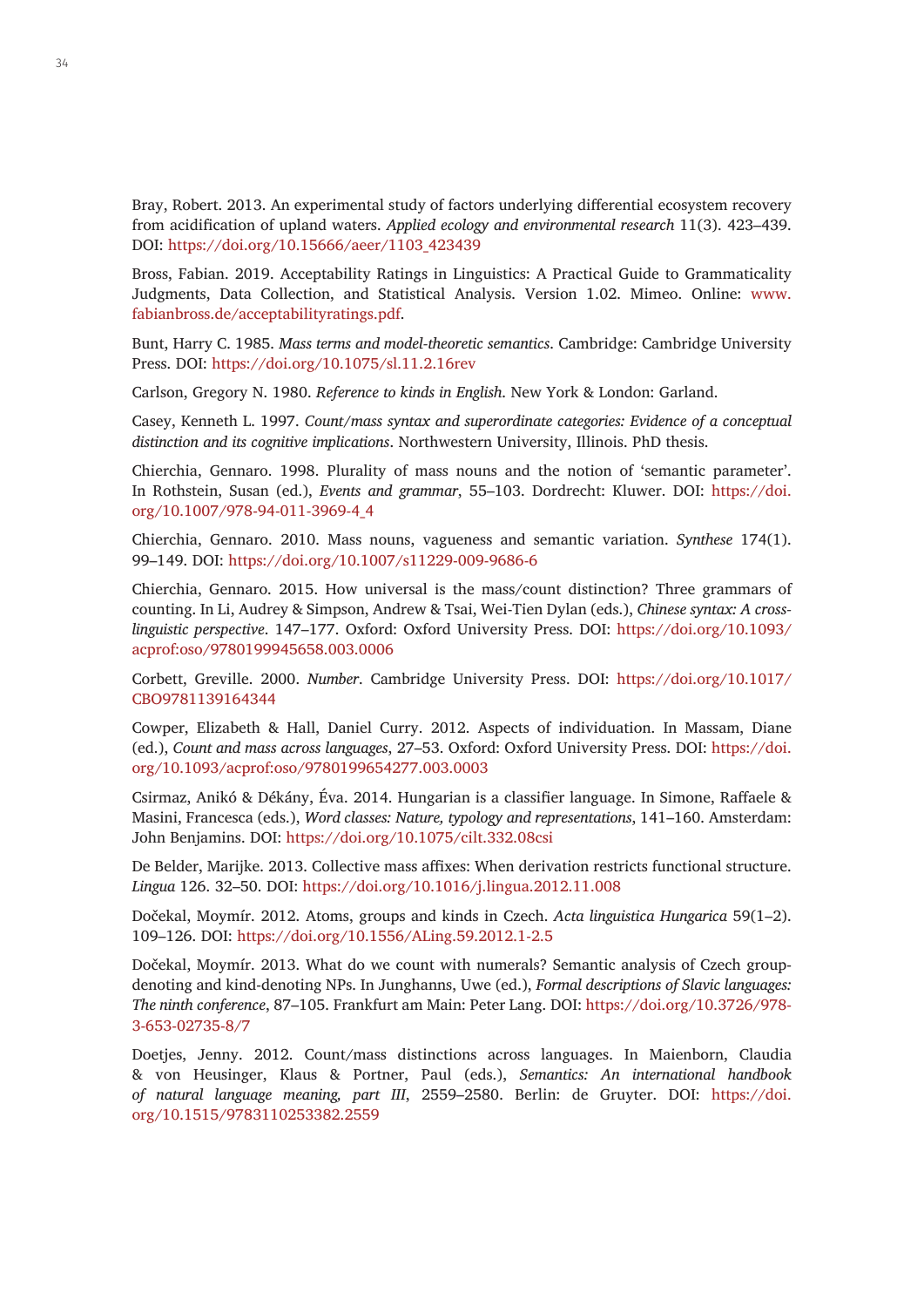Bray, Robert. 2013. An experimental study of factors underlying differential ecosystem recovery from acidification of upland waters. *Applied ecology and environmental research* 11(3). 423–439. DOI: [https://doi.org/10.15666/aeer/1103\\_423439](https://doi.org/10.15666/aeer/1103_423439)

Bross, Fabian. 2019. Acceptability Ratings in Linguistics: A Practical Guide to Grammaticality Judgments, Data Collection, and Statistical Analysis. Version 1.02. Mimeo. Online: [www.](www.fabianbross.de/acceptabilityratings.pdf) [fabianbross.de/acceptabilityratings.pdf](www.fabianbross.de/acceptabilityratings.pdf).

Bunt, Harry C. 1985. *Mass terms and model-theoretic semantics*. Cambridge: Cambridge University Press. DOI: <https://doi.org/10.1075/sl.11.2.16rev>

Carlson, Gregory N. 1980. *Reference to kinds in English*. New York & London: Garland.

Casey, Kenneth L. 1997. *Count/mass syntax and superordinate categories: Evidence of a conceptual distinction and its cognitive implications*. Northwestern University, Illinois. PhD thesis.

Chierchia, Gennaro. 1998. Plurality of mass nouns and the notion of 'semantic parameter'. In Rothstein, Susan (ed.), *Events and grammar*, 55–103. Dordrecht: Kluwer. DOI: [https://doi.](https://doi.org/10.1007/978-94-011-3969-4_4) [org/10.1007/978-94-011-3969-4\\_4](https://doi.org/10.1007/978-94-011-3969-4_4)

Chierchia, Gennaro. 2010. Mass nouns, vagueness and semantic variation. *Synthese* 174(1). 99–149. DOI:<https://doi.org/10.1007/s11229-009-9686-6>

Chierchia, Gennaro. 2015. How universal is the mass/count distinction? Three grammars of counting. In Li, Audrey & Simpson, Andrew & Tsai, Wei-Tien Dylan (eds.), *Chinese syntax: A crosslinguistic perspective*. 147–177. Oxford: Oxford University Press. DOI: [https://doi.org/10.1093/](https://doi.org/10.1093/acprof:oso/9780199945658.003.0006) [acprof:oso/9780199945658.003.0006](https://doi.org/10.1093/acprof:oso/9780199945658.003.0006)

Corbett, Greville. 2000. *Number*. Cambridge University Press. DOI: [https://doi.org/10.1017/](https://doi.org/10.1017/CBO9781139164344) [CBO9781139164344](https://doi.org/10.1017/CBO9781139164344)

Cowper, Elizabeth & Hall, Daniel Curry. 2012. Aspects of individuation. In Massam, Diane (ed.), *Count and mass across languages*, 27–53. Oxford: Oxford University Press. DOI: [https://doi.](https://doi.org/10.1093/acprof:oso/9780199654277.003.0003) [org/10.1093/acprof:oso/9780199654277.003.0003](https://doi.org/10.1093/acprof:oso/9780199654277.003.0003)

Csirmaz, Anikó & Dékány, Éva. 2014. Hungarian is a classifier language. In Simone, Raffaele & Masini, Francesca (eds.), *Word classes: Nature, typology and representations*, 141–160. Amsterdam: John Benjamins. DOI: <https://doi.org/10.1075/cilt.332.08csi>

De Belder, Marijke. 2013. Collective mass affixes: When derivation restricts functional structure. *Lingua* 126. 32–50. DOI:<https://doi.org/10.1016/j.lingua.2012.11.008>

Dočekal, Moymír. 2012. Atoms, groups and kinds in Czech. *Acta linguistica Hungarica* 59(1–2). 109–126. DOI: <https://doi.org/10.1556/ALing.59.2012.1-2.5>

Dočekal, Moymír. 2013. What do we count with numerals? Semantic analysis of Czech groupdenoting and kind-denoting NPs. In Junghanns, Uwe (ed.), *Formal descriptions of Slavic languages: The ninth conference*, 87–105. Frankfurt am Main: Peter Lang. DOI: [https://doi.org/10.3726/978-](https://doi.org/10.3726/978-3-653-02735-8/7) [3-653-02735-8/7](https://doi.org/10.3726/978-3-653-02735-8/7)

Doetjes, Jenny. 2012. Count/mass distinctions across languages. In Maienborn, Claudia & von Heusinger, Klaus & Portner, Paul (eds.), *Semantics: An international handbook of natural language meaning, part III*, 2559–2580. Berlin: de Gruyter. DOI: [https://doi.](https://doi.org/10.1515/9783110253382.2559) [org/10.1515/9783110253382.2559](https://doi.org/10.1515/9783110253382.2559)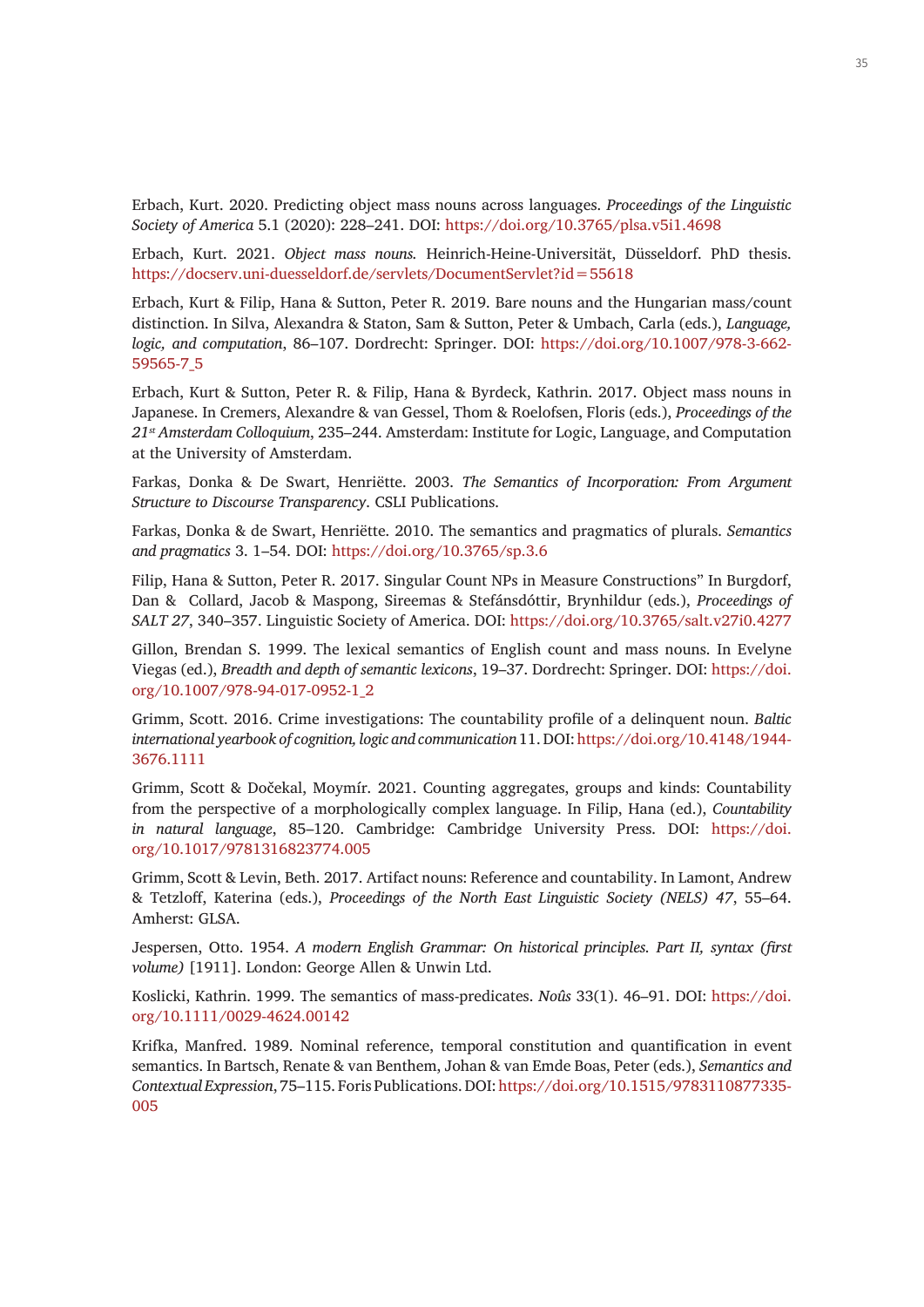Erbach, Kurt. 2020. Predicting object mass nouns across languages. *Proceedings of the Linguistic Society of America* 5.1 (2020): 228–241. DOI:<https://doi.org/10.3765/plsa.v5i1.4698>

Erbach, Kurt. 2021. *Object mass nouns.* Heinrich-Heine-Universität, Düsseldorf. PhD thesis. <https://docserv.uni-duesseldorf.de/servlets/DocumentServlet?id=55618>

Erbach, Kurt & Filip, Hana & Sutton, Peter R. 2019. Bare nouns and the Hungarian mass/count distinction. In Silva, Alexandra & Staton, Sam & Sutton, Peter & Umbach, Carla (eds.), *Language, logic, and computation*, 86–107. Dordrecht: Springer. DOI: [https://doi.org/10.1007/978-3-662-](https://doi.org/10.1007/978-3-662-59565-7_5) [59565-7\\_5](https://doi.org/10.1007/978-3-662-59565-7_5)

Erbach, Kurt & Sutton, Peter R. & Filip, Hana & Byrdeck, Kathrin. 2017. Object mass nouns in Japanese. In Cremers, Alexandre & van Gessel, Thom & Roelofsen, Floris (eds.), *Proceedings of the 21st Amsterdam Colloquium*, 235–244. Amsterdam: Institute for Logic, Language, and Computation at the University of Amsterdam.

Farkas, Donka & De Swart, Henriëtte. 2003. *The Semantics of Incorporation: From Argument Structure to Discourse Transparency*. CSLI Publications.

Farkas, Donka & de Swart, Henriëtte. 2010. The semantics and pragmatics of plurals. *Semantics and pragmatics* 3. 1–54. DOI: <https://doi.org/10.3765/sp.3.6>

Filip, Hana & Sutton, Peter R. 2017. Singular Count NPs in Measure Constructions" In Burgdorf, Dan & Collard, Jacob & Maspong, Sireemas & Stefánsdóttir, Brynhildur (eds.), *Proceedings of SALT 27*, 340–357. Linguistic Society of America. DOI:<https://doi.org/10.3765/salt.v27i0.4277>

Gillon, Brendan S. 1999. The lexical semantics of English count and mass nouns. In Evelyne Viegas (ed.), *Breadth and depth of semantic lexicons*, 19–37. Dordrecht: Springer. DOI: [https://doi.](https://doi.org/10.1007/978-94-017-0952-1_2) [org/10.1007/978-94-017-0952-1\\_2](https://doi.org/10.1007/978-94-017-0952-1_2)

Grimm, Scott. 2016. Crime investigations: The countability profile of a delinquent noun. *Baltic international yearbook of cognition, logic and communication* 11. DOI: [https://doi.org/10.4148/1944-](https://doi.org/10.4148/1944-3676.1111) [3676.1111](https://doi.org/10.4148/1944-3676.1111)

Grimm, Scott & Dočekal, Moymír. 2021. Counting aggregates, groups and kinds: Countability from the perspective of a morphologically complex language. In Filip, Hana (ed.), *Countability in natural language*, 85–120. Cambridge: Cambridge University Press. DOI: [https://doi.](https://doi.org/10.1017/9781316823774.005) [org/10.1017/9781316823774.005](https://doi.org/10.1017/9781316823774.005)

Grimm, Scott & Levin, Beth. 2017. Artifact nouns: Reference and countability. In Lamont, Andrew & Tetzloff, Katerina (eds.), *Proceedings of the North East Linguistic Society (NELS) 47*, 55–64. Amherst: GLSA.

Jespersen, Otto. 1954. *A modern English Grammar: On historical principles. Part II, syntax (first volume)* [1911]. London: George Allen & Unwin Ltd.

Koslicki, Kathrin. 1999. The semantics of mass-predicates. *Noûs* 33(1). 46–91. DOI: [https://doi.](https://doi.org/10.1111/0029-4624.00142) [org/10.1111/0029-4624.00142](https://doi.org/10.1111/0029-4624.00142)

Krifka, Manfred. 1989. Nominal reference, temporal constitution and quantification in event semantics. In Bartsch, Renate & van Benthem, Johan & van Emde Boas, Peter (eds.), *Semantics and Contextual Expression*, 75–115. Foris Publications. DOI: [https://doi.org/10.1515/9783110877335-](https://doi.org/10.1515/9783110877335-005) [005](https://doi.org/10.1515/9783110877335-005)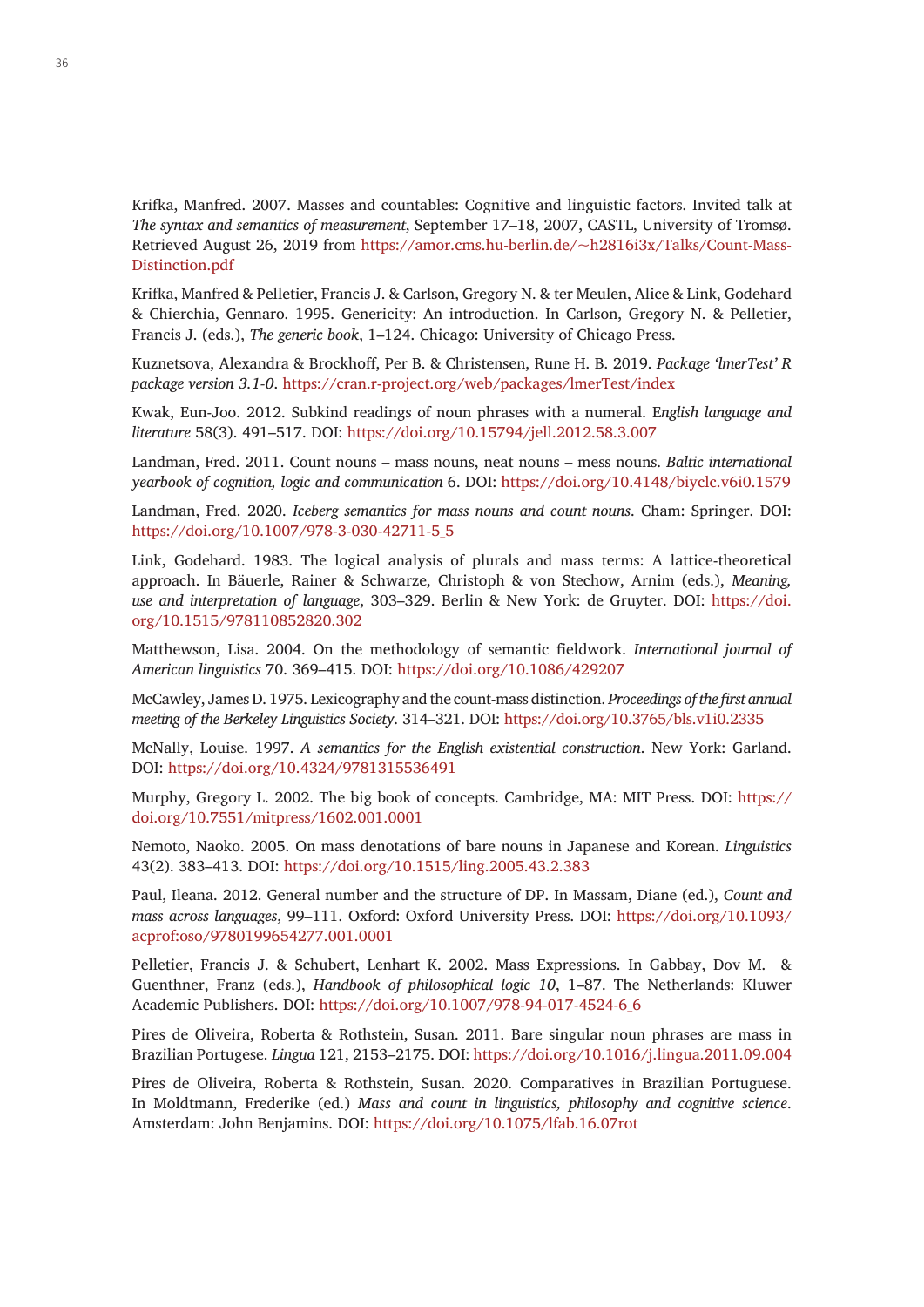Krifka, Manfred. 2007. Masses and countables: Cognitive and linguistic factors. Invited talk at *The syntax and semantics of measurement*, September 17–18, 2007, CASTL, University of Tromsø. Retrieved August 26, 2019 from [https://amor.cms.hu-berlin.de/~h2816i3x/Talks/Count-Mass-](https://amor.cms.hu-berlin.de/~h2816i3x/Talks/Count-Mass-Distinction.pdf)[Distinction.pdf](https://amor.cms.hu-berlin.de/~h2816i3x/Talks/Count-Mass-Distinction.pdf)

Krifka, Manfred & Pelletier, Francis J. & Carlson, Gregory N. & ter Meulen, Alice & Link, Godehard & Chierchia, Gennaro. 1995. Genericity: An introduction. In Carlson, Gregory N. & Pelletier, Francis J. (eds.), *The generic book*, 1–124. Chicago: University of Chicago Press.

Kuznetsova, Alexandra & Brockhoff, Per B. & Christensen, Rune H. B. 2019. *Package 'lmerTest' R package version 3.1-0*.<https://cran.r-project.org/web/packages/lmerTest/index>

Kwak, Eun-Joo. 2012. Subkind readings of noun phrases with a numeral. E*nglish language and literature* 58(3). 491–517. DOI: <https://doi.org/10.15794/jell.2012.58.3.007>

Landman, Fred. 2011. Count nouns – mass nouns, neat nouns – mess nouns. *Baltic international yearbook of cognition, logic and communication* 6. DOI:<https://doi.org/10.4148/biyclc.v6i0.1579>

Landman, Fred. 2020. *Iceberg semantics for mass nouns and count nouns*. Cham: Springer. DOI: [https://doi.org/10.1007/978-3-030-42711-5\\_5](https://doi.org/10.1007/978-3-030-42711-5_5)

Link, Godehard. 1983. The logical analysis of plurals and mass terms: A lattice-theoretical approach. In Bäuerle, Rainer & Schwarze, Christoph & von Stechow, Arnim (eds.), *Meaning, use and interpretation of language*, 303–329. Berlin & New York: de Gruyter. DOI: [https://doi.](https://doi.org/10.1515/978110852820.302) [org/10.1515/978110852820.302](https://doi.org/10.1515/978110852820.302)

Matthewson, Lisa. 2004. On the methodology of semantic fieldwork. *International journal of American linguistics* 70. 369–415. DOI:<https://doi.org/10.1086/429207>

McCawley, James D. 1975. Lexicography and the count-mass distinction. *Proceedings of the first annual meeting of the Berkeley Linguistics Society*. 314–321. DOI:<https://doi.org/10.3765/bls.v1i0.2335>

McNally, Louise. 1997. *A semantics for the English existential construction*. New York: Garland. DOI:<https://doi.org/10.4324/9781315536491>

Murphy, Gregory L. 2002. The big book of concepts. Cambridge, MA: MIT Press. DOI: [https://](https://doi.org/10.7551/mitpress/1602.001.0001) [doi.org/10.7551/mitpress/1602.001.0001](https://doi.org/10.7551/mitpress/1602.001.0001)

Nemoto, Naoko. 2005. On mass denotations of bare nouns in Japanese and Korean. *Linguistics* 43(2). 383–413. DOI: <https://doi.org/10.1515/ling.2005.43.2.383>

Paul, Ileana. 2012. General number and the structure of DP. In Massam, Diane (ed.), *Count and mass across languages*, 99–111. Oxford: Oxford University Press. DOI: [https://doi.org/10.1093/](https://doi.org/10.1093/acprof:oso/9780199654277.001.0001) [acprof:oso/9780199654277.001.0001](https://doi.org/10.1093/acprof:oso/9780199654277.001.0001)

Pelletier, Francis J. & Schubert, Lenhart K. 2002. Mass Expressions. In Gabbay, Dov M. & Guenthner, Franz (eds.), *Handbook of philosophical logic 10*, 1–87. The Netherlands: Kluwer Academic Publishers. DOI: [https://doi.org/10.1007/978-94-017-4524-6\\_6](https://doi.org/10.1007/978-94-017-4524-6_6)

Pires de Oliveira, Roberta & Rothstein, Susan. 2011. Bare singular noun phrases are mass in Brazilian Portugese. *Lingua* 121, 2153–2175. DOI:<https://doi.org/10.1016/j.lingua.2011.09.004>

Pires de Oliveira, Roberta & Rothstein, Susan. 2020. Comparatives in Brazilian Portuguese. In Moldtmann, Frederike (ed.) *Mass and count in linguistics, philosophy and cognitive science*. Amsterdam: John Benjamins. DOI: <https://doi.org/10.1075/lfab.16.07rot>